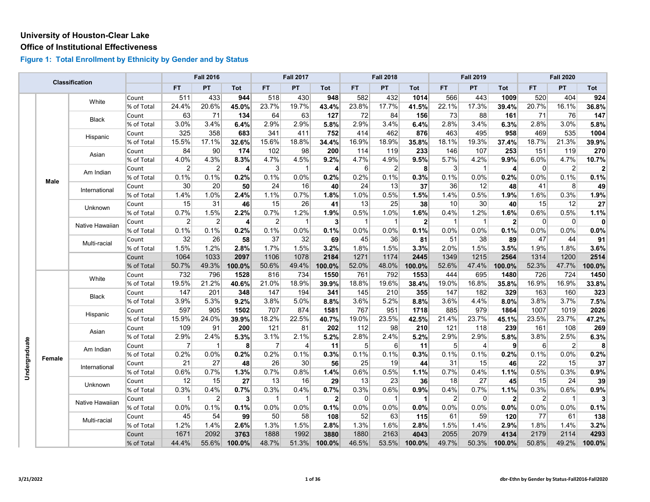#### **Office of Institutional Effectiveness**

|               |        | <b>Classification</b> |            |                 | <b>Fall 2016</b> |                |                | <b>Fall 2017</b> |                |                  | <b>Fall 2018</b> |                |                | <b>Fall 2019</b> |                |                  | <b>Fall 2020</b> |                |
|---------------|--------|-----------------------|------------|-----------------|------------------|----------------|----------------|------------------|----------------|------------------|------------------|----------------|----------------|------------------|----------------|------------------|------------------|----------------|
|               |        |                       |            | <b>FT</b>       | PT               | <b>Tot</b>     | FT.            | ${\sf PT}$       | Tot            | FT.              | PT               | Tot            | FT             | <b>PT</b>        | <b>Tot</b>     | FT.              | PT               | Tot            |
|               |        | White                 | Count      | 511             | 433              | 944            | 518            | 430              | 948            | 582              | 432              | 1014           | 566            | 443              | 1009           | 520              | 404              | 924            |
|               |        |                       | % of Total | 24.4%           | 20.6%            | 45.0%          | 23.7%          | 19.7%            | 43.4%          | 23.8%            | 17.7%            | 41.5%          | 22.1%          | 17.3%            | 39.4%          | 20.7%            | 16.1%            | 36.8%          |
|               |        | <b>Black</b>          | Count      | 63              | 71               | 134            | 64             | 63               | 127            | 72               | 84               | 156            | 73             | 88               | 161            | 71               | 76               | 147            |
|               |        |                       | % of Total | 3.0%            | 3.4%             | 6.4%           | 2.9%           | 2.9%             | 5.8%           | 2.9%             | 3.4%             | 6.4%           | 2.8%           | 3.4%             | 6.3%           | 2.8%             | 3.0%             | 5.8%           |
|               |        | Hispanic              | Count      | 325             | 358              | 683            | 341            | 411              | 752            | 414              | 462              | 876            | 463            | 495              | 958            | 469              | 535              | 1004           |
|               |        |                       | % of Total | 15.5%           | 17.1%            | 32.6%          | 15.6%          | 18.8%            | 34.4%          | 16.9%            | 18.9%            | 35.8%          | 18.1%          | 19.3%            | 37.4%          | 18.7%            | 21.3%            | 39.9%          |
|               |        | Asian                 | Count      | 84              | 90               | 174            | 102            | 98               | 200            | 114              | 119              | 233            | 146            | 107              | 253            | 151              | 119              | 270            |
|               |        |                       | % of Total | 4.0%            | 4.3%             | 8.3%           | 4.7%           | 4.5%             | 9.2%           | 4.7%             | 4.9%             | 9.5%           | 5.7%           | 4.2%             | 9.9%           | 6.0%             | 4.7%             | 10.7%          |
|               |        | Am Indian             | Count      | $\overline{2}$  | 2                | $\vert$        | $\mathbf{3}$   | $\mathbf{1}$     | $\overline{4}$ | $6 \overline{6}$ | $\overline{2}$   | 8              | $\mathbf{3}$   | $\mathbf{1}$     | $\overline{4}$ | $\overline{0}$   | $\overline{2}$   | $\overline{2}$ |
|               | Male   |                       | % of Total | 0.1%            | 0.1%             | 0.2%           | 0.1%           | 0.0%             | 0.2%           | 0.2%             | 0.1%             | 0.3%           | 0.1%           | 0.0%             | 0.2%           | 0.0%             | 0.1%             | 0.1%           |
|               |        | International         | Count      | 30 <sup>°</sup> | 20               | 50             | 24             | 16               | 40             | 24               | 13               | 37             | 36             | 12               | 48             | 41               | 8                | 49             |
|               |        |                       | % of Total | 1.4%            | 1.0%             | 2.4%           | 1.1%           | 0.7%             | 1.8%           | 1.0%             | 0.5%             | 1.5%           | 1.4%           | 0.5%             | 1.9%           | 1.6%             | 0.3%             | 1.9%           |
|               |        | <b>Unknown</b>        | Count      | 15              | 31               | 46             | 15             | 26               | 41             | 13               | 25               | 38             | 10             | 30               | 40             | 15               | 12               | 27             |
|               |        |                       | % of Total | 0.7%            | 1.5%             | 2.2%           | 0.7%           | 1.2%             | 1.9%           | 0.5%             | 1.0%             | 1.6%           | 0.4%           | 1.2%             | 1.6%           | 0.6%             | 0.5%             | 1.1%           |
|               |        | Native Hawaiian       | Count      | $\overline{2}$  | $\overline{2}$   | $\vert$        | $\overline{2}$ | $\mathbf{1}$     | 3 <sup>1</sup> | $\vert$ 1        | $\overline{1}$   | $\overline{2}$ | $\overline{1}$ | $\overline{1}$   | 2 <sup>1</sup> | $\overline{0}$   | $\mathbf 0$      | $\mathbf{0}$   |
|               |        |                       | % of Total | 0.1%            | 0.1%             | 0.2%           | 0.1%           | 0.0%             | 0.1%           | 0.0%             | 0.0%             | 0.1%           | 0.0%           | 0.0%             | 0.1%           | 0.0%             | $0.0\%$          | 0.0%           |
|               |        | Multi-racial          | Count      | 32              | 26               | 58             | 37             | 32               | 69             | 45               | 36               | 81             | 51             | 38               | 89             | 47               | 44               | 91             |
|               |        |                       | % of Total | 1.5%            | 1.2%             | 2.8%           | 1.7%           | 1.5%             | 3.2%           | 1.8%             | 1.5%             | 3.3%           | 2.0%           | 1.5%             | 3.5%           | 1.9%             | 1.8%             | 3.6%           |
|               |        |                       | Count      | 1064            | 1033             | 2097           | 1106           | 1078             | 2184           | 1271             | 1174             | 2445           | 1349           | 1215             | 2564           | 1314             | 1200             | 2514           |
|               |        |                       | % of Total | 50.7%           | 49.3%            | 100.0%         | 50.6%          | 49.4%            | 100.0%         | 52.0%            | 48.0%            | 100.0%         | 52.6%          | 47.4%            | 100.0%         | 52.3%            | 47.7%            | 100.0%         |
|               |        | White                 | Count      | 732             | 796              | 1528           | 816            | 734              | 1550           | 761              | 792              | 1553           | 444            | 695              | 1480           | 726              | 724              | 1450           |
|               |        |                       | % of Total | 19.5%           | 21.2%            | 40.6%          | 21.0%          | 18.9%            | 39.9%          | 18.8%            | 19.6%            | 38.4%          | 19.0%          | 16.8%            | 35.8%          | 16.9%            | 16.9%            | 33.8%          |
|               |        | <b>Black</b>          | Count      | 147             | 201              | 348            | 147            | 194              | 341            | 145              | 210              | 355            | 147            | 182              | 329            | 163              | 160              | 323            |
|               |        |                       | % of Total | 3.9%            | 5.3%             | 9.2%           | 3.8%           | 5.0%             | 8.8%           | 3.6%             | 5.2%             | 8.8%           | 3.6%           | 4.4%             | 8.0%           | 3.8%             | 3.7%             | 7.5%           |
|               |        | Hispanic              | Count      | 597             | 905              | 1502           | 707            | 874              | 1581           | 767              | 951              | 1718           | 885            | 979              | 1864           | 1007             | 1019             | 2026           |
|               |        |                       | % of Total | 15.9%           | 24.0%            | 39.9%          | 18.2%          | 22.5%            | 40.7%          | 19.0%            | 23.5%            | 42.5%          | 21.4%          | 23.7%            | 45.1%          | 23.5%            | 23.7%            | 47.2%          |
|               |        | Asian                 | Count      | 109             | 91               | 200            | 121            | 81               | 202            | 112              | 98               | 210            | 121            | 118              | 239            | 161              | 108              | 269            |
|               |        |                       | % of Total | 2.9%            | 2.4%             | 5.3%           | 3.1%           | 2.1%             | 5.2%           | 2.8%             | 2.4%             | 5.2%           | 2.9%           | 2.9%             | 5.8%           | 3.8%             | 2.5%             | 6.3%           |
|               |        | Am Indian             | Count      | 7               | $\mathbf{1}$     | 8              | 7              | 4                | 11             | $5 \overline{5}$ | 6                | 11             | 5              | 4                | 9              | $6 \overline{6}$ | $\overline{2}$   | 8              |
|               | Female |                       | % of Total | 0.2%            | 0.0%             | 0.2%           | 0.2%           | 0.1%             | 0.3%           | 0.1%             | 0.1%             | 0.3%           | 0.1%           | 0.1%             | 0.2%           | 0.1%             | 0.0%             | 0.2%           |
|               |        | International         | Count      | 21              | 27               | 48             | 26             | 30               | 56             | 25               | 19               | 44             | 31             | 15               | 46             | 22               | 15               | 37             |
| Undergraduate |        |                       | % of Total | 0.6%            | 0.7%             | 1.3%           | 0.7%           | 0.8%             | 1.4%           | 0.6%             | 0.5%             | 1.1%           | 0.7%           | 0.4%             | 1.1%           | 0.5%             | 0.3%             | 0.9%           |
|               |        | Unknown               | Count      | 12              | 15               | 27             | 13             | 16               | 29             | 13               | 23               | 36             | 18             | 27               | 45             | 15               | 24               | 39             |
|               |        |                       | % of Total | 0.3%            | 0.4%             | 0.7%           | 0.3%           | 0.4%             | 0.7%           | 0.3%             | 0.6%             | 0.9%           | 0.4%           | 0.7%             | 1.1%           | 0.3%             | 0.6%             | 0.9%           |
|               |        | Native Hawaiian       | Count      | $\overline{1}$  | $\overline{2}$   | 3 <sup>l</sup> | $\mathbf{1}$   | $\mathbf{1}$     | 2 <sup>1</sup> | 0                | $\overline{1}$   | $\mathbf 1$    | $\overline{2}$ | $\mathbf 0$      | 2 <sup>1</sup> | $\overline{2}$   | $\overline{1}$   | 3              |
|               |        |                       | % of Total | 0.0%            | 0.1%             | 0.1%           | 0.0%           | 0.0%             | 0.1%           | 0.0%             | 0.0%             | 0.0%           | 0.0%           | 0.0%             | 0.0%           | 0.0%             | 0.0%             | 0.1%           |
|               |        | Multi-racial          | Count      | 45              | 54               | 99             | 50             | 58               | 108            | 52               | 63               | 115            | 61             | 59               | 120            | 77               | 61               | 138            |
|               |        |                       | % of Total | 1.2%            | 1.4%             | 2.6%           | 1.3%           | 1.5%             | 2.8%           | 1.3%             | 1.6%             | 2.8%           | 1.5%           | 1.4%             | 2.9%           | 1.8%             | 1.4%             | 3.2%           |
|               |        |                       | Count      | 1671            | 2092             | 3763           | 1888           | 1992             | 3880           | 1880             | 2163             | 4043           | 2055           | 2079             | 4134           | 2179             | 2114             | 4293           |
|               |        |                       | % of Total | 44.4%           | 55.6%            | 100.0%         | 48.7%          | 51.3%            | 100.0%         | 46.5%            | 53.5%            | 100.0%         | 49.7%          | 50.3%            | 100.0%         | 50.8%            | 49.2%            | 100.0%         |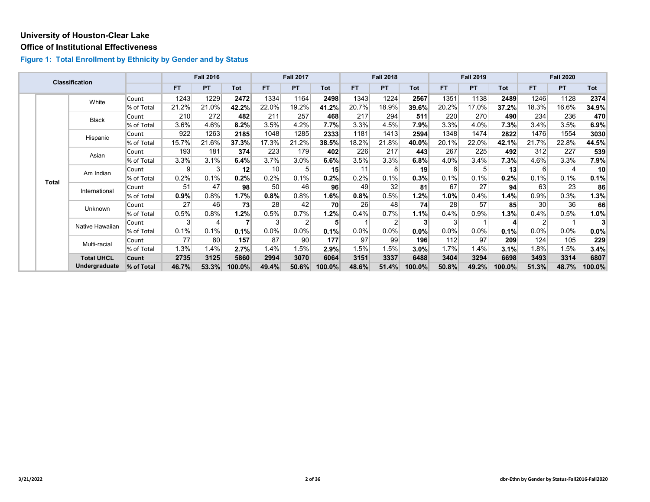#### **Office of Institutional Effectiveness**

|  |              | <b>Classification</b> |            |                | <b>Fall 2016</b> |        |       | <b>Fall 2017</b> |        |         | <b>Fall 2018</b> |            |       | <b>Fall 2019</b> |         |                 | <b>Fall 2020</b> |                 |
|--|--------------|-----------------------|------------|----------------|------------------|--------|-------|------------------|--------|---------|------------------|------------|-------|------------------|---------|-----------------|------------------|-----------------|
|  |              |                       |            | <b>FT</b>      | <b>PT</b>        | Tot    | FT.   | PT               | Tot    | FT.     | <b>PT</b>        | <b>Tot</b> | FT.   | <b>PT</b>        | Tot     | <b>FT</b>       | PT               | Tot             |
|  |              | White                 | Count      | 1243           | 1229             | 2472   | 1334  | 1164             | 2498   | 1343    | 1224             | 2567       | 1351  | 1138             | 2489    | 1246            | 1128             | 2374            |
|  |              |                       | % of Total | 21.2%          | 21.0%            | 42.2%  | 22.0% | 19.2%            | 41.2%  | 20.7%   | 18.9%            | 39.6%      | 20.2% | 17.0%            | 37.2%   | 18.3%           | 16.6%            | 34.9%           |
|  |              | Black                 | Count      | 210            | 272              | 482    | 211   | 257              | 468    | 217     | 294              | 511        | 220   | 270              | 490     | 234             | 236              | 470             |
|  |              |                       | % of Total | $3.6\%$        | 4.6%             | 8.2%   | 3.5%  | 4.2%             | 7.7%   | 3.3%    | 4.5%             | 7.9%       | 3.3%  | 4.0%             | $7.3\%$ | 3.4%            | 3.5%             | 6.9%            |
|  |              | Hispanic              | Count      | 922            | 1263             | 2185   | 1048  | 1285             | 2333   | 1181    | 1413             | 2594       | 1348  | 1474             | 2822    | 1476            | 1554             | 3030            |
|  |              |                       | % of Total | 15.7%          | 21.6%            | 37.3%  | 17.3% | 21.2%            | 38.5%  | 18.2%   | 21.8%            | 40.0%      | 20.1% | 22.0%            | 42.1%   | 21.7%           | 22.8%            | 44.5%           |
|  |              | Asian                 | Count      | 193            | 181              | 374    | 223   | 179              | 402    | 226     | 217              | 443        | 267   | 225              | 492     | 312             | 227              | 539             |
|  |              |                       | % of Total | 3.3%           | 3.1%             | 6.4%   | 3.7%  | 3.0%             | 6.6%   | 3.5%    | 3.3%             | $6.8\%$    | 4.0%  | 3.4%             | $7.3\%$ | 4.6%            | 3.3%             | 7.9%            |
|  | <b>Total</b> | Am Indian             | Count      | $\overline{9}$ | 3                | 12     | 10    | 5                | 15     | 11      | 8                | 19         | 8     | 5                | 13      | $6 \mid$        | $\overline{4}$   | 10 <sup>°</sup> |
|  |              |                       | % of Total | 0.2%           | 0.1%             | 0.2%   | 0.2%  | 0.1%             | 0.2%   | 0.2%    | 0.1%             | 0.3%       | 0.1%  | 0.1%             | 0.2%    | 0.1%            | 0.1%             | 0.1%            |
|  |              | International         | Count      | 51             | 47               | 98     | 50    | 46               | 96     | 49      | 32               | 81         | 67    | 27               | 94      | 63              | 23               | 86              |
|  |              |                       | % of Total | 0.9%           | 0.8%             | 1.7%   | 0.8%  | 0.8%             | 1.6%   | 0.8%    | 0.5%             | 1.2%       | 1.0%  | 0.4%             | 1.4%    | 0.9%            | 0.3%             | 1.3%            |
|  |              | Unknown               | Count      | 27             | 46               | 73     | 28    | 42               | 70     | 26      | 48               | 74         | 28    | 57               | 85      | 30 <sup>°</sup> | 36               | 66              |
|  |              |                       | % of Total | 0.5%           | 0.8%             | 1.2%   | 0.5%  | 0.7%             | 1.2%   | 0.4%    | 0.7%             | 1.1%       | 0.4%  | 0.9%             | 1.3%    | 0.4%            | 0.5%             | 1.0%            |
|  |              | Native Hawaiian       | Count      | 3              |                  |        | 3     | 2                | 5      |         |                  | 3          |       |                  |         | $\overline{2}$  |                  | 3               |
|  |              |                       | % of Total | 0.1%           | 0.1%             | 0.1%   | 0.0%  | 0.0%             | 0.1%   | $0.0\%$ | 0.0%             | 0.0%       | 0.0%  | $0.0\%$          | 0.1%    | 0.0%            | $0.0\%$          | $0.0\%$         |
|  |              | Multi-racial          | Count      | 77             | 80               | 157    | 87    | 90               | 177    | 97      | 99               | 196        | 112   | 97               | 209     | 124             | 105              | 229             |
|  |              |                       | % of Total | 1.3%           | 1.4%             | 2.7%   | 1.4%  | 1.5%             | 2.9%   | 1.5%    | 1.5%             | 3.0%       | 1.7%  | 1.4%             | $3.1\%$ | 1.8%            | 1.5%             | 3.4%            |
|  |              | <b>Total UHCL</b>     | Count      | 2735           | 3125             | 5860   | 2994  | 3070             | 6064   | 3151    | 3337             | 6488       | 3404  | 3294             | 6698    | 3493            | 3314             | 6807            |
|  |              | Undergraduate         | % of Total | 46.7%          | 53.3%            | 100.0% | 49.4% | 50.6%            | 100.0% | 48.6%   | 51.4%            | 100.0%     | 50.8% | 49.2%            | 100.0%  | 51.3%           | 48.7%            | 100.0%          |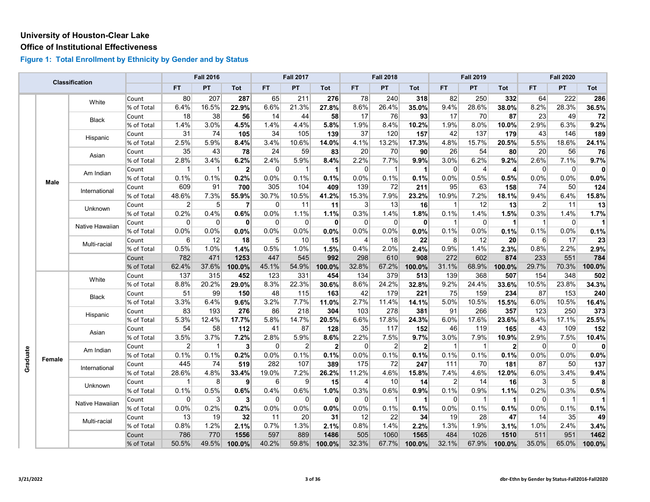#### **Office of Institutional Effectiveness**

|          |        |                 |            |                | <b>Fall 2016</b> |                |                  | <b>Fall 2017</b> |              |                | <b>Fall 2018</b> |                |                | <b>Fall 2019</b> |                |              | <b>Fall 2020</b> |              |
|----------|--------|-----------------|------------|----------------|------------------|----------------|------------------|------------------|--------------|----------------|------------------|----------------|----------------|------------------|----------------|--------------|------------------|--------------|
|          |        | Classification  |            | <b>FT</b>      | <b>PT</b>        | Tot            | FT.              | PT               | Tot          | <b>FT</b>      | PT               | Tot            | FT.            | PT.              | Tot            | FT.          | PT.              | Tot          |
|          |        | White           | Count      | 80             | 207              | 287            | 65               | 211              | 276          | 78             | 240              | 318            | 82             | 250              | 332            | 64           | 222              | 286          |
|          |        |                 | % of Total | 6.4%           | 16.5%            | 22.9%          | 6.6%             | 21.3%            | 27.8%        | 8.6%           | 26.4%            | 35.0%          | 9.4%           | 28.6%            | 38.0%          | 8.2%         | 28.3%            | 36.5%        |
|          |        | <b>Black</b>    | Count      | 18             | 38               | 56             | 14               | 44               | 58           | 17             | 76               | 93             | 17             | 70               | 87             | 23           | 49               | 72           |
|          |        |                 | % of Total | 1.4%           | 3.0%             | 4.5%           | 1.4%             | 4.4%             | 5.8%         | 1.9%           | 8.4%             | 10.2%          | 1.9%           | 8.0%             | 10.0%          | 2.9%         | 6.3%             | 9.2%         |
|          |        | Hispanic        | Count      | 31             | 74               | 105            | 34               | 105              | 139          | 37             | 120              | 157            | 42             | 137              | 179            | 43           | 146              | 189          |
|          |        |                 | % of Total | 2.5%           | 5.9%             | 8.4%           | 3.4%             | 10.6%            | 14.0%        | 4.1%           | 13.2%            | 17.3%          | 4.8%           | 15.7%            | 20.5%          | 5.5%         | 18.6%            | 24.1%        |
|          |        | Asian           | Count      | 35             | 43               | 78             | 24               | 59               | 83           | 20             | 70               | 90             | 26             | 54               | 80             | 20           | 56               | 76           |
|          |        |                 | % of Total | 2.8%           | 3.4%             | 6.2%           | 2.4%             | 5.9%             | 8.4%         | 2.2%           | 7.7%             | 9.9%           | 3.0%           | 6.2%             | 9.2%           | 2.6%         | 7.1%             | 9.7%         |
|          |        | Am Indian       | Count      | -1             | $\mathbf{1}$     | $\mathbf{2}$   | $\Omega$         | $\mathbf{1}$     | $\vert$      | $\Omega$       | -1               | 1              | $\Omega$       | $\overline{4}$   | $\overline{4}$ | 0            | $\Omega$         | $\mathbf{0}$ |
|          | Male   |                 | % of Total | 0.1%           | 0.1%             | 0.2%           | 0.0%             | 0.1%             | 0.1%         | 0.0%           | 0.1%             | 0.1%           | 0.0%           | 0.5%             | 0.5%           | 0.0%         | 0.0%             | 0.0%         |
|          |        | International   | Count      | 609            | 91               | 700            | 305              | 104              | 409          | 139            | 72               | 211            | 95             | 63               | 158            | 74           | 50               | 124          |
|          |        |                 | % of Total | 48.6%          | 7.3%             | 55.9%          | 30.7%            | 10.5%            | 41.2%        | 15.3%          | 7.9%             | 23.2%          | 10.9%          | 7.2%             | 18.1%          | 9.4%         | 6.4%             | 15.8%        |
|          |        | Unknown         | Count      | $\overline{2}$ | 5 <sup>5</sup>   | 7              | $\overline{0}$   | 11               | 11           | 3 <sup>1</sup> | 13               | 16             | -1             | 12               | 13             | $\vert$ 2    | 11               | 13           |
|          |        |                 | % of Total | 0.2%           | 0.4%             | 0.6%           | 0.0%             | 1.1%             | 1.1%         | 0.3%           | 1.4%             | 1.8%           | 0.1%           | 1.4%             | 1.5%           | 0.3%         | 1.4%             | 1.7%         |
|          |        | Native Hawaiian | Count      | 0              | $\Omega$         | 0              | $\overline{0}$   | $\overline{0}$   | 0            | 0              | 0                | $\mathbf 0$    | -1             | $\Omega$         | $\vert$        | $\vert$ 1    | $\overline{0}$   | $\mathbf{1}$ |
|          |        |                 | % of Total | 0.0%           | 0.0%             | 0.0%           | 0.0%             | 0.0%             | 0.0%         | 0.0%           | 0.0%             | 0.0%           | 0.1%           | 0.0%             | 0.1%           | 0.1%         | 0.0%             | 0.1%         |
|          |        | Multi-racial    | Count      | 6              | 12               | 18             | 5 <sup>5</sup>   | 10               | 15           | 4              | 18               | 22             | 8              | 12               | 20             | $6 \mid$     | 17               | 23           |
|          |        |                 | % of Total | 0.5%           | 1.0%             | 1.4%           | 0.5%             | 1.0%             | 1.5%         | 0.4%           | 2.0%             | 2.4%           | 0.9%           | 1.4%             | 2.3%           | 0.8%         | 2.2%             | 2.9%         |
|          |        |                 | Count      | 782            | 471              | 1253           | 447              | 545              | 992          | 298            | 610              | 908            | 272            | 602              | 874            | 233          | 551              | 784          |
|          |        |                 | % of Total | 62.4%          | 37.6%            | 100.0%         | 45.1%            | 54.9%            | 100.0%       | 32.8%          | 67.2%            | 100.0%         | 31.1%          | 68.9%            | 100.0%         | 29.7%        | 70.3%            | 100.0%       |
|          |        | White           | Count      | 137            | 315              | 452            | 123              | 331              | 454          | 134            | 379              | 513            | 139            | 368              | 507            | 154          | 348              | 502          |
|          |        |                 | % of Total | 8.8%           | 20.2%            | 29.0%          | 8.3%             | 22.3%            | 30.6%        | 8.6%           | 24.2%            | 32.8%          | 9.2%           | 24.4%            | 33.6%          | 10.5%        | 23.8%            | 34.3%        |
|          |        | Black           | Count      | 51             | 99               | 150            | 48               | 115              | 163          | 42             | 179              | 221            | 75             | 159              | 234            | 87           | 153              | 240          |
|          |        |                 | % of Total | 3.3%           | 6.4%             | 9.6%           | 3.2%             | 7.7%             | 11.0%        | 2.7%           | 11.4%            | 14.1%          | 5.0%           | 10.5%            | 15.5%          | 6.0%         | 10.5%            | 16.4%        |
|          |        |                 | Count      | 83             | 193              | 276            | 86               | 218              | 304          | 103            | 278              | 381            | 91             | 266              | 357            | 123          | 250              | 373          |
|          |        | Hispanic        | % of Total | 5.3%           | 12.4%            | 17.7%          | 5.8%             | 14.7%            | 20.5%        | 6.6%           | 17.8%            | 24.3%          | 6.0%           | 17.6%            | 23.6%          | 8.4%         | 17.1%            | 25.5%        |
|          |        | Asian           | Count      | 54             | 58               | 112            | 41               | 87               | 128          | 35             | 117              | 152            | 46             | 119              | 165            | 43           | 109              | 152          |
|          |        |                 | % of Total | 3.5%           | 3.7%             | 7.2%           | 2.8%             | 5.9%             | 8.6%         | 2.2%           | 7.5%             | 9.7%           | 3.0%           | 7.9%             | 10.9%          | 2.9%         | 7.5%             | 10.4%        |
|          |        | Am Indian       | Count      | $\overline{2}$ | $\mathbf{1}$     | $\mathbf{3}$   | $\overline{0}$   | $\overline{2}$   | $\mathbf{2}$ | $\overline{0}$ | $\overline{2}$   | $\overline{2}$ | $\mathbf{1}$   | $\mathbf 1$      | 2 <sup>1</sup> | 0            | $\overline{0}$   | $\mathbf{0}$ |
| Graduate |        |                 | % of Total | 0.1%           | 0.1%             | 0.2%           | 0.0%             | 0.1%             | 0.1%         | 0.0%           | 0.1%             | 0.1%           | 0.1%           | 0.1%             | 0.1%           | 0.0%         | 0.0%             | 0.0%         |
|          | Female |                 | Count      | 445            | 74               | 519            | 282              | 107              | 389          | 175            | 72               | 247            | 111            | 70               | 181            | 87           | 50               | 137          |
|          |        | International   | % of Total | 28.6%          | 4.8%             | 33.4%          | 19.0%            | 7.2%             | 26.2%        | 11.2%          | 4.6%             | 15.8%          | 7.4%           | 4.6%             | 12.0%          | 6.0%         | 3.4%             | 9.4%         |
|          |        | Unknown         | Count      | -1             | 8                | $\mathbf{9}$   | $6 \overline{6}$ | $\vert 9 \vert$  | 15           | 4              | 10               | 14             | $\overline{2}$ | 14               | 16             | $\mathbf{3}$ | 5 <sup>5</sup>   | 8            |
|          |        |                 | % of Total | 0.1%           | 0.5%             | 0.6%           | 0.4%             | 0.6%             | 1.0%         | 0.3%           | 0.6%             | 0.9%           | 0.1%           | 0.9%             | 1.1%           | 0.2%         | 0.3%             | 0.5%         |
|          |        | Native Hawaiian | Count      | $\overline{0}$ | $\mathbf{3}$     | 3 <sup>l</sup> | $\overline{0}$   | $\overline{0}$   | 0            | 0              | -1               | 1              | 0              | $\mathbf{1}$     | $\mathbf{1}$   | 0            | $\overline{1}$   | 1            |
|          |        |                 | % of Total | 0.0%           | 0.2%             | 0.2%           | 0.0%             | 0.0%             | 0.0%         | 0.0%           | 0.1%             | 0.1%           | 0.0%           | 0.1%             | 0.1%           | 0.0%         | 0.1%             | 0.1%         |
|          |        | Multi-racial    | Count      | 13             | 19               | 32             | 11               | 20               | 31           | 12             | 22               | 34             | 19             | 28               | 47             | 14           | 35               | 49           |
|          |        |                 | % of Total | 0.8%           | 1.2%             | 2.1%           | 0.7%             | 1.3%             | 2.1%         | 0.8%           | 1.4%             | 2.2%           | 1.3%           | 1.9%             | 3.1%           | 1.0%         | 2.4%             | 3.4%         |
|          |        |                 | Count      | 786            | 770              | 1556           | 597              | 889              | 1486         | 505            | 1060             | 1565           | 484            | 1026             | 1510           | 511          | 951              | 1462         |
|          |        |                 | % of Total | 50.5%          | 49.5%            | 100.0%         | 40.2%            | 59.8%            | 100.0%       | 32.3%          | 67.7%            | 100.0%         | 32.1%          | 67.9%            | 100.0%         | 35.0%        | 65.0%            | 100.0%       |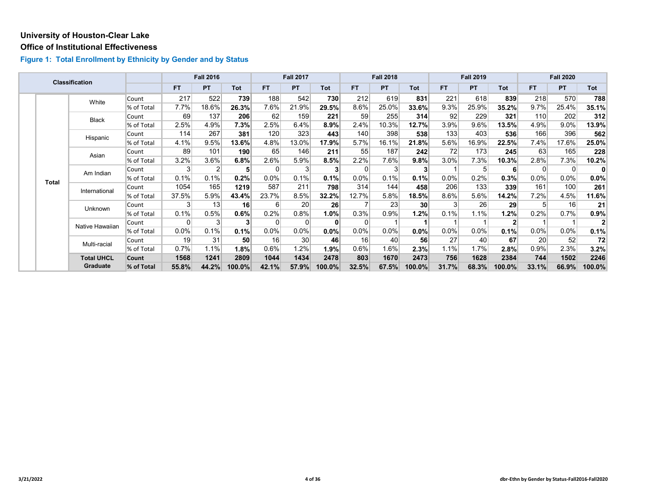#### **Office of Institutional Effectiveness**

|  |              | <b>Classification</b> |            |           | <b>Fall 2016</b> |          |                  | <b>Fall 2017</b> |                |                | <b>Fall 2018</b> |         |         | <b>Fall 2019</b> |        |                | <b>Fall 2020</b> |              |
|--|--------------|-----------------------|------------|-----------|------------------|----------|------------------|------------------|----------------|----------------|------------------|---------|---------|------------------|--------|----------------|------------------|--------------|
|  |              |                       |            | <b>FT</b> | <b>PT</b>        | Tot      | <b>FT</b>        | <b>PT</b>        | Tot            | FT.            | <b>PT</b>        | Tot     | FT.     | <b>PT</b>        | Tot    | <b>FT</b>      | <b>PT</b>        | Tot          |
|  |              | White                 | Count      | 217       | 522              | 739      | 188              | 542              | 730            | 212            | 619              | 831     | 221     | 618              | 839    | 218            | 570              | 788          |
|  |              |                       | % of Total | 7.7%      | 18.6%            | 26.3%    | 7.6%             | 21.9%            | 29.5%          | 8.6%           | 25.0%            | 33.6%   | 9.3%    | 25.9%            | 35.2%  | 9.7%           | 25.4%            | 35.1%        |
|  |              | Black                 | Count      | 69        | 137              | 206      | 62               | 159              | 221            | 59             | 255              | 314     | 92      | 229              | 321    | 110            | 202              | 312          |
|  |              |                       | % of Total | 2.5%      | 4.9%             | 7.3%     | 2.5%             | 6.4%             | 8.9%           | 2.4%           | 10.3%            | 12.7%   | 3.9%    | 9.6%             | 13.5%  | 4.9%           | $9.0\%$          | 13.9%        |
|  |              | Hispanic              | Count      | 114       | 267              | 381      | 120              | 323              | 443            | 140            | 398              | 538     | 133     | 403              | 536    | 166            | 396              | 562          |
|  |              |                       | % of Total | 4.1%      | 9.5%             | $13.6\%$ | 4.8%             | 13.0%            | 17.9%          | 5.7%           | 16.1%            | 21.8%   | 5.6%    | 16.9%            | 22.5%  | 7.4%           | 17.6%            | 25.0%        |
|  |              | Asian                 | Count      | 89        | 101              | 190      | 65               | 146              | 211            | 55             | 187              | 242     | 72      | 173              | 245    | 63             | 165              | 228          |
|  |              |                       | % of Total | 3.2%      | 3.6%             | 6.8%     | 2.6%             | 5.9%             | 8.5%           | 2.2%           | 7.6%             | 9.8%    | $3.0\%$ | 7.3%             | 10.3%  | 2.8%           | 7.3%             | 10.2%        |
|  | <b>Total</b> | Am Indian             | Count      | 3         | റ                | 5        | $\Omega$         | 3                | 3 <sup>1</sup> | $\overline{0}$ | 3                | 3       |         | 5                | 6      | $\Omega$       | $\mathbf{0}$     | $\mathbf{0}$ |
|  |              |                       | % of Total | 0.1%      | 0.1%             | 0.2%     | $0.0\%$          | 0.1%             | 0.1%           | $0.0\%$        | 0.1%             | 0.1%    | $0.0\%$ | 0.2%             | 0.3%   | $0.0\%$        | $0.0\%$          | $0.0\%$      |
|  |              | International         | Count      | 1054      | 165              | 1219     | 587              | 211              | 798            | 314            | 144              | 458     | 206     | 133              | 339    | 161            | 100              | 261          |
|  |              |                       | % of Total | 37.5%     | 5.9%             | 43.4%    | 23.7%            | 8.5%             | 32.2%          | 12.7%          | 5.8%             | 18.5%   | 8.6%    | 5.6%             | 14.2%  | 7.2%           | 4.5%             | 11.6%        |
|  |              | Unknown               | Count      | 3         | 13               | 16       | $6 \overline{6}$ | 20 <sup>2</sup>  | 26             |                | 23               | 30      |         | 26               | 29     | 5 <sup>1</sup> | 16               | 21           |
|  |              |                       | % of Total | 0.1%      | 0.5%             | 0.6%     | 0.2%             | 0.8%             | 1.0%           | 0.3%           | 0.9%             | $1.2\%$ | 0.1%    | 1.1%             | 1.2%   | 0.2%           | 0.7%             | $0.9\%$      |
|  |              | Native Hawaiian       | Count      | 0         | 3                | 3        | $\Omega$         | $\overline{0}$   | 0              | 0              |                  | 1       |         |                  | 2      |                |                  | $\mathbf{2}$ |
|  |              |                       | % of Total | 0.0%      | 0.1%             | 0.1%     | 0.0%             | 0.0%             | $0.0\%$        | $0.0\%$        | 0.0%             | 0.0%    | 0.0%    | 0.0%             | 0.1%   | 0.0%           | $0.0\%$          | 0.1%         |
|  |              | Multi-racial          | Count      | 19        | 31               | 50       | 16               | 30               | 46             | 16             | 40               | 56      | 27      | 40               | 67     | 20             | 52               | 72           |
|  |              |                       | % of Total | 0.7%      | 1.1%             | 1.8%     | 0.6%             | 1.2%             | 1.9%           | 0.6%           | 1.6%             | 2.3%    | 1.1%    | 1.7%             | 2.8%   | 0.9%           | 2.3%             | 3.2%         |
|  |              | <b>Total UHCL</b>     | Count      | 1568      | 1241             | 2809     | 1044             | 1434             | 2478           | 803            | 1670             | 2473    | 756     | 1628             | 2384   | 744            | 1502             | 2246         |
|  |              | Graduate              | % of Total | 55.8%     | 44.2%            | 100.0%   | 42.1%            | 57.9%            | 100.0%         | 32.5%          | 67.5%            | 100.0%  | 31.7%   | 68.3%            | 100.0% | 33.1%          | 66.9%            | 100.0%       |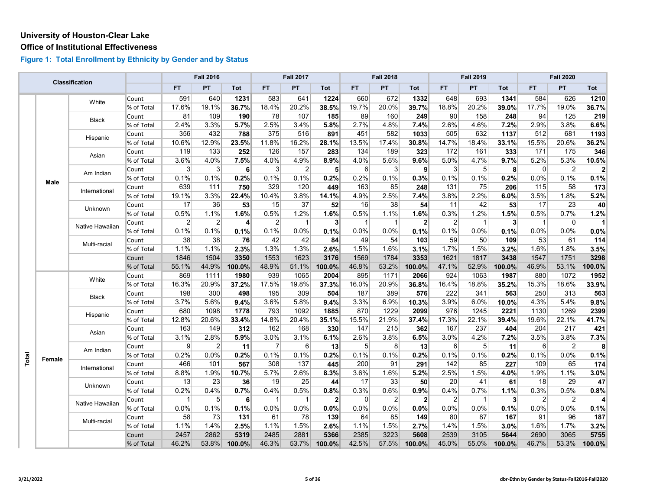#### **Office of Institutional Effectiveness**

|       |        | <b>Classification</b> |            |                 | <b>Fall 2016</b> |                |                | <b>Fall 2017</b> |                |                  | <b>Fall 2018</b> |                         |                | <b>Fall 2019</b> |                |              | <b>Fall 2020</b> |              |
|-------|--------|-----------------------|------------|-----------------|------------------|----------------|----------------|------------------|----------------|------------------|------------------|-------------------------|----------------|------------------|----------------|--------------|------------------|--------------|
|       |        |                       |            | FT.             | PT               | Tot            | FT.            | PT               | Tot            | <b>FT</b>        | PT               | Tot                     | FT.            | PT               | Tot            | <b>FT</b>    | PT               | Tot          |
|       |        | White                 | Count      | 591             | 640              | 1231           | 583            | 641              | 1224           | 660              | 672              | 1332                    | 648            | 693              | 1341           | 584          | 626              | 1210         |
|       |        |                       | % of Total | 17.6%           | 19.1%            | 36.7%          | 18.4%          | 20.2%            | 38.5%          | 19.7%            | 20.0%            | 39.7%                   | 18.8%          | 20.2%            | 39.0%          | 17.7%        | 19.0%            | 36.7%        |
|       |        | Black                 | Count      | 81              | 109              | 190            | 78             | 107              | 185            | 89               | 160              | 249                     | 90             | 158              | 248            | 94           | 125              | 219          |
|       |        |                       | % of Total | 2.4%            | 3.3%             | 5.7%           | 2.5%           | 3.4%             | 5.8%           | 2.7%             | 4.8%             | 7.4%                    | 2.6%           | 4.6%             | 7.2%           | 2.9%         | 3.8%             | 6.6%         |
|       |        | Hispanic              | Count      | 356             | 432              | 788            | 375            | 516              | 891            | 451              | 582              | 1033                    | 505            | 632              | 1137           | 512          | 681              | 1193         |
|       |        |                       | % of Total | 10.6%           | 12.9%            | 23.5%          | 11.8%          | 16.2%            | 28.1%          | 13.5%            | 17.4%            | 30.8%                   | 14.7%          | 18.4%            | 33.1%          | 15.5%        | 20.6%            | 36.2%        |
|       |        | Asian                 | Count      | 119             | 133              | 252            | 126            | 157              | 283            | 134              | 189              | 323                     | 172            | 161              | 333            | 171          | 175              | 346          |
|       |        |                       | % of Total | 3.6%            | 4.0%             | 7.5%           | 4.0%           | 4.9%             | 8.9%           | 4.0%             | 5.6%             | 9.6%                    | 5.0%           | 4.7%             | 9.7%           | 5.2%         | 5.3%             | 10.5%        |
|       |        | Am Indian             | Count      | $\vert 3 \vert$ | $\mathbf{3}$     | 6              | 3              | $\overline{2}$   | 5 <sup>1</sup> | $6 \overline{6}$ | 3                | $\mathbf{9}$            | 3              | 5 <sup>5</sup>   | 8 <sup>1</sup> | $\Omega$     | $\overline{2}$   | $\mathbf{2}$ |
|       | Male   |                       | % of Total | 0.1%            | 0.1%             | 0.2%           | 0.1%           | 0.1%             | 0.2%           | 0.2%             | 0.1%             | 0.3%                    | 0.1%           | 0.1%             | 0.2%           | 0.0%         | 0.1%             | 0.1%         |
|       |        | International         | Count      | 639             | 111              | 750            | 329            | 120              | 449            | 163              | 85               | 248                     | 131            | 75               | 206            | $115$        | 58               | 173          |
|       |        |                       | % of Total | 19.1%           | 3.3%             | 22.4%          | 10.4%          | 3.8%             | 14.1%          | 4.9%             | 2.5%             | 7.4%                    | 3.8%           | 2.2%             | 6.0%           | 3.5%         | 1.8%             | 5.2%         |
|       |        | Unknown               | Count      | 17              | 36               | 53             | 15             | 37               | 52             | 16               | 38               | 54                      | 11             | 42               | 53             | 17           | 23               | 40           |
|       |        |                       | % of Total | 0.5%            | 1.1%             | 1.6%           | 0.5%           | 1.2%             | 1.6%           | 0.5%             | 1.1%             | 1.6%                    | 0.3%           | 1.2%             | 1.5%           | 0.5%         | 0.7%             | 1.2%         |
|       |        | Native Hawaiian       | Count      | $\overline{2}$  | $\overline{2}$   | 4              | $\overline{2}$ | $\overline{1}$   | 3 <sup>1</sup> | $\mathbf{1}$     | -1               | $\overline{\mathbf{2}}$ | $\overline{2}$ | $\mathbf{1}$     | 3 <sup>1</sup> | $\mathbf{1}$ | $\overline{0}$   | $\mathbf{1}$ |
|       |        |                       | % of Total | 0.1%            | 0.1%             | 0.1%           | 0.1%           | 0.0%             | 0.1%           | 0.0%             | 0.0%             | 0.1%                    | 0.1%           | 0.0%             | 0.1%           | 0.0%         | 0.0%             | 0.0%         |
|       |        | Multi-racial          | Count      | 38              | 38               | 76             | 42             | 42               | 84             | 49               | 54               | 103                     | 59             | 50               | 109            | 53           | 61               | 114          |
|       |        |                       | % of Total | 1.1%            | 1.1%             | 2.3%           | 1.3%           | 1.3%             | 2.6%           | 1.5%             | 1.6%             | 3.1%                    | 1.7%           | 1.5%             | 3.2%           | 1.6%         | 1.8%             | 3.5%         |
|       |        |                       | Count      | 1846            | 1504             | 3350           | 1553           | 1623             | 3176           | 1569             | 1784             | 3353                    | 1621           | 1817             | 3438           | 1547         | 1751             | 3298         |
|       |        |                       | % of Total | 55.1%           | 44.9%            | 100.0%         | 48.9%          | 51.1%            | 100.0%         | 46.8%            | 53.2%            | 100.0%                  | 47.1%          | 52.9%            | 100.0%         | 46.9%        | 53.1%            | 100.0%       |
|       |        | White                 | Count      | 869             | 1111             | 1980           | 939            | 1065             | 2004           | 895              | 1171             | 2066                    | 924            | 1063             | 1987           | 880          | 1072             | 1952         |
|       |        |                       | % of Total | 16.3%           | 20.9%            | 37.2%          | 17.5%          | 19.8%            | 37.3%          | 16.0%            | 20.9%            | 36.8%                   | 16.4%          | 18.8%            | 35.2%          | 15.3%        | 18.6%            | 33.9%        |
|       |        | Black                 | Count      | 198             | 300              | 498            | 195            | 309              | 504            | 187              | 389              | 576                     | 222            | 341              | 563            | 250          | 313              | 563          |
|       |        |                       | % of Total | 3.7%            | 5.6%             | 9.4%           | 3.6%           | 5.8%             | 9.4%           | 3.3%             | 6.9%             | 10.3%                   | 3.9%           | 6.0%             | 10.0%          | 4.3%         | 5.4%             | 9.8%         |
|       |        |                       | Count      | 680             | 1098             | 1778           | 793            | 1092             | 1885           | 870              | 1229             | 2099                    | 976            | 1245             | 2221           | 1130         | 1269             | 2399         |
|       |        | Hispanic              | % of Total | 12.8%           | 20.6%            | 33.4%          | 14.8%          | 20.4%            | 35.1%          | 15.5%            | 21.9%            | 37.4%                   | 17.3%          | 22.1%            | 39.4%          | 19.6%        | 22.1%            | 41.7%        |
|       |        | Asian                 | Count      | 163             | 149              | 312            | 162            | 168              | 330            | 147              | 215              | 362                     | 167            | 237              | 404            | 204          | 217              | 421          |
|       |        |                       | % of Total | 3.1%            | 2.8%             | 5.9%           | 3.0%           | 3.1%             | 6.1%           | 2.6%             | 3.8%             | 6.5%                    | 3.0%           | 4.2%             | 7.2%           | 3.5%         | 3.8%             | 7.3%         |
|       |        | Am Indian             | Count      | 9               | $\overline{2}$   | 11             | $\overline{7}$ | 6                | 13             | 5 <sup>5</sup>   | 8                | 13                      | 6              | 5 <sup>1</sup>   | 11             | $6 \mid$     | $\overline{2}$   | 8            |
|       | Female |                       | % of Total | 0.2%            | 0.0%             | 0.2%           | 0.1%           | 0.1%             | 0.2%           | 0.1%             | 0.1%             | 0.2%                    | 0.1%           | 0.1%             | 0.2%           | 0.1%         | 0.0%             | 0.1%         |
| Total |        | International         | Count      | 466             | 101              | 567            | 308            | 137              | 445            | 200              | 91               | 291                     | 142            | 85               | 227            | 109          | 65               | 174          |
|       |        |                       | % of Total | 8.8%            | 1.9%             | 10.7%          | 5.7%           | 2.6%             | 8.3%           | 3.6%             | 1.6%             | 5.2%                    | 2.5%           | 1.5%             | 4.0%           | 1.9%         | 1.1%             | 3.0%         |
|       |        | Unknown               | Count      | 13              | 23               | 36             | 19             | 25               | 44             | 17               | 33               | 50                      | 20             | 41               | 61             | 18           | 29               | 47           |
|       |        |                       | % of Total | 0.2%            | 0.4%             | 0.7%           | 0.4%           | 0.5%             | 0.8%           | 0.3%             | 0.6%             | 0.9%                    | 0.4%           | 0.7%             | 1.1%           | 0.3%         | 0.5%             | 0.8%         |
|       |        |                       | Count      | $\mathbf{1}$    | 5 <sup>5</sup>   | 6 <sup>1</sup> | $\overline{1}$ | $\overline{1}$   | $\mathbf{2}$   | $\overline{0}$   | $\overline{2}$   | $\overline{2}$          | $\overline{2}$ | $\mathbf{1}$     | 3 <sup>1</sup> | $\vert$ 2    | $\overline{2}$   | 4            |
|       |        | Native Hawaiian       | % of Total | 0.0%            | 0.1%             | 0.1%           | 0.0%           | 0.0%             | 0.0%           | 0.0%             | 0.0%             | 0.0%                    | 0.0%           | 0.0%             | 0.1%           | 0.0%         | 0.0%             | 0.1%         |
|       |        |                       | Count      | 58              | 73               | 131            | 61             | 78               | 139            | 64               | 85               | 149                     | 80             | 87               | 167            | 91           | 96               | 187          |
|       |        | Multi-racial          | % of Total | 1.1%            | 1.4%             | 2.5%           | 1.1%           | 1.5%             | 2.6%           | 1.1%             | 1.5%             | 2.7%                    | 1.4%           | 1.5%             | 3.0%           | 1.6%         | 1.7%             | 3.2%         |
|       |        |                       | Count      | 2457            | 2862             | 5319           | 2485           | 2881             | 5366           | 2385             | 3223             | 5608                    | 2539           | 3105             | 5644           | 2690         | 3065             | 5755         |
|       |        |                       | % of Total | 46.2%           | 53.8%            | 100.0%         | 46.3%          | 53.7%            | 100.0%         | 42.5%            | 57.5%            | 100.0%                  | 45.0%          | 55.0%            | 100.0%         | 46.7%        | 53.3%            | 100.0%       |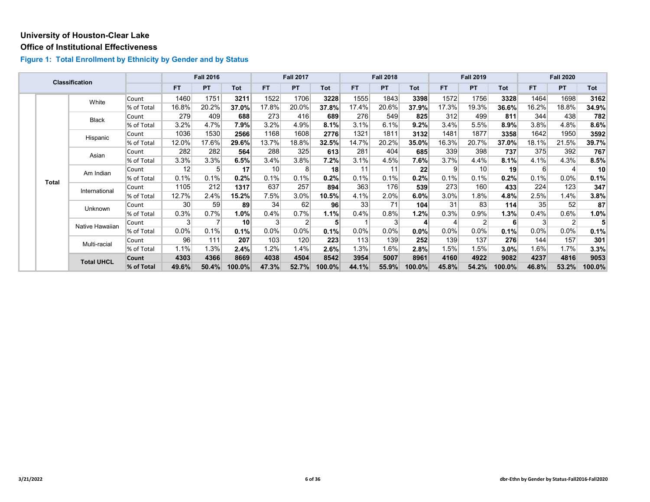#### **Office of Institutional Effectiveness**

|  |              | <b>Classification</b> |            |                 | <b>Fall 2016</b> |            |       | <b>Fall 2017</b> |        |         | <b>Fall 2018</b> |            |         | <b>Fall 2019</b> |            |                  | <b>Fall 2020</b> |        |
|--|--------------|-----------------------|------------|-----------------|------------------|------------|-------|------------------|--------|---------|------------------|------------|---------|------------------|------------|------------------|------------------|--------|
|  |              |                       |            | <b>FT</b>       | <b>PT</b>        | <b>Tot</b> | FT.   | PT               | Tot    | FT.     | <b>PT</b>        | <b>Tot</b> | FT.     | PT               | <b>Tot</b> | <b>FT</b>        | PT               | Tot    |
|  |              | White                 | Count      | 1460            | 1751             | 3211       | 1522  | 1706             | 3228   | 1555    | 1843             | 3398       | 1572    | 1756             | 3328       | 1464             | 1698             | 3162   |
|  |              |                       | % of Total | 16.8%           | 20.2%            | 37.0%      | 17.8% | 20.0%            | 37.8%  | 17.4%   | 20.6%            | 37.9%      | 17.3%   | 19.3%            | 36.6%      | 16.2%            | 18.8%            | 34.9%  |
|  |              | Black                 | Count      | 279             | 409              | 688        | 273   | 416              | 689    | 276     | 549              | 825        | 312     | 499              | 811        | 344              | 438              | 782    |
|  |              |                       | % of Total | 3.2%            | 4.7%             | 7.9%       | 3.2%  | 4.9%             | 8.1%   | 3.1%    | 6.1%             | 9.2%       | 3.4%    | 5.5%             | $8.9\%$    | 3.8%             | 4.8%             | 8.6%   |
|  |              | Hispanic              | Count      | 1036            | 1530             | 2566       | 1168  | 1608             | 2776   | 1321    | 1811             | 3132       | 1481    | 1877             | 3358       | 1642             | 1950             | 3592   |
|  |              |                       | % of Total | 12.0%           | 17.6%            | 29.6%      | 13.7% | 18.8%            | 32.5%  | 14.7%   | 20.2%            | 35.0%      | 16.3%   | 20.7%            | 37.0%      | 18.1%            | 21.5%            | 39.7%  |
|  |              | Asian                 | Count      | 282             | 282              | 564        | 288   | 325              | 613    | 281     | 404              | 685        | 339     | 398              | 737        | 375              | 392              | 767    |
|  |              |                       | % of Total | 3.3%            | 3.3%             | 6.5%       | 3.4%  | 3.8%             | 7.2%   | 3.1%    | 4.5%             | 7.6%       | $3.7\%$ | 4.4%             | 8.1%       | 4.1%             | 4.3%             | 8.5%   |
|  | <b>Total</b> | Am Indian             | Count      | 12              | 5                | 17         | 10    | 8                | 18     | 11      | 11               | 22         | 9       | 10               | 19         | $6 \overline{6}$ | 4                | 10     |
|  |              |                       | % of Total | 0.1%            | 0.1%             | 0.2%       | 0.1%  | 0.1%             | 0.2%   | 0.1%    | 0.1%             | 0.2%       | 0.1%    | 0.1%             | 0.2%       | 0.1%             | 0.0%             | 0.1%   |
|  |              | International         | Count      | 1105            | 212              | 1317       | 637   | 257              | 894    | 363     | 176              | 539        | 273     | 160              | 433        | 224              | 123              | 347    |
|  |              |                       | % of Total | 12.7%           | 2.4%             | 15.2%      | 7.5%  | 3.0%             | 10.5%  | 4.1%    | 2.0%             | 6.0%       | $3.0\%$ | 1.8%             | 4.8%       | 2.5%             | 1.4%             | 3.8%   |
|  |              | Unknown               | Count      | 30 <sup>1</sup> | 59               | 89         | 34    | 62               | 96     | 33      | 71               | 104        | 31      | 83               | 114        | 35               | 52               | 87     |
|  |              |                       | % of Total | 0.3%            | 0.7%             | 1.0%       | 0.4%  | 0.7%             | 1.1%   | 0.4%    | 0.8%             | 1.2%       | 0.3%    | 0.9%             | 1.3%       | 0.4%             | 0.6%             | 1.0%   |
|  |              | Native Hawaiian       | Count      | $\mathbf{3}$    |                  | 10         | 3     | $\overline{2}$   | 5      |         |                  | $\vert$    |         | 2                | 6          | 3                | $\overline{2}$   |        |
|  |              |                       | % of Total | 0.0%            | 0.1%             | 0.1%       | 0.0%  | 0.0%             | 0.1%   | $0.0\%$ | 0.0%             | 0.0%       | $0.0\%$ | 0.0%             | 0.1%       | $0.0\%$          | 0.0%             | 0.1%   |
|  |              | Multi-racial          | Count      | 96              | 111              | 207        | 103   | 120              | 223    | 113     | 139              | 252        | 139     | 137              | 276        | 144              | 157              | 301    |
|  |              |                       | % of Total | 1.1%            | 1.3%             | 2.4%       | 1.2%  | 1.4%             | 2.6%   | $1.3\%$ | 1.6%             | 2.8%       | 1.5%    | 1.5%             | $3.0\%$    | 1.6%             | 1.7%             | 3.3%   |
|  |              | <b>Total UHCL</b>     | Count      | 4303            | 4366             | 8669       | 4038  | 4504             | 8542   | 3954    | 5007             | 8961       | 4160    | 4922             | 9082       | 4237             | 4816             | 9053   |
|  |              |                       | % of Total | 49.6%           | 50.4%            | 100.0%     | 47.3% | 52.7%            | 100.0% | 44.1%   | 55.9%            | 100.0%     | 45.8%   | 54.2%            | 100.0%     | 46.8%            | 53.2%            | 100.0% |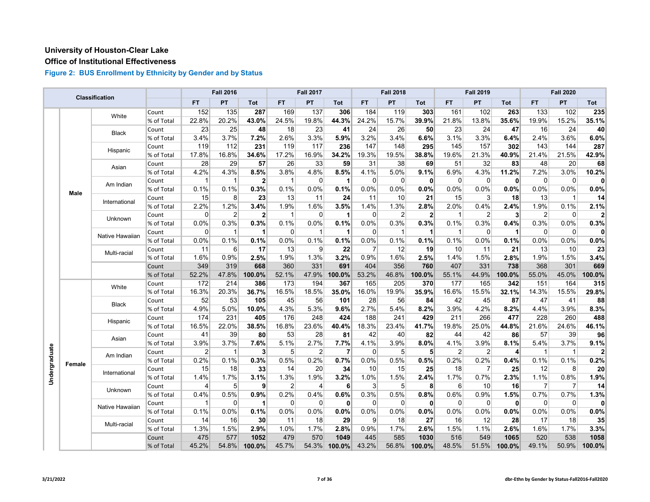# **Office of Institutional Effectiveness**

|               |        | <b>Classification</b> |            |                | <b>Fall 2016</b> |                      |              | <b>Fall 2017</b> |                |             | <b>Fall 2018</b> |                |                | <b>Fall 2019</b> |              |                | <b>Fall 2020</b> |                         |
|---------------|--------|-----------------------|------------|----------------|------------------|----------------------|--------------|------------------|----------------|-------------|------------------|----------------|----------------|------------------|--------------|----------------|------------------|-------------------------|
|               |        |                       |            | <b>FT</b>      | PT               | <b>Tot</b>           | FT.          | PT               | Tot            | <b>FT</b>   | PT               | Tot            | <b>FT</b>      | PT               | Tot          | FT.            | PT               | Tot                     |
|               |        | White                 | Count      | 152            | 135              | 287                  | 169          | 137              | 306            | 184         | 119              | 303            | 161            | 102              | 263          | 133            | 102              | 235                     |
|               |        |                       | % of Total | 22.8%          | 20.2%            | 43.0%                | 24.5%        | 19.8%            | 44.3%          | 24.2%       | 15.7%            | 39.9%          | 21.8%          | 13.8%            | 35.6%        | 19.9%          | 15.2%            | 35.1%                   |
|               |        |                       | Count      | 23             | 25               | 48                   | 18           | 23               | 41             | 24          | 26               | 50             | 23             | 24               | 47           | 16             | 24               | 40                      |
|               |        | <b>Black</b>          | % of Total | 3.4%           | 3.7%             | 7.2%                 | 2.6%         | 3.3%             | 5.9%           | 3.2%        | 3.4%             | 6.6%           | 3.1%           | 3.3%             | 6.4%         | 2.4%           | 3.6%             | 6.0%                    |
|               |        | Hispanic              | Count      | 119            | 112              | 231                  | 119          | 117              | 236            | 147         | 148              | 295            | 145            | 157              | 302          | 143            | 144              | 287                     |
|               |        |                       | % of Total | 17.8%          | 16.8%            | 34.6%                | 17.2%        | 16.9%            | 34.2%          | 19.3%       | 19.5%            | 38.8%          | 19.6%          | 21.3%            | 40.9%        | 21.4%          | 21.5%            | 42.9%                   |
|               |        | Asian                 | Count      | 28             | 29               | 57                   | 26           | 33               | 59             | 31          | 38               | 69             | 51             | 32               | 83           | 48             | 20               | 68                      |
|               |        |                       | % of Total | 4.2%           | 4.3%             | 8.5%                 | 3.8%         | 4.8%             | 8.5%           | 4.1%        | 5.0%             | 9.1%           | 6.9%           | 4.3%             | 11.2%        | 7.2%           | 3.0%             | 10.2%                   |
|               |        | Am Indian             | Count      | $\mathbf 1$    | $\mathbf 1$      | $\mathbf{2}$         | $\mathbf{1}$ | $\mathbf 0$      | $\mathbf 1$    | $\mathbf 0$ | $\mathbf 0$      | $\mathbf{0}$   | $\mathbf 0$    | 0                | $\mathbf{0}$ | $\mathbf 0$    | 0                | $\mathbf{0}$            |
|               | Male   |                       | % of Total | 0.1%           | 0.1%             | 0.3%                 | 0.1%         | 0.0%             | 0.1%           | 0.0%        | 0.0%             | 0.0%           | 0.0%           | 0.0%             | 0.0%         | 0.0%           | 0.0%             | 0.0%                    |
|               |        | International         | Count      | 15             | 8                | 23                   | 13           | 11               | 24             | 11          | 10               | 21             | 15             | 3 <sup>1</sup>   | 18           | 13             | $\mathbf{1}$     | 14                      |
|               |        |                       | % of Total | 2.2%           | 1.2%             | 3.4%                 | 1.9%         | 1.6%             | 3.5%           | 1.4%        | 1.3%             | 2.8%           | 2.0%           | 0.4%             | 2.4%         | 1.9%           | 0.1%             | 2.1%                    |
|               |        | Unknown               | Count      | $\mathbf 0$    | $\overline{2}$   | $\mathbf{2}$         | 1            | $\Omega$         | $\mathbf 1$    | $\Omega$    | $\overline{2}$   | $\overline{2}$ | $\overline{1}$ | 2                | $\mathbf{3}$ | $\overline{2}$ | $\Omega$         | $\overline{\mathbf{c}}$ |
|               |        |                       | % of Total | 0.0%           | 0.3%             | 0.3%                 | 0.1%         | 0.0%             | 0.1%           | 0.0%        | 0.3%             | 0.3%           | 0.1%           | 0.3%             | 0.4%         | 0.3%           | 0.0%             | 0.3%                    |
|               |        |                       | Count      | 0              | $\mathbf 1$      | $\mathbf{1}$         | $\mathbf 0$  | $\overline{1}$   | 1              | $\Omega$    | $\overline{1}$   | 1              | $\overline{1}$ | 0                | 1            | $\mathbf 0$    | 0                | 0                       |
|               |        | Native Hawaiian       | % of Total | 0.0%           | 0.1%             | 0.1%                 | 0.0%         | 0.1%             | 0.1%           | 0.0%        | 0.1%             | 0.1%           | 0.1%           | 0.0%             | 0.1%         | 0.0%           | 0.0%             | 0.0%                    |
|               |        | Multi-racial          | Count      | 11             | 6                | 17                   | 13           | 9                | 22             | 7           | 12               | 19             | 10             | 11               | 21           | 13             | 10               | 23                      |
|               |        |                       | % of Total | 1.6%           | 0.9%             | 2.5%                 | 1.9%         | 1.3%             | 3.2%           | 0.9%        | 1.6%             | 2.5%           | 1.4%           | 1.5%             | 2.8%         | 1.9%           | 1.5%             | 3.4%                    |
|               |        |                       | Count      | 349            | 319              | 668                  | 360          | 331              | 691            | 404         | 356              | 760            | 407            | 331              | 738          | 368            | 301              | 669                     |
|               |        |                       | % of Total | 52.2%          | 47.8%            | 100.0%               | 52.1%        | 47.9%            | 100.0%         | 53.2%       | 46.8%            | 100.0%         | 55.1%          | 44.9%            | 100.0%       | 55.0%          | 45.0%            | 100.0%                  |
|               |        | White                 | Count      | 172            | 214              | 386                  | 173          | 194              | 367            | 165         | 205              | 370            | 177            | 165              | 342          | 151            | 164              | 315                     |
|               |        |                       | % of Total | 16.3%          | 20.3%            | 36.7%                | 16.5%        | 18.5%            | 35.0%          | 16.0%       | 19.9%            | 35.9%          | 16.6%          | 15.5%            | 32.1%        | 14.3%          | 15.5%            | 29.8%                   |
|               |        | <b>Black</b>          | Count      | 52             | 53               | 105                  | 45           | 56               | 101            | 28          | 56               | 84             | 42             | 45               | 87           | 47             | 41               | 88                      |
|               |        |                       | % of Total | 4.9%           | 5.0%             | 10.0%                | 4.3%         | 5.3%             | 9.6%           | 2.7%        | 5.4%             | 8.2%           | 3.9%           | 4.2%             | 8.2%         | 4.4%           | 3.9%             | 8.3%                    |
|               |        | Hispanic              | Count      | 174            | 231              | 405                  | 176          | 248              | 424            | 188         | 241              | 429            | 211            | 266              | 477          | 228            | 260              | 488                     |
|               |        |                       | % of Total | 16.5%          | 22.0%            | 38.5%                | 16.8%        | 23.6%            | 40.4%          | 18.3%       | 23.4%            | 41.7%          | 19.8%          | 25.0%            | 44.8%        | 21.6%          | 24.6%            | 46.1%                   |
|               |        |                       | Count      | 41             | 39               | 80                   | 53           | 28               | 81             | 42          | 40               | 82             | 44             | 42               | 86           | 57             | 39               | 96                      |
|               |        | Asian                 | % of Total | 3.9%           | 3.7%             | 7.6%                 | 5.1%         | 2.7%             | 7.7%           | 4.1%        | 3.9%             | 8.0%           | 4.1%           | 3.9%             | 8.1%         | 5.4%           | 3.7%             | 9.1%                    |
|               |        | Am Indian             | Count      | $\overline{2}$ | $\mathbf{1}$     | 3                    | 5            | $\overline{2}$   | $\overline{7}$ | $\Omega$    | 5                | 5 <sup>1</sup> | $\overline{2}$ | $\overline{2}$   | 4            | $\mathbf 1$    | $\mathbf{1}$     | 2                       |
|               | Female |                       | % of Total | 0.2%           | 0.1%             | 0.3%                 | 0.5%         | 0.2%             | 0.7%           | 0.0%        | 0.5%             | 0.5%           | 0.2%           | 0.2%             | 0.4%         | 0.1%           | 0.1%             | 0.2%                    |
|               |        | International         | Count      | 15             | 18               | 33                   | 14           | 20               | 34             | 10          | 15               | 25             | 18             | $\overline{7}$   | 25           | 12             | 8 <sup>°</sup>   | 20                      |
| Undergraduate |        |                       | % of Total | 1.4%           | 1.7%             | 3.1%                 | 1.3%         | 1.9%             | 3.2%           | 1.0%        | 1.5%             | 2.4%           | 1.7%           | 0.7%             | 2.3%         | 1.1%           | 0.8%             | 1.9%                    |
|               |        | Unknown               | Count      | 4              | 5                | 9                    | 2            | $\overline{4}$   | 6              | 3           | 5                | 8              | 6              | 10               | 16           | $\overline{7}$ | $\overline{7}$   | 14                      |
|               |        |                       | % of Total | 0.4%           | 0.5%             | 0.9%                 | 0.2%         | 0.4%             | 0.6%           | 0.3%        | 0.5%             | 0.8%           | 0.6%           | 0.9%             | 1.5%         | 0.7%           | 0.7%             | 1.3%                    |
|               |        | Native Hawaiian       | Count      | $\mathbf{1}$   | $\mathbf 0$      | $\blacktriangleleft$ | $\Omega$     | $\mathbf 0$      | $\mathbf{0}$   | $\Omega$    | $\Omega$         | $\mathbf{0}$   | $\mathbf 0$    | $\Omega$         | $\mathbf{0}$ | $\mathbf 0$    | 0                | $\Omega$                |
|               |        |                       | % of Total | 0.1%           | 0.0%             | 0.1%                 | 0.0%         | 0.0%             | 0.0%           | 0.0%        | 0.0%             | 0.0%           | 0.0%           | 0.0%             | 0.0%         | 0.0%           | 0.0%             | 0.0%                    |
|               |        | Multi-racial          | Count      | 14             | 16               | 30                   | 11           | 18               | 29             | 9           | 18               | 27             | 16             | 12               | 28           | 17             | 18               | 35                      |
|               |        |                       | % of Total | 1.3%           | 1.5%             | 2.9%                 | 1.0%         | 1.7%             | 2.8%           | 0.9%        | 1.7%             | 2.6%           | 1.5%           | 1.1%             | 2.6%         | 1.6%           | 1.7%             | 3.3%                    |
|               |        |                       | Count      | 475            | 577              | 1052                 | 479          | 570              | 1049           | 445         | 585              | 1030           | 516            | 549              | 1065         | 520            | 538              | 1058                    |
|               |        |                       | % of Total | 45.2%          | 54.8%            | 100.0%               | 45.7%        | 54.3%            | 100.0%         | 43.2%       | 56.8%            | 100.0%         | 48.5%          | 51.5%            | 100.0%       | 49.1%          | 50.9%            | 100.0%                  |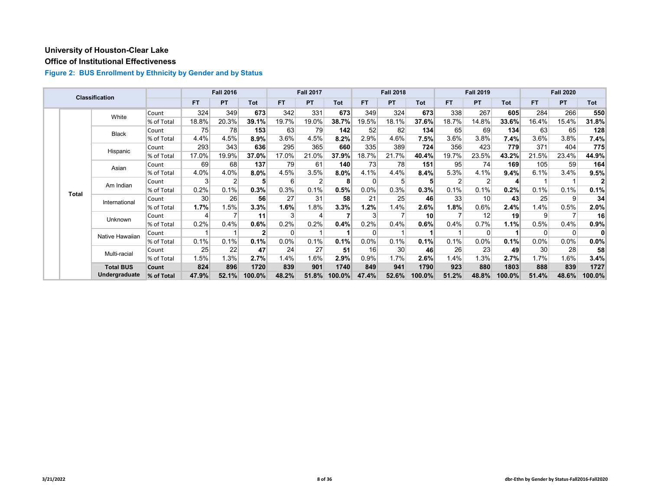# **Office of Institutional Effectiveness**

|  |              | <b>Classification</b> |            |           | <b>Fall 2016</b> |            |           | <b>Fall 2017</b> |        |           | <b>Fall 2018</b> |                 |                | <b>Fall 2019</b> |            |          | <b>Fall 2020</b> |            |
|--|--------------|-----------------------|------------|-----------|------------------|------------|-----------|------------------|--------|-----------|------------------|-----------------|----------------|------------------|------------|----------|------------------|------------|
|  |              |                       |            | <b>FT</b> | <b>PT</b>        | <b>Tot</b> | <b>FT</b> | PT               | Tot    | <b>FT</b> | <b>PT</b>        | <b>Tot</b>      | <b>FT</b>      | PT               | <b>Tot</b> | FT.      | PT.              | <b>Tot</b> |
|  |              | White                 | Count      | 324       | 349              | 673        | 342       | 331              | 673    | 349       | 324              | 673             | 338            | 267              | 605        | 284      | 266              | 550        |
|  |              |                       | % of Total | 18.8%     | 20.3%            | 39.1%      | 19.7%     | 19.0%            | 38.7%  | 19.5%     | 18.1%            | 37.6%           | 18.7%          | 14.8%            | 33.6%      | 16.4%    | 15.4%            | 31.8%      |
|  |              | <b>Black</b>          | Count      | 75        | 78               | 153        | 63        | 79               | 142    | 52        | 82               | 134             | 65             | 69               | 134        | 63       | 65               | 128        |
|  |              |                       | % of Total | 4.4%      | 4.5%             | 8.9%       | 3.6%      | 4.5%             | 8.2%   | 2.9%      | 4.6%             | 7.5%            | 3.6%           | 3.8%             | 7.4%       | 3.6%     | 3.8%             | 7.4%       |
|  |              | Hispanic              | Count      | 293       | 343              | 636        | 295       | 365              | 660    | 335       | 389              | 724             | 356            | 423              | 779        | 371      | 404              | 775        |
|  |              |                       | % of Total | 17.0%     | 19.9%            | 37.0%      | 17.0%     | 21.0%            | 37.9%  | 18.7%     | 21.7%            | 40.4%           | 19.7%          | 23.5%            | 43.2%      | 21.5%    | 23.4%            | 44.9%      |
|  |              | Asian                 | Count      | 69        | 68               | 137        | 79        | 61               | 140    | 73        | 78               | 151             | 95             | 74               | 169        | 105      | 59               | 164        |
|  |              |                       | % of Total | 4.0%      | 4.0%             | $8.0\%$    | 4.5%      | 3.5%             | 8.0%   | 4.1%      | 4.4%             | 8.4%            | 5.3%           | 4.1%             | 9.4%       | 6.1%     | 3.4%             | 9.5%       |
|  | <b>Total</b> | Am Indian             | Count      | 3         | 2                | 5          | 6         | $\overline{2}$   | 8      | $\Omega$  | 5                | 5               | $\overline{2}$ | $\overline{2}$   |            |          |                  |            |
|  |              |                       | % of Total | 0.2%      | 0.1%             | 0.3%       | 0.3%      | 0.1%             | 0.5%   | 0.0%      | 0.3%             | 0.3%            | 0.1%           | 0.1%             | 0.2%       | 0.1%     | 0.1%             | 0.1%       |
|  |              | International         | Count      | 30        | 26               | 56         | 27        | 31               | 58     | 21        | 25               | 46              | 33             | 10 <sup>1</sup>  | 43         | 25       | $\overline{9}$   | 34         |
|  |              |                       | % of Total | 1.7%      | 1.5%             | 3.3%       | 1.6%      | 1.8%             | 3.3%   | 1.2%      | 1.4%             | $2.6\%$         | $1.8\%$        | 0.6%             | 2.4%       | 1.4%     | 0.5%             | 2.0%       |
|  |              | Unknown               | Count      |           |                  | 11         | 3         | Δ                |        |           |                  | 10 <sup>1</sup> |                | 12               | 19         | 9        |                  | 16         |
|  |              |                       | % of Total | 0.2%      | 0.4%             | 0.6%       | 0.2%      | 0.2%             | 0.4%   | 0.2%      | 0.4%             | 0.6%            | 0.4%           | 0.7%             | 1.1%       | 0.5%     | 0.4%             | 0.9%       |
|  |              | Native Hawaiian       | Count      |           |                  | 2          | $\Omega$  |                  |        |           |                  |                 |                | $\Omega$         |            | $\Omega$ | 0 <sup>1</sup>   | 0          |
|  |              |                       | % of Total | 0.1%      | 0.1%             | 0.1%       | $0.0\%$   | 0.1%             | 0.1%   | 0.0%      | 0.1%             | 0.1%            | 0.1%           | $0.0\%$          | 0.1%       | 0.0%     | $0.0\%$          | 0.0%       |
|  |              | Multi-racial          | Count      | 25        | 22               | 47         | 24        | 27               | 51     | 16        | 30               | 46              | 26             | 23               | 49         | 30       | 28               | 58         |
|  |              |                       | % of Total | 1.5%      | 1.3%             | 2.7%       | $ .4\% $  | 1.6%             | 2.9%   | 0.9%      | 1.7%             | 2.6%            | 1.4%           | 1.3%             | 2.7%       | 1.7%     | 1.6%             | 3.4%       |
|  |              | <b>Total BUS</b>      | Count      | 824       | 896              | 1720       | 839       | 901              | 1740   | 849       | 941              | 1790            | 923            | 880              | 1803       | 888      | 839              | 1727       |
|  |              | Undergraduate         | % of Total | 47.9%     | 52.1%            | 100.0%     | 48.2%     | 51.8%            | 100.0% | 47.4%     | 52.6%            | 100.0%          | 51.2%          | 48.8%            | 100.0%     | 51.4%    | 48.6%            | 100.0%     |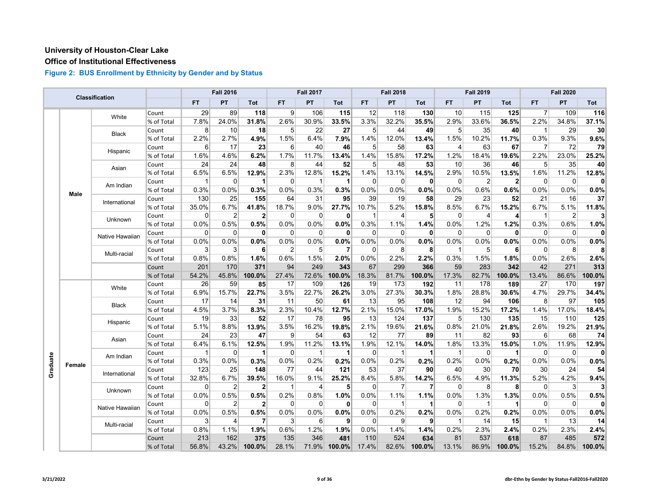# **Office of Institutional Effectiveness**

|  |                    | <b>Classification</b> |            |                         | <b>Fall 2016</b> |                |                | <b>Fall 2017</b>        |              |                | <b>Fall 2018</b> |              |                | <b>Fall 2019</b> |                |                | <b>Fall 2020</b> |          |
|--|--------------------|-----------------------|------------|-------------------------|------------------|----------------|----------------|-------------------------|--------------|----------------|------------------|--------------|----------------|------------------|----------------|----------------|------------------|----------|
|  |                    |                       |            | <b>FT</b>               | PT               | Tot            | FT.            | PT                      | Tot          | <b>FT</b>      | PT               | Tot          | FT.            | PT               | Tot            | FT.            | <b>PT</b>        | Tot      |
|  |                    | White                 | Count      | 29                      | 89               | 118            | $\overline{9}$ | 106                     | 115          | 12             | 118              | 130          | 10             | 115              | 125            | $\overline{7}$ | 109              | 116      |
|  |                    |                       | % of Total | 7.8%                    | 24.0%            | 31.8%          | 2.6%           | 30.9%                   | 33.5%        | 3.3%           | 32.2%            | 35.5%        | 2.9%           | 33.6%            | 36.5%          | 2.2%           | 34.8%            | 37.1%    |
|  |                    | <b>Black</b>          | Count      | 8                       | 10               | 18             | 5 <sup>1</sup> | 22                      | 27           | 5 <sup>5</sup> | 44               | 49           | 5              | 35               | 40             | $\mathbf{1}$   | 29               | 30       |
|  |                    |                       | % of Total | 2.2%                    | 2.7%             | 4.9%           | 1.5%           | 6.4%                    | 7.9%         | 1.4%           | 12.0%            | 13.4%        | 1.5%           | 10.2%            | 11.7%          | 0.3%           | 9.3%             | 9.6%     |
|  |                    |                       | Count      | 6                       | 17               | 23             | 6              | 40                      | 46           | 5              | 58               | 63           | $\overline{4}$ | 63               | 67             | $\overline{7}$ | 72               | 79       |
|  |                    | Hispanic              | % of Total | 1.6%                    | 4.6%             | 6.2%           | 1.7%           | 11.7%                   | 13.4%        | 1.4%           | 15.8%            | 17.2%        | 1.2%           | 18.4%            | 19.6%          | 2.2%           | 23.0%            | 25.2%    |
|  |                    |                       | Count      | 24                      | 24               | 48             | 8              | 44                      | 52           | 5              | 48               | 53           | 10             | 36               | 46             | 5              | 35               | 40       |
|  |                    | Asian                 | % of Total | 6.5%                    | 6.5%             | $12.9\%$       | 2.3%           | 12.8%                   | 15.2%        | 1.4%           | 13.1%            | 14.5%        | 2.9%           | 10.5%            | 13.5%          | 1.6%           | 11.2%            | 12.8%    |
|  |                    |                       | Count      | $\overline{\mathbf{1}}$ | $\Omega$         | $\mathbf 1$    | $\Omega$       | $\overline{1}$          | $\mathbf 1$  | $\Omega$       | $\mathbf{0}$     | $\mathbf{0}$ | $\mathbf 0$    | $\overline{c}$   | $\overline{2}$ | $\Omega$       | $\overline{0}$   | 0        |
|  |                    | Am Indian             | % of Total | 0.3%                    | 0.0%             | 0.3%           | 0.0%           | 0.3%                    | 0.3%         | 0.0%           | 0.0%             | 0.0%         | 0.0%           | 0.6%             | 0.6%           | 0.0%           | 0.0%             | 0.0%     |
|  | Male               |                       | Count      | 130                     | 25               | 155            | 64             | 31                      | 95           | 39             | 19               | 58           | 29             | 23               | 52             | 21             | 16               | 37       |
|  |                    | International         | % of Total | 35.0%                   | 6.7%             | 41.8%          | 18.7%          | 9.0%                    | 27.7%        | 10.7%          | 5.2%             | 15.8%        | 8.5%           | 6.7%             | 15.2%          | 6.7%           | 5.1%             | 11.8%    |
|  |                    | Unknown               | Count      | $\mathbf 0$             | $\overline{2}$   | $\overline{2}$ | $\Omega$       | $\Omega$                | 0            | 1              | $\overline{4}$   | 5            | $\mathbf 0$    | 4                | 4              | $\mathbf 1$    | $\overline{2}$   | 3        |
|  |                    |                       | % of Total | 0.0%                    | 0.5%             | 0.5%           | 0.0%           | 0.0%                    | 0.0%         | 0.3%           | 1.1%             | 1.4%         | 0.0%           | 1.2%             | 1.2%           | 0.3%           | 0.6%             | 1.0%     |
|  |                    |                       | Count      | 0                       | $\mathbf 0$      | $\mathbf{0}$   | $\mathbf 0$    | $\mathbf 0$             | $\mathbf 0$  | $\Omega$       | $\mathbf 0$      | $\mathbf{0}$ | $\mathbf 0$    | $\Omega$         | $\mathbf{0}$   | $\mathbf 0$    | 0                | $\Omega$ |
|  |                    | Native Hawaiian       | % of Total | 0.0%                    | 0.0%             | 0.0%           | 0.0%           | 0.0%                    | 0.0%         | 0.0%           | 0.0%             | 0.0%         | 0.0%           | 0.0%             | 0.0%           | 0.0%           | 0.0%             | 0.0%     |
|  |                    |                       | Count      | 3                       | 3                | 6              | 2              | 5                       | 7            | $\mathbf{0}$   | 8                | 8            | -1             | 5                | 6              | $\Omega$       | 8                | 8        |
|  |                    | Multi-racial          | % of Total | 0.8%                    | 0.8%             | 1.6%           | 0.6%           | 1.5%                    | 2.0%         | 0.0%           | 2.2%             | 2.2%         | 0.3%           | 1.5%             | 1.8%           | 0.0%           | 2.6%             | 2.6%     |
|  |                    | Count                 | 201        | 170                     | 371              | 94             | 249            | 343                     | 67           | 299            | 366              | 59           | 283            | 342              | 42             | 271            | 313              |          |
|  |                    |                       | % of Total | 54.2%                   | 45.8%            | 100.0%         | 27.4%          | 72.6%                   | 100.0%       | 18.3%          | 81.7%            | 100.0%       | 17.3%          | 82.7%            | 100.0%         | 13.4%          | 86.6%            | 100.0%   |
|  |                    |                       | Count      | 26                      | 59               | 85             | 17             | 109                     | 126          | 19             | 173              | 192          | 11             | 178              | 189            | 27             | 170              | 197      |
|  |                    | White                 | % of Total | 6.9%                    | 15.7%            | 22.7%          | 3.5%           | 22.7%                   | 26.2%        | 3.0%           | 27.3%            | 30.3%        | 1.8%           | 28.8%            | 30.6%          | 4.7%           | 29.7%            | 34.4%    |
|  |                    |                       | Count      | 17                      | 14               | 31             | 11             | 50                      | 61           | 13             | 95               | 108          | 12             | 94               | 106            | 8              | 97               | 105      |
|  |                    | <b>Black</b>          | % of Total | 4.5%                    | 3.7%             | 8.3%           | 2.3%           | 10.4%                   | 12.7%        | 2.1%           | 15.0%            | 17.0%        | 1.9%           | 15.2%            | 17.2%          | 1.4%           | 17.0%            | 18.4%    |
|  |                    |                       | Count      | 19                      | 33               | 52             | 17             | 78                      | 95           | 13             | 124              | 137          | 5              | 130              | 135            | 15             | 110              | 125      |
|  |                    | Hispanic              | % of Total | 5.1%                    | 8.8%             | 13.9%          | 3.5%           | 16.2%                   | 19.8%        | 2.1%           | 19.6%            | 21.6%        | 0.8%           | 21.0%            | 21.8%          | 2.6%           | 19.2%            | 21.9%    |
|  |                    |                       | Count      | 24                      | 23               | 47             | $\overline{9}$ | 54                      | 63           | 12             | 77               | 89           | 11             | 82               | 93             | 6              | 68               | 74       |
|  |                    | Asian                 | % of Total | 6.4%                    | 6.1%             | 12.5%          | 1.9%           | 11.2%                   | 13.1%        | 1.9%           | 12.1%            | 14.0%        | 1.8%           | 13.3%            | 15.0%          | 1.0%           | 11.9%            | 12.9%    |
|  |                    |                       | Count      | 1                       | 0                | 1              | $\Omega$       | $\overline{\mathbf{1}}$ | $\mathbf 1$  | $\Omega$       | 1                | 1            | $\overline{1}$ | 0                | 1              | $\mathbf 0$    | $\overline{0}$   | 0        |
|  |                    | Am Indian             | % of Total | 0.3%                    | 0.0%             | 0.3%           | 0.0%           | 0.2%                    | 0.2%         | 0.0%           | 0.2%             | 0.2%         | 0.2%           | 0.0%             | 0.2%           | 0.0%           | 0.0%             | 0.0%     |
|  |                    |                       | Count      | 123                     | 25               | 148            | 77             | 44                      | 121          | 53             | 37               | 90           | 40             | 30               | 70             | 30             | 24               | 54       |
|  | Graduate<br>Female | International         | % of Total | 32.8%                   | 6.7%             | 39.5%          | 16.0%          | 9.1%                    | 25.2%        | 8.4%           | 5.8%             | 14.2%        | 6.5%           | 4.9%             | 11.3%          | 5.2%           | 4.2%             | 9.4%     |
|  |                    |                       | Count      | $\mathbf 0$             | $\overline{2}$   | $\mathbf{2}$   | $\mathbf{1}$   | 4                       | 5            | $\Omega$       | 7                | 7            | $\mathbf 0$    | 8                | 8              | $\mathbf 0$    | $\mathbf{3}$     |          |
|  |                    | Unknown               | % of Total | 0.0%                    | 0.5%             | 0.5%           | 0.2%           | 0.8%                    | 1.0%         | 0.0%           | 1.1%             | 1.1%         | 0.0%           | 1.3%             | 1.3%           | 0.0%           | 0.5%             | 0.5%     |
|  |                    |                       | Count      | 0                       | $\overline{2}$   | 2 <sup>2</sup> | $\mathbf 0$    | $\mathbf 0$             | $\mathbf{0}$ | 0              | 1                | 1            | $\mathbf 0$    | 1                | 1              | $\mathbf 0$    | 0                | 0        |
|  |                    | Native Hawaiian       | % of Total | 0.0%                    | 0.5%             | $0.5\%$        | 0.0%           | 0.0%                    | 0.0%         | 0.0%           | 0.2%             | 0.2%         | 0.0%           | 0.2%             | 0.2%           | 0.0%           | 0.0%             | 0.0%     |
|  |                    |                       | Count      | 3                       | $\overline{4}$   | $\overline{7}$ | $\overline{3}$ | 6                       | 9            | $\Omega$       | 9                | 9            | $\mathbf{1}$   | 14               | 15             | $\mathbf{1}$   | 13               | 14       |
|  |                    | Multi-racial          | % of Total | 0.8%                    | 1.1%             | 1.9%           | 0.6%           | 1.2%                    | 1.9%         | 0.0%           | 1.4%             | 1.4%         | 0.2%           | 2.3%             | 2.4%           | 0.2%           | 2.3%             | 2.4%     |
|  |                    |                       | Count      | 213                     | 162              | 375            | 135            | 346                     | 481          | 110            | 524              | 634          | 81             | 537              | 618            | 87             | 485              | 572      |
|  |                    |                       | % of Total | 56.8%                   | 43.2%            | 100.0%         | 28.1%          | 71.9%                   | 100.0%       | 17.4%          | 82.6%            | 100.0%       | 13.1%          | 86.9%            | 100.0%         | 15.2%          | 84.8%            | 100.0%   |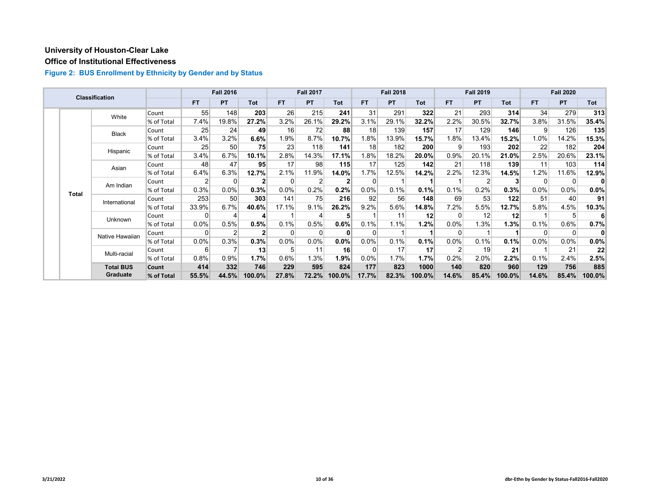# **Office of Institutional Effectiveness**

|  |              | <b>Classification</b> |            |           | <b>Fall 2016</b> |                 |           | <b>Fall 2017</b> |              |                 | <b>Fall 2018</b> |                   |           | <b>Fall 2019</b> |            |           | <b>Fall 2020</b> |            |
|--|--------------|-----------------------|------------|-----------|------------------|-----------------|-----------|------------------|--------------|-----------------|------------------|-------------------|-----------|------------------|------------|-----------|------------------|------------|
|  |              |                       |            | <b>FT</b> | <b>PT</b>        | <b>Tot</b>      | <b>FT</b> | <b>PT</b>        | Tot          | FT.             | <b>PT</b>        | Tot               | <b>FT</b> | <b>PT</b>        | <b>Tot</b> | <b>FT</b> | <b>PT</b>        | <b>Tot</b> |
|  |              | White                 | Count      | 55        | 148              | 203             | 26        | 215              | 241          | 31              | 291              | 322               | 21        | 293              | 314        | 34        | 279              | 313        |
|  |              |                       | % of Total | 7.4%      | 19.8%            | 27.2%           | 3.2%      | 26.1%            | 29.2%        | 3.1%            | 29.1%            | 32.2%             | 2.2%      | 30.5%            | 32.7%      | 3.8%      | 31.5%            | 35.4%      |
|  |              | <b>Black</b>          | Count      | 25        | 24               | 49              | 16        | 72               | 88           | 18              | 139              | 157               | 17        | 129              | 146        | 9         | 126              | 135        |
|  |              |                       | % of Total | 3.4%      | 3.2%             | 6.6%            | 1.9%      | 8.7%             | 10.7%        | 1.8%            | 13.9%            | 15.7%             | 1.8%      | 13.4%            | 15.2%      | 1.0%      | 14.2%            | 15.3%      |
|  |              | Hispanic              | Count      | 25        | 50               | 75              | 23        | 118              | 141          | 18 <sub>1</sub> | 182              | 200               | 9         | 193              | 202        | 22        | 182              | 204        |
|  |              |                       | % of Total | 3.4%      | 6.7%             | 10.1%           | 2.8%      | 14.3%            | 17.1%        | $ .8\% $        | 18.2%            | 20.0%             | 0.9%      | 20.1%            | 21.0%      | 2.5%      | 20.6%            | 23.1%      |
|  |              | Asian                 | Count      | 48        | 47               | 95 <sub>l</sub> | 17        | 98               | 115          | 17              | 125              | 142               | 21        | 118              | 139        | 11        | 103              | 114        |
|  |              |                       | % of Total | 6.4%      | 6.3%             | 12.7%           | 2.1%      | 11.9%            | 14.0%        | 1.7%            | 12.5%            | 14.2%             | 2.2%      | 12.3%            | 14.5%      | 1.2%      | 11.6%            | 12.9%      |
|  | <b>Total</b> | Am Indian             | Count      | 2         |                  | 2               | 0         |                  | $\mathbf{2}$ | 0               |                  |                   |           | 2                |            | $\Omega$  | 0                | 0          |
|  |              |                       | % of Total | 0.3%      | 0.0%             | 0.3%            | $0.0\%$   | 0.2%             | 0.2%         | $0.0\%$         | 0.1%             | 0.1%              | 0.1%      | 0.2%             | 0.3%       | $0.0\%$   | 0.0%             | $0.0\%$    |
|  |              | International         | Count      | 253       | 50               | 303             | 141       | 75               | 216          | 92              | 56               | 148               | 69        | 53               | 122        | 51        | 40               | 91         |
|  |              |                       | % of Total | 33.9%     | 6.7%             | 40.6%           | 17.1%     | 9.1%             | 26.2%        | 9.2%            | 5.6%             | 14.8%             | 7.2%      | 5.5%             | 12.7%      | 5.8%      | 4.5%             | 10.3%      |
|  |              | Unknown               | Count      | $\Omega$  |                  | 4               |           |                  | 5            |                 | 11               | $12 \overline{ }$ |           | 12               | 12         |           | 5                | -6⊾        |
|  |              |                       | % of Total | 0.0%      | 0.5%             | 0.5%            | 0.1%      | 0.5%             | 0.6%         | 0.1%            | 1.1%             | 1.2%              | 0.0%      | 1.3%             | 1.3%       | 0.1%      | 0.6%             | 0.7%       |
|  |              | Native Hawaiian       | Count      | $\Omega$  |                  |                 | $\Omega$  |                  | 0            | $\Omega$        |                  |                   | 0         |                  |            | $\Omega$  | 0                | 0          |
|  |              |                       | % of Total | 0.0%      | 0.3%             | 0.3%            | $0.0\%$   | 0.0%             | 0.0%         | 0.0%            | 0.1%             | 0.1%              | $0.0\%$   | 0.1%             | 0.1%       | $0.0\%$   | 0.0%             | $0.0\%$    |
|  |              | Multi-racial          | Count      | 6         |                  | 13              | 5         | 11               | 16           | $\Omega$        | 17               | 17                | C         | 19               | 21         |           | 21               | 22         |
|  |              |                       | % of Total | 0.8%      | 0.9%             | 1.7%            | 0.6%      | 1.3%             | 1.9%         | $0.0\%$         | 1.7%             | 1.7%              | 0.2%      | 2.0%             | 2.2%       | 0.1%      | 2.4%             | 2.5%       |
|  |              | <b>Total BUS</b>      | Count      | 414       | 332              | 746             | 229       | 595              | 824          | 177             | 823              | 1000              | 140       | 820              | 960        | 129       | 756              | 885        |
|  |              | <b>Graduate</b>       | % of Total | 55.5%     | 44.5%            | 100.0%          | 27.8%     | 72.2%            | 100.0%       | 17.7%           | 82.3%            | 100.0%            | 14.6%     | 85.4%            | 100.0%     | 14.6%     | 85.4%            | 100.0%     |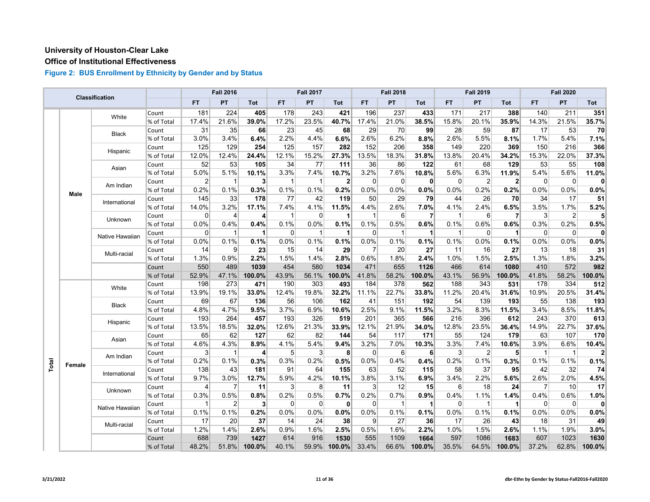# **Office of Institutional Effectiveness**

|       |        | <b>Classification</b> |            |                | <b>Fall 2016</b> |                |              | <b>Fall 2017</b>        |              |             | <b>Fall 2018</b> |                      |                | <b>Fall 2019</b> |                |             | <b>Fall 2020</b> |          |
|-------|--------|-----------------------|------------|----------------|------------------|----------------|--------------|-------------------------|--------------|-------------|------------------|----------------------|----------------|------------------|----------------|-------------|------------------|----------|
|       |        |                       |            | <b>FT</b>      | PT               | Tot            | FT.          | PT                      | Tot          | <b>FT</b>   | PT               | Tot                  | <b>FT</b>      | PT               | Tot            | FT.         | PT               | Tot      |
|       |        | White                 | Count      | 181            | 224              | 405            | 178          | 243                     | 421          | 196         | 237              | 433                  | 171            | 217              | 388            | 140         | 211              | 351      |
|       |        |                       | % of Total | 17.4%          | 21.6%            | 39.0%          | 17.2%        | 23.5%                   | 40.7%        | 17.4%       | 21.0%            | 38.5%                | 15.8%          | 20.1%            | 35.9%          | 14.3%       | 21.5%            | 35.7%    |
|       |        | <b>Black</b>          | Count      | 31             | 35               | 66             | 23           | 45                      | 68           | 29          | 70               | 99                   | 28             | 59               | 87             | 17          | 53               | 70       |
|       |        |                       | % of Total | 3.0%           | 3.4%             | 6.4%           | 2.2%         | 4.4%                    | 6.6%         | 2.6%        | 6.2%             | 8.8%                 | 2.6%           | 5.5%             | 8.1%           | 1.7%        | 5.4%             | 7.1%     |
|       |        | Hispanic              | Count      | 125            | 129              | 254            | 125          | 157                     | 282          | 152         | 206              | 358                  | 149            | 220              | 369            | 150         | 216              | 366      |
|       |        |                       | % of Total | 12.0%          | 12.4%            | 24.4%          | 12.1%        | 15.2%                   | 27.3%        | 13.5%       | 18.3%            | 31.8%                | 13.8%          | 20.4%            | 34.2%          | 15.3%       | 22.0%            | 37.3%    |
|       |        | Asian                 | Count      | 52             | 53               | 105            | 34           | 77                      | 111          | 36          | 86               | 122                  | 61             | 68               | 129            | 53          | 55               | 108      |
|       |        |                       | % of Total | 5.0%           | 5.1%             | 10.1%          | 3.3%         | 7.4%                    | 10.7%        | 3.2%        | 7.6%             | 10.8%                | 5.6%           | 6.3%             | 11.9%          | 5.4%        | 5.6%             | 11.0%    |
|       |        | Am Indian             | Count      | $\overline{2}$ | 1                | 3              | $\mathbf{1}$ | $\overline{\mathbf{1}}$ | $\mathbf{2}$ | $\Omega$    | $\mathbf 0$      | $\mathbf{0}$         | $\mathbf 0$    | $\overline{2}$   | $\overline{2}$ | 0           | 0                | 0        |
|       | Male   |                       | % of Total | 0.2%           | 0.1%             | 0.3%           | 0.1%         | 0.1%                    | 0.2%         | 0.0%        | 0.0%             | 0.0%                 | 0.0%           | 0.2%             | 0.2%           | 0.0%        | 0.0%             | 0.0%     |
|       |        | International         | Count      | 145            | 33               | 178            | 77           | 42                      | 119          | 50          | 29               | 79                   | 44             | 26               | 70             | 34          | 17               | 51       |
|       |        |                       | % of Total | 14.0%          | 3.2%             | 17.1%          | 7.4%         | 4.1%                    | 11.5%        | 4.4%        | 2.6%             | 7.0%                 | 4.1%           | 2.4%             | 6.5%           | 3.5%        | 1.7%             | 5.2%     |
|       |        | Unknown               | Count      | 0              | 4                | 4              | 1            | 0                       | 1            | 1           | 6                | 7                    | $\overline{1}$ | 6                | $\overline{7}$ | 3           | 2                |          |
|       |        |                       | % of Total | 0.0%           | 0.4%             | 0.4%           | 0.1%         | 0.0%                    | 0.1%         | 0.1%        | 0.5%             | 0.6%                 | 0.1%           | 0.6%             | 0.6%           | 0.3%        | 0.2%             | 0.5%     |
|       |        | Native Hawaiian       | Count      | 0              | $\mathbf 1$      | 1              | 0            | $\overline{1}$          | 1            | $\Omega$    | $\mathbf 1$      | 1                    | $\overline{1}$ | $\mathbf 0$      | 1              | $\mathbf 0$ | 0                | $\Omega$ |
|       |        |                       | % of Total | 0.0%           | 0.1%             | 0.1%           | 0.0%         | 0.1%                    | 0.1%         | 0.0%        | 0.1%             | 0.1%                 | 0.1%           | 0.0%             | 0.1%           | 0.0%        | 0.0%             | 0.0%     |
|       |        |                       | Count      | 14             | 9                | 23             | 15           | 14                      | 29           | 7           | 20               | 27                   | 11             | 16               | 27             | 13          | 18               | 31       |
|       |        | Multi-racial          | % of Total | 1.3%           | 0.9%             | 2.2%           | 1.5%         | 1.4%                    | 2.8%         | 0.6%        | 1.8%             | 2.4%                 | 1.0%           | 1.5%             | 2.5%           | 1.3%        | 1.8%             | 3.2%     |
|       |        |                       | Count      | 550            | 489              | 1039           | 454          | 580                     | 1034         | 471         | 655              | 1126                 | 466            | 614              | 1080           | 410         | 572              | 982      |
|       |        |                       | % of Total | 52.9%          | 47.1%            | 100.0%         | 43.9%        | 56.1%                   | 100.0%       | 41.8%       | 58.2%            | 100.0%               | 43.1%          | 56.9%            | 100.0%         | 41.8%       | 58.2%            | 100.0%   |
|       |        |                       | Count      | 198            | 273              | 471            | 190          | 303                     | 493          | 184         | 378              | 562                  | 188            | 343              | 531            | 178         | 334              | 512      |
|       |        | White                 | % of Total | 13.9%          | 19.1%            | 33.0%          | 12.4%        | 19.8%                   | 32.2%        | 11.1%       | 22.7%            | 33.8%                | 11.2%          | 20.4%            | 31.6%          | 10.9%       | 20.5%            | 31.4%    |
|       |        |                       | Count      | 69             | 67               | 136            | 56           | 106                     | 162          | 41          | 151              | 192                  | 54             | 139              | 193            | 55          | 138              | 193      |
|       |        | <b>Black</b>          | % of Total | 4.8%           | 4.7%             | 9.5%           | 3.7%         | 6.9%                    | 10.6%        | 2.5%        | 9.1%             | 11.5%                | 3.2%           | 8.3%             | 11.5%          | 3.4%        | 8.5%             | 11.8%    |
|       |        |                       | Count      | 193            | 264              | 457            | 193          | 326                     | 519          | 201         | 365              | 566                  | 216            | 396              | 612            | 243         | 370              | 613      |
|       |        | Hispanic              | % of Total | 13.5%          | 18.5%            | 32.0%          | 12.6%        | 21.3%                   | 33.9%        | 12.1%       | 21.9%            | 34.0%                | 12.8%          | 23.5%            | 36.4%          | 14.9%       | 22.7%            | 37.6%    |
|       |        |                       | Count      | 65             | 62               | 127            | 62           | 82                      | 144          | 54          | 117              | 171                  | 55             | 124              | 179            | 63          | 107              | 170      |
|       |        | Asian                 | % of Total | 4.6%           | 4.3%             | 8.9%           | 4.1%         | 5.4%                    | 9.4%         | 3.2%        | 7.0%             | 10.3%                | 3.3%           | 7.4%             | 10.6%          | 3.9%        | 6.6%             | 10.4%    |
|       |        |                       | Count      | 3              | 1                | 4              | 5            | 3                       | 8            | $\Omega$    | 6                | 6                    | 3              | $\overline{2}$   | 5              | -1          | $\mathbf{1}$     | 2        |
|       |        | Am Indian             | % of Total | 0.2%           | 0.1%             | 0.3%           | 0.3%         | 0.2%                    | 0.5%         | 0.0%        | 0.4%             | 0.4%                 | 0.2%           | 0.1%             | 0.3%           | 0.1%        | 0.1%             | 0.1%     |
| Total | Female |                       | Count      | 138            | 43               | 181            | 91           | 64                      | 155          | 63          | 52               | 115                  | 58             | 37               | 95             | 42          | 32               | 74       |
|       |        | International         | % of Total | 9.7%           | 3.0%             | 12.7%          | 5.9%         | 4.2%                    | 10.1%        | 3.8%        | 3.1%             | 6.9%                 | 3.4%           | 2.2%             | 5.6%           | 2.6%        | 2.0%             | 4.5%     |
|       |        |                       | Count      | 4              | 7                | 11             | 3            | 8                       | 11           | 3           | 12               | 15                   | 6              | 18               | 24             | 7           | 10 <sup>1</sup>  | 17       |
|       |        | Unknown               | % of Total | 0.3%           | 0.5%             | 0.8%           | 0.2%         | 0.5%                    | 0.7%         | 0.2%        | 0.7%             | 0.9%                 | 0.4%           | 1.1%             | 1.4%           | 0.4%        | 0.6%             | 1.0%     |
|       |        |                       | Count      | $\mathbf{1}$   | $\overline{2}$   | 3 <sup>1</sup> | 0            | $\mathbf 0$             | $\mathbf{0}$ | $\mathbf 0$ | $\mathbf{1}$     | $\blacktriangleleft$ | $\overline{0}$ | $\mathbf{1}$     | 1              | $\mathbf 0$ | $\overline{0}$   | $\Omega$ |
|       |        | Native Hawaiian       | % of Total | 0.1%           | 0.1%             | 0.2%           | 0.0%         | 0.0%                    | 0.0%         | 0.0%        | 0.1%             | 0.1%                 | 0.0%           | 0.1%             | 0.1%           | 0.0%        | 0.0%             | 0.0%     |
|       |        |                       | Count      | 17             | 20               | 37             | 14           | 24                      | 38           | 9           | 27               | 36                   | 17             | 26               | 43             | 18          | 31               | 49       |
|       |        | Multi-racial          | % of Total | 1.2%           | 1.4%             | 2.6%           | 0.9%         | 1.6%                    | 2.5%         | 0.5%        | 1.6%             | 2.2%                 | 1.0%           | 1.5%             | 2.6%           | 1.1%        | 1.9%             | 3.0%     |
|       |        |                       | Count      | 688            | 739              | 1427           | 614          | 916                     | 1530         | 555         | 1109             | 1664                 | 597            | 1086             | 1683           | 607         | 1023             | 1630     |
|       |        |                       | % of Total | 48.2%          | 51.8%            | 100.0%         | 40.1%        | 59.9%                   | 100.0%       | 33.4%       | 66.6%            | 100.0%               | 35.5%          | 64.5%            | 100.0%         | 37.2%       | 62.8%            | 100.0%   |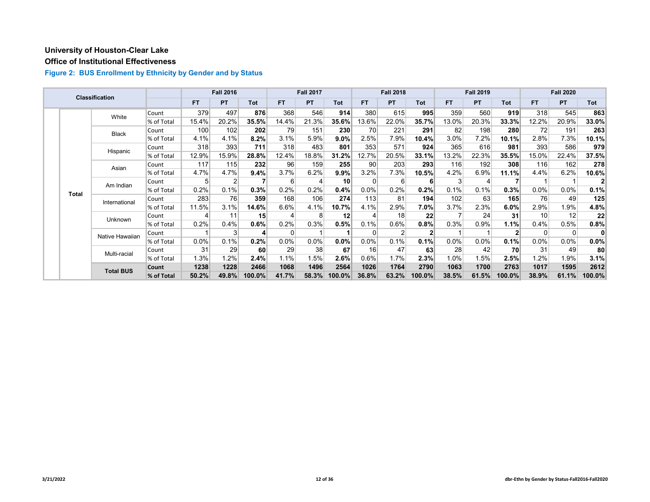# **Office of Institutional Effectiveness**

|  |                                    | <b>Classification</b> |            |           | <b>Fall 2016</b> |            |       | <b>Fall 2017</b> |                 |           | <b>Fall 2018</b> |         |           | <b>Fall 2019</b> |            |          | <b>Fall 2020</b> |        |
|--|------------------------------------|-----------------------|------------|-----------|------------------|------------|-------|------------------|-----------------|-----------|------------------|---------|-----------|------------------|------------|----------|------------------|--------|
|  |                                    |                       |            | <b>FT</b> | <b>PT</b>        | <b>Tot</b> | FT.   | <b>PT</b>        | <b>Tot</b>      | <b>FT</b> | <b>PT</b>        | Tot     | <b>FT</b> | <b>PT</b>        | <b>Tot</b> | FT.      | <b>PT</b>        | Tot    |
|  |                                    | White                 | Count      | 379       | 497              | 876        | 368   | 546              | 914             | 380       | 615              | 995     | 359       | 560              | 919        | 318      | 545              | 863    |
|  |                                    |                       | % of Total | 15.4%     | 20.2%            | 35.5%      | 14.4% | 21.3%            | 35.6%           | 13.6%     | 22.0%            | 35.7%   | 13.0%     | 20.3%            | 33.3%      | 12.2%    | 20.9%            | 33.0%  |
|  |                                    | <b>Black</b>          | Count      | 100       | 102              | 202        | 79    | 151              | 230             | 70        | 221              | 291     | 82        | 198              | 280        | 72       | 191              | 263    |
|  |                                    |                       | % of Total | 4.1%      | 4.1%             | 8.2%       | 3.1%  | 5.9%             | 9.0%            | 2.5%      | 7.9%             | 10.4%   | 3.0%      | 7.2%             | 10.1%      | 2.8%     | 7.3%             | 10.1%  |
|  |                                    | Hispanic              | Count      | 318       | 393              | 711        | 318   | 483              | 801             | 353       | 571              | 924     | 365       | 616              | 981        | 393      | 586              | 979    |
|  |                                    |                       | % of Total | 12.9%     | 15.9%            | 28.8%      | 12.4% | 18.8%            | 31.2%           | 12.7%     | 20.5%            | 33.1%   | 13.2%     | 22.3%            | 35.5%      | 15.0%    | 22.4%            | 37.5%  |
|  | Asian<br>Am Indian<br><b>Total</b> |                       | Count      | 117       | 115              | 232        | 96    | 159              | 255             | 90        | 203              | 293     | 116       | 192              | 308        | 116      | 162              | 278    |
|  |                                    |                       | % of Total | 4.7%      | 4.7%             | 9.4%       | 3.7%  | 6.2%             | $9.9\%$         | 3.2%      | 7.3%             | 10.5%   | 4.2%      | 6.9%             | 11.1%      | 4.4%     | 6.2%             | 10.6%  |
|  |                                    |                       | Count      | 5         | 2                |            | 6     | 4                | 10 <sup>1</sup> |           | 6                | ĥ       | 3         | 4                |            |          |                  |        |
|  |                                    |                       | % of Total | 0.2%      | 0.1%             | 0.3%       | 0.2%  | 0.2%             | 0.4%            | 0.0%      | 0.2%             | 0.2%    | 0.1%      | 0.1%             | 0.3%       | 0.0%     | $0.0\%$          | 0.1%   |
|  |                                    | International         | Count      | 283       | 76               | 359        | 168   | 106              | 274             | 113       | 81               | 194     | 102       | 63               | 165        | 76       | 49               | 125    |
|  |                                    |                       | % of Total | 11.5%     | 3.1%             | 14.6%      | 6.6%  | 4.1%             | 10.7%           | 4.1%      | 2.9%             | $7.0\%$ | 3.7%      | 2.3%             | 6.0%       | 2.9%     | 1.9%             | 4.8%   |
|  |                                    | Unknown               | Count      |           | 11               | 15         | Δ     | 8                | 12              |           | 18               | 22      |           | 24               | 31         | 10       | 12               | 22     |
|  |                                    |                       | % of Total | 0.2%      | 0.4%             | 0.6%       | 0.2%  | 0.3%             | 0.5%            | 0.1%      | 0.6%             | 0.8%    | 0.3%      | 0.9%             | 1.1%       | 0.4%     | 0.5%             | 0.8%   |
|  |                                    | Native Hawaiian       | Count      |           | 3                | Δ          | 0     |                  |                 |           | 2                |         |           |                  |            | $\Omega$ | $\overline{0}$   | 0      |
|  |                                    |                       | % of Total | 0.0%      | 0.1%             | 0.2%       | 0.0%  | 0.0%             | 0.0%            | 0.0%      | 0.1%             | 0.1%    | 0.0%      | 0.0%             | 0.1%       | 0.0%     | $0.0\%$          | 0.0%   |
|  |                                    | Multi-racial          | Count      | 31        | 29               | 60         | 29    | 38               | 67              | 16        | 47               | 63      | 28        | 42               | 70         | 31       | 49               | 80     |
|  |                                    |                       | % of Total | 1.3%      | 1.2%             | 2.4%       | 1.1%  | 1.5%             | 2.6%            | 0.6%      | 1.7%             | 2.3%    | 1.0%      | 1.5%             | 2.5%       | 1.2%     | $1.9\%$          | 3.1%   |
|  |                                    | <b>Total BUS</b>      | Count      | 1238      | 1228             | 2466       | 1068  | 1496             | 2564            | 1026      | 1764             | 2790    | 1063      | 1700             | 2763       | 1017     | 1595             | 2612   |
|  |                                    |                       | % of Total | 50.2%     | 49.8%            | 100.0%     | 41.7% | 58.3%            | $100.0\%$       | 36.8%     | 63.2%            | 100.0%  | 38.5%     | 61.5%            | 100.0%     | 38.9%    | 61.1%            | 100.0% |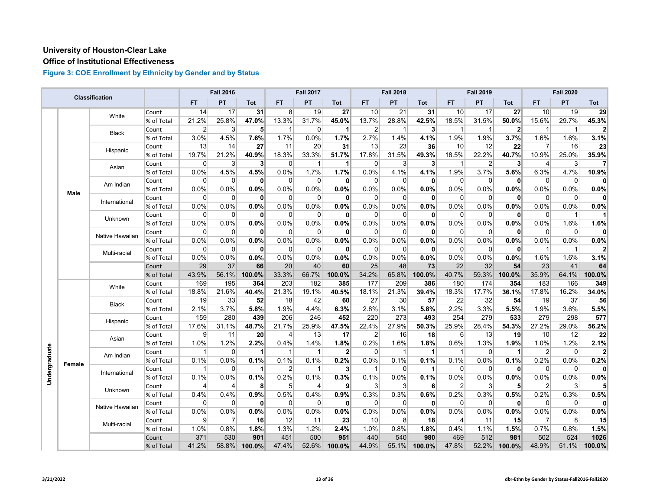# **Office of Institutional Effectiveness**

|               |             | Classification  |            |             | <b>Fall 2016</b> |                      |                | <b>Fall 2017</b> |                |                 | <b>Fall 2018</b> |              |             | <b>Fall 2019</b> |              |                | <b>Fall 2020</b> |        |
|---------------|-------------|-----------------|------------|-------------|------------------|----------------------|----------------|------------------|----------------|-----------------|------------------|--------------|-------------|------------------|--------------|----------------|------------------|--------|
|               |             |                 |            | <b>FT</b>   | PT               | Tot                  | FT.            | PT               | Tot            | FT              | PT               | Tot          | <b>FT</b>   | PT               | Tot          | FT             | PT               | Tot    |
|               |             | White           | Count      | 14          | 17               | 31                   | 8 <sup>1</sup> | 19               | 27             | 10 <sup>1</sup> | 21               | 31           | 10          | 17               | 27           | 10             | 19               | 29     |
|               |             |                 | % of Total | 21.2%       | 25.8%            | 47.0%                | 13.3%          | 31.7%            | 45.0%          | 13.7%           | 28.8%            | 42.5%        | 18.5%       | 31.5%            | 50.0%        | 15.6%          | 29.7%            | 45.3%  |
|               |             | <b>Black</b>    | Count      | 2           | 3                | 5                    | $\mathbf 1$    | 0                | -1             | $\overline{2}$  | 1                | 3            | -1          | 1                | $\mathbf{2}$ | -1             | $\mathbf 1$      |        |
|               |             |                 | % of Total | 3.0%        | 4.5%             | 7.6%                 | 1.7%           | 0.0%             | 1.7%           | 2.7%            | 1.4%             | 4.1%         | 1.9%        | 1.9%             | 3.7%         | 1.6%           | 1.6%             | 3.1%   |
|               |             | Hispanic        | Count      | 13          | 14               | 27                   | 11             | 20               | 31             | 13              | 23               | 36           | 10          | 12               | 22           | $\overline{7}$ | 16               | 23     |
|               |             |                 | % of Total | 19.7%       | 21.2%            | 40.9%                | 18.3%          | 33.3%            | 51.7%          | 17.8%           | 31.5%            | 49.3%        | 18.5%       | 22.2%            | 40.7%        | 10.9%          | 25.0%            | 35.9%  |
|               |             | Asian           | Count      | 0           | 3                | 3                    | $\overline{0}$ | $\mathbf 1$      | -1             | $\overline{0}$  | 3                | 3            | -1          | $\overline{2}$   | 3            | 4              | 3                |        |
|               |             |                 | % of Total | 0.0%        | 4.5%             | 4.5%                 | 0.0%           | 1.7%             | 1.7%           | 0.0%            | 4.1%             | 4.1%         | 1.9%        | 3.7%             | 5.6%         | 6.3%           | 4.7%             | 10.9%  |
|               |             | Am Indian       | Count      | 0           | 0                | $\mathbf{0}$         | 0              | 0                | 0              | $\overline{0}$  | $\Omega$         | 0            | 0           | 0                | 0            | $\overline{0}$ | 0                | ŋ      |
|               | <b>Male</b> |                 | % of Total | 0.0%        | 0.0%             | 0.0%                 | 0.0%           | 0.0%             | 0.0%           | 0.0%            | 0.0%             | 0.0%         | 0.0%        | 0.0%             | 0.0%         | 0.0%           | 0.0%             | 0.0%   |
|               |             | International   | Count      | 0           | 0                | $\mathbf{0}$         | $\overline{0}$ | 0                | $\mathbf{0}$   | $\overline{0}$  | $\Omega$         | $\mathbf{0}$ | 0           | 0                | 0            | $\overline{0}$ | 0                | O      |
|               |             |                 | % of Total | 0.0%        | 0.0%             | 0.0%                 | 0.0%           | 0.0%             | 0.0%           | 0.0%            | 0.0%             | 0.0%         | 0.0%        | 0.0%             | 0.0%         | 0.0%           | 0.0%             | 0.0%   |
|               |             | Unknown         | Count      | 0           | 0                | $\mathbf{0}$         | $\overline{0}$ | $\mathbf 0$      | $\mathbf{0}$   | $\overline{0}$  | $\Omega$         | 0            | $\Omega$    | 0                | 0            | $\Omega$       | $\mathbf{1}$     |        |
|               |             |                 | % of Total | 0.0%        | 0.0%             | 0.0%                 | 0.0%           | 0.0%             | 0.0%           | 0.0%            | 0.0%             | 0.0%         | 0.0%        | 0.0%             | 0.0%         | 0.0%           | 1.6%             | 1.6%   |
|               |             | Native Hawaiian | Count      | $\Omega$    | $\Omega$         | $\mathbf{0}$         | $\Omega$       | $\mathbf 0$      | $\mathbf{0}$   | $\Omega$        | $\Omega$         | 0            | $\Omega$    | $\Omega$         | 0            | $\Omega$       | $\Omega$         | 0      |
|               |             |                 | % of Total | 0.0%        | 0.0%             | 0.0%                 | 0.0%           | 0.0%             | 0.0%           | 0.0%            | 0.0%             | 0.0%         | 0.0%        | 0.0%             | 0.0%         | 0.0%           | 0.0%             | 0.0%   |
|               |             | Multi-racial    | Count      | $\Omega$    | 0                | $\mathbf{0}$         | $\Omega$       | 0                | $\mathbf{0}$   | $\Omega$        | $\Omega$         | 0            | $\Omega$    | 0                | $\mathbf{0}$ | $\overline{1}$ | $\mathbf 1$      |        |
|               |             |                 | % of Total | 0.0%        | 0.0%             | 0.0%                 | 0.0%           | 0.0%             | 0.0%           | 0.0%            | 0.0%             | 0.0%         | 0.0%        | 0.0%             | 0.0%         | 1.6%           | 1.6%             | 3.1%   |
|               |             |                 | Count      | 29          | 37               | 66                   | 20             | 40               | 60             | 25              | 48               | 73           | 22          | 32               | 54           | 23             | 41               | 64     |
|               |             |                 | % of Total | 43.9%       | 56.1%            | 100.0%               | 33.3%          | 66.7%            | 100.0%         | 34.2%           | 65.8%            | 100.0%       | 40.7%       | 59.3%            | 100.0%       | 35.9%          | 64.1%            | 100.0% |
|               |             | White           | Count      | 169         | 195              | 364                  | 203            | 182              | 385            | 177             | 209              | 386          | 180         | 174              | 354          | 183            | 166              | 349    |
|               |             |                 | % of Total | 18.8%       | 21.6%            | 40.4%                | 21.3%          | 19.1%            | 40.5%          | 18.1%           | 21.3%            | 39.4%        | 18.3%       | 17.7%            | 36.1%        | 17.8%          | 16.2%            | 34.0%  |
|               |             | <b>Black</b>    | Count      | 19          | 33               | 52                   | 18             | 42               | 60             | 27              | 30               | 57           | 22          | 32               | 54           | 19             | 37               | 56     |
|               |             |                 | % of Total | 2.1%        | 3.7%             | 5.8%                 | 1.9%           | 4.4%             | 6.3%           | 2.8%            | 3.1%             | 5.8%         | 2.2%        | 3.3%             | 5.5%         | 1.9%           | 3.6%             | 5.5%   |
|               |             | Hispanic        | Count      | 159         | 280              | 439                  | 206            | 246              | 452            | 220             | 273              | 493          | 254         | 279              | 533          | 279            | 298              | 577    |
|               |             |                 | % of Total | 17.6%       | 31.1%            | 48.7%                | 21.7%          | 25.9%            | 47.5%          | 22.4%           | 27.9%            | 50.3%        | 25.9%       | 28.4%            | 54.3%        | 27.2%          | 29.0%            | 56.2%  |
|               |             | Asian           | Count      | 9           | 11               | 20                   | $\overline{4}$ | 13               | 17             | $\overline{2}$  | 16               | 18           | 6           | 13               | 19           | 10             | 12               | 22     |
|               |             |                 | % of Total | 1.0%        | 1.2%             | 2.2%                 | 0.4%           | 1.4%             | 1.8%           | 0.2%            | 1.6%             | 1.8%         | 0.6%        | 1.3%             | 1.9%         | 1.0%           | 1.2%             | 2.1%   |
| Undergraduate |             | Am Indian       | Count      | 1           | $\Omega$         | 1                    | $\mathbf 1$    | $\overline{1}$   | $\overline{2}$ | 0               | -1               | 1            | 1           | 0                | 1            | 2              | $\Omega$         |        |
|               | Female      |                 | % of Total | 0.1%        | 0.0%             | 0.1%                 | 0.1%           | 0.1%             | 0.2%           | 0.0%            | 0.1%             | 0.1%         | 0.1%        | 0.0%             | 0.1%         | 0.2%           | 0.0%             | 0.2%   |
|               |             | International   | Count      | 1           | $\Omega$         | $\blacktriangleleft$ | $\overline{2}$ | $\mathbf{1}$     | $\mathbf{3}$   | $\mathbf 1$     | $\Omega$         | 1            | $\Omega$    | 0                | 0            | $\Omega$       | $\Omega$         | 0      |
|               |             |                 | % of Total | 0.1%        | 0.0%             | 0.1%                 | 0.2%           | 0.1%             | 0.3%           | 0.1%            | 0.0%             | 0.1%         | $0.0\%$     | 0.0%             | 0.0%         | 0.0%           | 0.0%             | 0.0%   |
|               |             | Unknown         | Count      | 4           | 4                | 8                    | 5 <sup>5</sup> | 4                | 9              | $\mathbf{3}$    | 3                | 6            | 2           | 3                | 5            | $\overline{2}$ | 3                |        |
|               |             |                 | % of Total | 0.4%        | 0.4%             | 0.9%                 | 0.5%           | 0.4%             | 0.9%           | 0.3%            | 0.3%             | 0.6%         | 0.2%        | 0.3%             | 0.5%         | 0.2%           | 0.3%             | 0.5%   |
|               |             | Native Hawaiian | Count      | $\mathbf 0$ | $\mathbf 0$      | $\mathbf{0}$         | $\overline{0}$ | 0                | 0              | $\overline{0}$  | $\overline{0}$   | 0            | $\mathbf 0$ | 0                | $\mathbf{0}$ | $\overline{0}$ | $\mathbf 0$      |        |
|               |             |                 | % of Total | 0.0%        | 0.0%             | 0.0%                 | $0.0\%$        | 0.0%             | 0.0%           | 0.0%            | 0.0%             | 0.0%         | 0.0%        | 0.0%             | 0.0%         | 0.0%           | 0.0%             | 0.0%   |
|               |             | Multi-racial    | Count      | 9           | $\overline{7}$   | 16                   | 12             | 11               | 23             | 10              | 8                | 18           | 4           | 11               | 15           | $\overline{7}$ | 8                | 15     |
|               |             |                 | % of Total | 1.0%        | 0.8%             | 1.8%                 | 1.3%           | 1.2%             | 2.4%           | 1.0%            | 0.8%             | 1.8%         | 0.4%        | 1.1%             | 1.5%         | 0.7%           | 0.8%             | 1.5%   |
|               |             |                 | Count      | 371         | 530              | 901                  | 451            | 500              | 951            | 440             | 540              | 980          | 469         | 512              | 981          | 502            | 524              | 1026   |
|               |             |                 | % of Total | 41.2%       | 58.8%            | $100.0\%$            | 47.4%          | 52.6%            | 100.0%         | 44.9%           | 55.1%            | 100.0%       | 47.8%       | 52.2%            | 100.0%       | 48.9%          | 51.1%            | 100.0% |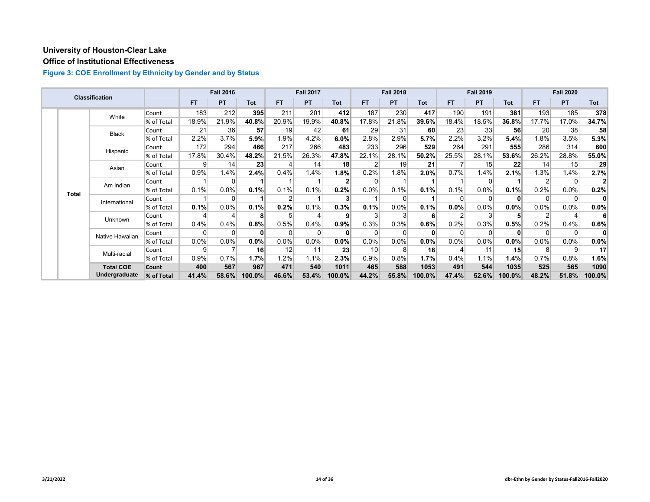# **Office of Institutional Effectiveness**

|  |              | Classification   |            |           | <b>Fall 2016</b> |              |               | <b>Fall 2017</b> |                 |       | <b>Fall 2018</b> |            |         | <b>Fall 2019</b> |              |           | <b>Fall 2020</b> |                 |
|--|--------------|------------------|------------|-----------|------------------|--------------|---------------|------------------|-----------------|-------|------------------|------------|---------|------------------|--------------|-----------|------------------|-----------------|
|  |              |                  |            | <b>FT</b> | <b>PT</b>        | <b>Tot</b>   | <b>FT</b>     | <b>PT</b>        | Tot             | FT.   | <b>PT</b>        | <b>Tot</b> | FT.     | <b>PT</b>        | <b>Tot</b>   | <b>FT</b> | <b>PT</b>        | Tot             |
|  |              | White            | Count      | 183       | 212              | 395          | 211           | 201              | 412             | 187   | 230              | 417        | 190     | 191              | 381          | 193       | 185              | 378             |
|  |              |                  | % of Total | 18.9%     | 21.9%            | 40.8%        | 20.9%         | 19.9%            | 40.8%           | 17.8% | 21.8%            | 39.6%      | 18.4%   | 18.5%            | 36.8%        | 17.7%     | 17.0%            | 34.7%           |
|  |              | Black            | Count      | 21        | 36               | 57           | 19            | 42               | 61              | 29    | 31               | 60         | 23      | 33               | 56           | 20        | 38               | 58              |
|  |              |                  | % of Total | 2.2%      | 3.7%             | 5.9%         | 1.9%          | 4.2%             | 6.0%            | 2.8%  | 2.9%             | 5.7%       | 2.2%    | 3.2%             | 5.4%         | 1.8%      | 3.5%             | 5.3%            |
|  |              | Hispanic         | Count      | 172       | 294              | 466          | 217           | 266              | 483             | 233   | 296              | 529        | 264     | 291              | 555          | 286       | 314              | 600             |
|  |              |                  | % of Total | 17.8%     | 30.4%            | 48.2%        | 21.5%         | 26.3%            | 47.8%           | 22.1% | 28.1%            | 50.2%      | 25.5%   | 28.1%            | 53.6%        | 26.2%     | 28.8%            | 55.0%           |
|  | Asian        |                  | Count      | 9         | 14               | 23           |               | 14               | 18 <sup>l</sup> |       | 19               | 21         |         | 15               | 22           | 14        | 15               | 29              |
|  |              |                  | % of Total | 0.9%      | 1.4%             | 2.4%         | 0.4%          | 1.4%             | 1.8%            | 0.2%  | 1.8%             | 2.0%       | 0.7%    | 1.4%             | 2.1%         | 1.3%      | 1.4%             | 2.7%            |
|  | <b>Total</b> | Am Indian        | Count      |           | 0                |              |               |                  |                 |       |                  |            |         | $\Omega$         |              |           | 0                |                 |
|  |              |                  | % of Total | 0.1%      | 0.0%             | 0.1%         | 0.1%          | 0.1%             | 0.2%            | 0.0%  | 0.1%             | 0.1%       | 0.1%    | 0.0%             | 0.1%         | 0.2%      | 0.0%             | 0.2%            |
|  |              | International    | Count      |           | $\Omega$         |              | $\mathcal{P}$ |                  |                 |       |                  |            |         | $\Omega$         | $\mathbf{0}$ | $\Omega$  | 0                | $\mathbf{0}$    |
|  |              |                  | % of Total | 0.1%      | 0.0%             | 0.1%         | 0.2%          | 0.1%             | 0.3%            | 0.1%  | 0.0%             | 0.1%       | $0.0\%$ | $0.0\%$          | $0.0\%$      | $0.0\%$   | $0.0\%$          | 0.0%            |
|  |              | Unknown          | Count      |           |                  | 8            |               | 4                |                 |       |                  | 61         |         | 3                | 5            |           | 4                | 6               |
|  |              |                  | % of Total | 0.4%      | 0.4%             | 0.8%         | 0.5%          | 0.4%             | 0.9%            | 0.3%  | 0.3%             | 0.6%       | 0.2%    | 0.3%             | 0.5%         | 0.2%      | 0.4%             | 0.6%            |
|  |              | Native Hawaiian  | Count      | 0         | 0                | $\mathbf{0}$ | $\Omega$      | 0                |                 | 0     |                  | 0          |         | $\Omega$         | $\mathbf{0}$ | $\Omega$  | 0                | 0               |
|  |              |                  | % of Total | 0.0%      | 0.0%             | $0.0\%$      | $0.0\%$       | 0.0%             | 0.0%            | 0.0%  | 0.0%             | 0.0%       | 0.0%    | $0.0\%$          | $0.0\%$      | $0.0\%$   | $0.0\%$          | 0.0%            |
|  |              | Multi-racial     | Count      | 9         |                  | 16           | 12            | 11               | 23              | 10    |                  | 18         |         | 11               | 15           | 8         | 9                | 17 <sup>2</sup> |
|  |              |                  | % of Total | 0.9%      | 0.7%             | 1.7%         | 1.2%          | 1.1%             | 2.3%            | 0.9%  | 0.8%             | 1.7%       | 0.4%    | 1.1%             | 1.4%         | 0.7%      | 0.8%             | 1.6%            |
|  |              | <b>Total COE</b> | Count      | 400       | 567              | 967          | 471           | 540              | 1011            | 465   | 588              | 1053       | 491     | 544              | 1035         | 525       | 565              | 1090            |
|  |              | Undergraduate    | % of Total | 41.4%     | 58.6%            | 100.0%       | 46.6%         | 53.4%            | 100.0%          | 44.2% | 55.8%            | 100.0%     | 47.4%   | 52.6%            | 100.0%       | 48.2%     | 51.8%            | 100.0%          |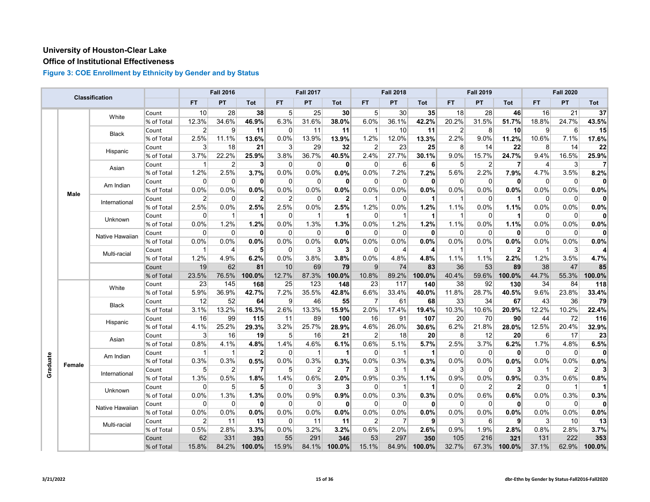# **Office of Institutional Effectiveness**

|          |             | Classification  |            |                 | <b>Fall 2016</b> |                |                | <b>Fall 2017</b> |                |                | <b>Fall 2018</b> |              |                | <b>Fall 2019</b> |                |                | <b>Fall 2020</b> |        |
|----------|-------------|-----------------|------------|-----------------|------------------|----------------|----------------|------------------|----------------|----------------|------------------|--------------|----------------|------------------|----------------|----------------|------------------|--------|
|          |             |                 |            | <b>FT</b>       | PT               | Tot            | <b>FT</b>      | PT               | <b>Tot</b>     | <b>FT</b>      | PT               | Tot          | <b>FT</b>      | PT               | Tot            | <b>FT</b>      | PT               | Tot    |
|          |             | White           | Count      | 10 <sup>1</sup> | 28               | 38             | 5 <sup>1</sup> | 25               | 30             | 5 <sup>1</sup> | 30               | 35           | 18             | 28               | 46             | 16             | 21               | 37     |
|          |             |                 | % of Total | 12.3%           | 34.6%            | 46.9%          | 6.3%           | 31.6%            | 38.0%          | 6.0%           | 36.1%            | 42.2%        | 20.2%          | 31.5%            | 51.7%          | 18.8%          | 24.7%            | 43.5%  |
|          |             |                 | Count      | $\overline{2}$  | 9                | 11             | 0              | 11               | 11             | $\mathbf{1}$   | 10               | 11           | $\overline{2}$ | 8                | 10             | 9              | 6                | 15     |
|          |             | Black           | % of Total | 2.5%            | 11.1%            | 13.6%          | 0.0%           | 13.9%            | 13.9%          | 1.2%           | 12.0%            | 13.3%        | 2.2%           | 9.0%             | 11.2%          | 10.6%          | 7.1%             | 17.6%  |
|          |             | Hispanic        | Count      | 3               | 18               | 21             | 3              | 29               | 32             | $\overline{2}$ | 23               | 25           | 8              | 14               | 22             | 8              | 14               | 22     |
|          |             |                 | % of Total | 3.7%            | 22.2%            | 25.9%          | 3.8%           | 36.7%            | 40.5%          | 2.4%           | 27.7%            | 30.1%        | 9.0%           | 15.7%            | 24.7%          | 9.4%           | 16.5%            | 25.9%  |
|          |             | Asian           | Count      | -1              | $\overline{2}$   | 3 <sup>1</sup> | $\Omega$       | $\overline{0}$   | 0              | 0              | 6                | 6            | 5              | $\overline{2}$   | 7              | $\overline{4}$ | 3                | 7      |
|          |             |                 | % of Total | 1.2%            | 2.5%             | 3.7%           | 0.0%           | 0.0%             | 0.0%           | 0.0%           | 7.2%             | 7.2%         | 5.6%           | 2.2%             | 7.9%           | 4.7%           | 3.5%             | 8.2%   |
|          |             | Am Indian       | Count      | $\Omega$        | 0                | $\mathbf{0}$   | $\mathbf 0$    | $\overline{0}$   | 0              | 0              | $\Omega$         | 0            | 0              | 0                | $\mathbf{0}$   | $\overline{0}$ | 0                |        |
|          | <b>Male</b> |                 | % of Total | 0.0%            | 0.0%             | 0.0%           | 0.0%           | 0.0%             | 0.0%           | 0.0%           | 0.0%             | 0.0%         | 0.0%           | 0.0%             | 0.0%           | 0.0%           | 0.0%             | 0.0%   |
|          |             | International   | Count      | $\overline{2}$  | $\Omega$         | $\mathbf{2}$   | $\overline{2}$ | $\overline{0}$   | $\mathbf{2}$   | $\overline{1}$ | $\Omega$         | 1            | $\mathbf{1}$   | $\mathbf 0$      | 1              | $\overline{0}$ | 0                | O      |
|          |             |                 | % of Total | 2.5%            | 0.0%             | 2.5%           | 2.5%           | 0.0%             | 2.5%           | 1.2%           | 0.0%             | 1.2%         | 1.1%           | 0.0%             | 1.1%           | 0.0%           | 0.0%             | 0.0%   |
|          |             | Unknown         | Count      | 0               | 1                | 1              | $\Omega$       | $\overline{1}$   | $\mathbf 1$    | $\Omega$       | -1               | 1            | 1              | $\Omega$         | 1              | $\Omega$       | $\Omega$         | 0      |
|          |             |                 | % of Total | 0.0%            | 1.2%             | 1.2%           | 0.0%           | 1.3%             | 1.3%           | 0.0%           | 1.2%             | 1.2%         | 1.1%           | 0.0%             | 1.1%           | 0.0%           | 0.0%             | 0.0%   |
|          |             | Native Hawaiian | Count      | $\mathbf 0$     | $\Omega$         | $\mathbf{0}$   | $\mathbf 0$    | $\mathbf 0$      | 0              | 0              | $\Omega$         | $\mathbf{0}$ | $\Omega$       | $\mathbf 0$      | 0              | $\overline{0}$ | $\mathbf 0$      | 0      |
|          |             |                 | % of Total | 0.0%            | 0.0%             | $0.0\%$        | 0.0%           | 0.0%             | 0.0%           | 0.0%           | 0.0%             | 0.0%         | 0.0%           | $0.0\%$          | 0.0%           | 0.0%           | 0.0%             | 0.0%   |
|          |             | Multi-racial    | Count      | $\mathbf{1}$    | 4                | 5              | $\Omega$       | 3                | 3              | $\Omega$       | 4                | 4            |                | 1                | $\overline{2}$ | $\mathbf{1}$   | 3                |        |
|          |             |                 | % of Total | 1.2%            | 4.9%             | 6.2%           | 0.0%           | 3.8%             | 3.8%           | 0.0%           | 4.8%             | 4.8%         | 1.1%           | 1.1%             | 2.2%           | 1.2%           | 3.5%             | 4.7%   |
|          |             |                 | Count      | 19              | 62               | 81             | 10             | 69               | 79             | 9              | 74               | 83           | 36             | 53               | 89             | 38             | 47               | 85     |
|          |             |                 | % of Total | 23.5%           | 76.5%            | 100.0%         | 12.7%          | 87.3%            | 100.0%         | 10.8%          | 89.2%            | 100.0%       | 40.4%          | 59.6%            | 100.0%         | 44.7%          | 55.3%            | 100.0% |
|          |             | White           | Count      | 23              | 145              | 168            | 25             | 123              | 148            | 23             | 117              | 140          | 38             | 92               | 130            | 34             | 84               | 118    |
|          |             | % of Total      | 5.9%       | 36.9%           | 42.7%            | 7.2%           | 35.5%          | 42.8%            | 6.6%           | 33.4%          | 40.0%            | 11.8%        | 28.7%          | 40.5%            | 9.6%           | 23.8%          | 33.4%            |        |
|          |             | <b>Black</b>    | Count      | 12              | 52               | 64             | 9              | 46               | 55             | $\overline{7}$ | 61               | 68           | 33             | 34               | 67             | 43             | 36               | 79     |
|          |             |                 | % of Total | 3.1%            | 13.2%            | 16.3%          | 2.6%           | 13.3%            | 15.9%          | 2.0%           | 17.4%            | 19.4%        | 10.3%          | 10.6%            | 20.9%          | 12.2%          | 10.2%            | 22.4%  |
|          |             | Hispanic        | Count      | 16              | 99               | 115            | 11             | 89               | 100            | 16             | 91               | 107          | 20             | 70               | 90             | 44             | 72               | 116    |
|          |             |                 | % of Total | 4.1%            | 25.2%            | 29.3%          | 3.2%           | 25.7%            | 28.9%          | 4.6%           | 26.0%            | 30.6%        | 6.2%           | 21.8%            | 28.0%          | 12.5%          | 20.4%            | 32.9%  |
|          |             | Asian           | Count      | $\mathbf{3}$    | 16               | 19             | 5 <sup>5</sup> | 16               | 21             | $\overline{2}$ | 18               | 20           | 8              | 12               | 20             | $6 \mid$       | 17               | 23     |
|          |             |                 | % of Total | 0.8%            | 4.1%             | 4.8%           | 1.4%           | 4.6%             | 6.1%           | 0.6%           | 5.1%             | 5.7%         | 2.5%           | 3.7%             | 6.2%           | 1.7%           | 4.8%             | 6.5%   |
|          |             | Am Indian       | Count      | -1              | $\mathbf{1}$     | $\overline{2}$ | $\Omega$       | $\overline{1}$   | $\mathbf{1}$   | 0              | -1               | 1            | 0              | $\mathbf{0}$     | 0              | $\mathbf 0$    | $\mathbf 0$      | 0      |
| Graduate | Female      |                 | % of Total | 0.3%            | 0.3%             | 0.5%           | 0.0%           | 0.3%             | 0.3%           | 0.0%           | 0.3%             | 0.3%         | 0.0%           | 0.0%             | 0.0%           | 0.0%           | 0.0%             | 0.0%   |
|          |             | International   | Count      | 5               | $\overline{2}$   | $\overline{7}$ | 5              | $\overline{2}$   | $\overline{7}$ | 3              | -1               | 4            | 3              | 0                | 3              | $\mathbf 1$    | $\overline{2}$   |        |
|          |             |                 | % of Total | 1.3%            | 0.5%             | 1.8%           | 1.4%           | 0.6%             | 2.0%           | 0.9%           | 0.3%             | 1.1%         | 0.9%           | 0.0%             | 0.9%           | 0.3%           | 0.6%             | 0.8%   |
|          |             | Unknown         | Count      | $\Omega$        | 5                | 5 <sup>1</sup> | 0              | 3                | $\mathbf{3}$   | 0              | -1               | 1            | $\Omega$       | 2                | $\mathbf{2}$   | 0              | $\mathbf{1}$     |        |
|          |             |                 | % of Total | 0.0%            | 1.3%             | 1.3%           | 0.0%           | 0.9%             | 0.9%           | 0.0%           | 0.3%             | 0.3%         | 0.0%           | 0.6%             | 0.6%           | 0.0%           | 0.3%             | 0.3%   |
|          |             | Native Hawaiian | Count      | $\Omega$        | $\Omega$         | $\mathbf{0}$   | $\Omega$       | $\Omega$         | 0              | $\Omega$       | $\Omega$         | $\mathbf{0}$ | $\Omega$       | $\mathbf{0}$     | $\mathbf{0}$   | $\overline{0}$ | $\mathbf 0$      |        |
|          |             |                 | % of Total | 0.0%            | 0.0%             | 0.0%           | 0.0%           | 0.0%             | 0.0%           | 0.0%           | 0.0%             | 0.0%         | 0.0%           | 0.0%             | 0.0%           | 0.0%           | 0.0%             | 0.0%   |
|          |             | Multi-racial    | Count      | $\overline{2}$  | 11               | 13             | 0              | 11               | 11             | $\overline{2}$ | 7                | 9            | 3              | 6                | 9              | 3              | 10               | 13     |
|          |             |                 | % of Total | 0.5%            | 2.8%             | 3.3%           | 0.0%           | 3.2%             | 3.2%           | 0.6%           | 2.0%             | 2.6%         | 0.9%           | 1.9%             | 2.8%           | 0.8%           | 2.8%             | 3.7%   |
|          |             |                 | Count      | 62              | 331              | 393            | 55             | 291              | 346            | 53             | 297              | 350          | 105            | 216              | 321            | 131            | 222              | 353    |
|          |             |                 | % of Total | 15.8%           | 84.2%            | 100.0%         | 15.9%          | 84.1%            | 100.0%         | 15.1%          | 84.9%            | 100.0%       | 32.7%          | 67.3%            | 100.0%         | 37.1%          | 62.9%            | 100.0% |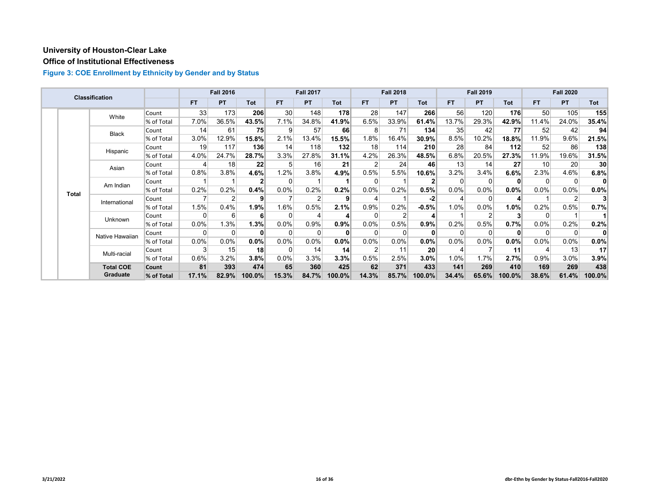# **Office of Institutional Effectiveness**

|  |              | Classification   |            |                 | <b>Fall 2016</b> |                 |           | <b>Fall 2017</b> |        |          | <b>Fall 2018</b> |            |         | <b>Fall 2019</b> |            |                 | <b>Fall 2020</b> |                 |
|--|--------------|------------------|------------|-----------------|------------------|-----------------|-----------|------------------|--------|----------|------------------|------------|---------|------------------|------------|-----------------|------------------|-----------------|
|  |              |                  |            | <b>FT</b>       | PT               | Tot             | <b>FT</b> | <b>PT</b>        | Tot    | FT.      | <b>PT</b>        | <b>Tot</b> | FT.     | <b>PT</b>        | <b>Tot</b> | FT.             | <b>PT</b>        | Tot             |
|  |              | White            | Count      | 33              | 173              | 206             | 30        | 148              | 178    | 28       | 147              | 266        | 56      | 120              | 176        | 50 <sup>°</sup> | 105              | 155             |
|  |              |                  | % of Total | 7.0%            | 36.5%            | 43.5%           | 7.1%      | 34.8%            | 41.9%  | 6.5%     | 33.9%            | 61.4%      | 13.7%   | 29.3%            | 42.9%      | 11.4%           | 24.0%            | 35.4%           |
|  |              | <b>Black</b>     | Count      | 14              | 61               | 75              | 9         | 57               | 66     | 8        | 71               | 134        | 35      | 42               | 77         | 52              | 42               | 94              |
|  |              |                  | % of Total | 3.0%            | 12.9%            | 15.8%           | 2.1%      | 13.4%            | 15.5%  | 1.8%     | 16.4%            | 30.9%      | 8.5%    | 10.2%            | 18.8%      | 11.9%           | 9.6%             | 21.5%           |
|  |              | Hispanic         | Count      | 19 <sup>1</sup> | 117              | 136             | 14        | 118              | 132    | 18       | 114              | 210        | 28      | 84               | 112        | 52              | 86               | 138             |
|  |              |                  | % of Total | 4.0%            | 24.7%            | 28.7%           | 3.3%      | 27.8%            | 31.1%  | 4.2%     | 26.3%            | 48.5%      | 6.8%    | 20.5%            | 27.3%      | 11.9%           | 19.6%            | 31.5%           |
|  |              | Asian            | Count      |                 | 18               | 22              | 5         | 16               | 21     |          | 24               | 46         | 13      | 14               | 27         | 10              | 20               | 30 <sup>°</sup> |
|  |              |                  | % of Total | 0.8%            | 3.8%             | 4.6%            | 1.2%      | 3.8%             | 4.9%   | 0.5%     | 5.5%             | 10.6%      | $3.2\%$ | 3.4%             | 6.6%       | 2.3%            | 4.6%             | 6.8%            |
|  | <b>Total</b> | Am Indian        | Count      |                 |                  | $\mathbf{2}$    | $\Omega$  |                  |        | $\Omega$ |                  |            |         | $\Omega$         | 0          | 0               | 0                | 0               |
|  |              |                  | % of Total | 0.2%            | 0.2%             | 0.4%            | $0.0\%$   | 0.2%             | 0.2%   | 0.0%     | 0.2%             | 0.5%       | $0.0\%$ | $0.0\%$          | $0.0\%$    | 0.0%            | $0.0\%$          | $0.0\%$         |
|  |              | International    | Count      |                 | c                | 9               |           | $\overline{2}$   | 9      |          |                  | -2         |         | $\Omega$         |            |                 | $\overline{2}$   |                 |
|  |              |                  | % of Total | 1.5%            | 0.4%             | 1.9%            | 1.6%      | 0.5%             | 2.1%   | 0.9%     | 0.2%             | $-0.5%$    | 1.0%    | 0.0%             | 1.0%       | 0.2%            | 0.5%             | 0.7%            |
|  |              | Unknown          | Count      | 0               | 6                | 6               | $\Omega$  | 4                |        | 0        |                  |            |         |                  |            | 0               |                  |                 |
|  |              |                  | % of Total | 0.0%            | 1.3%             | 1.3%            | 0.0%      | 0.9%             | 0.9%   | 0.0%     | 0.5%             | 0.9%       | 0.2%    | 0.5%             | 0.7%       | 0.0%            | 0.2%             | 0.2%            |
|  |              | Native Hawaiian  | Count      | 0               | $\Omega$         | $\bf{0}$        | $\Omega$  | 0                | 0      | $\Omega$ |                  |            |         | $\Omega$         | 0          | $\Omega$        | 0                | 0               |
|  |              |                  | % of Total | $0.0\%$         | 0.0%             | 0.0%            | 0.0%      | $0.0\%$          | 0.0%   | 0.0%     | 0.0%             | 0.0%       | 0.0%    | 0.0%             | 0.0%       | 0.0%            | $0.0\%$          | $0.0\%$         |
|  |              | Multi-racial     | Count      | 3               | 15               | 18 <sup>1</sup> | $\Omega$  | 14               | 14     | 2        | 11               | 20         |         |                  | 11         |                 | 13               | 17 <sup>2</sup> |
|  |              |                  | % of Total | 0.6%            | 3.2%             | 3.8%            | 0.0%      | 3.3%             | 3.3%   | 0.5%     | 2.5%             | 3.0%       | 1.0%    | 1.7%             | 2.7%       | 0.9%            | 3.0%             | 3.9%            |
|  |              | <b>Total COE</b> | Count      | 81              | 393              | 474             | 65        | 360              | 425    | 62       | 371              | 433        | 141     | 269              | 410        | 169             | 269              | 438             |
|  |              | Graduate         | % of Total | 17.1%           | 82.9%            | 100.0%          | 15.3%     | 84.7%            | 100.0% | 14.3%    | 85.7%            | 100.0%     | 34.4%   | 65.6%            | 100.0%     | 38.6%           | 61.4%            | 100.0%          |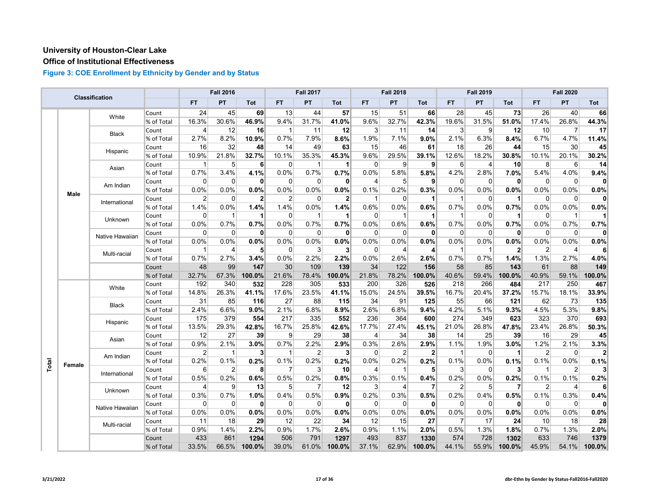# **Office of Institutional Effectiveness**

|       |        | <b>Classification</b> |            |                | <b>Fall 2016</b>    |              |                | <b>Fall 2017</b> |              |              | <b>Fall 2018</b> |                |                | <b>Fall 2019</b> |                      |                | <b>Fall 2020</b> |                |
|-------|--------|-----------------------|------------|----------------|---------------------|--------------|----------------|------------------|--------------|--------------|------------------|----------------|----------------|------------------|----------------------|----------------|------------------|----------------|
|       |        |                       |            | <b>FT</b>      | PT                  | Tot          | FT.            | PT               | Tot          | FT           | PT               | Tot            | <b>FT</b>      | PT               | <b>Tot</b>           | FT             | <b>PT</b>        | Tot            |
|       |        | White                 | Count      | 24             | 45                  | 69           | 13             | 44               | 57           | 15           | 51               | 66             | 28             | 45               | 73                   | 26             | 40               | 66             |
|       |        |                       | % of Total | 16.3%          | 30.6%               | 46.9%        | 9.4%           | 31.7%            | 41.0%        | 9.6%         | 32.7%            | 42.3%          | 19.6%          | 31.5%            | 51.0%                | 17.4%          | 26.8%            | 44.3%          |
|       |        | Black                 | Count      | 4              | 12                  | 16           | -1             | 11               | 12           | 3            | 11               | 14             | 3              | 9                | 12                   | 10             | 7                | 17             |
|       |        |                       | % of Total | 2.7%           | 8.2%                | 10.9%        | 0.7%           | 7.9%             | 8.6%         | 1.9%         | 7.1%             | 9.0%           | 2.1%           | 6.3%             | 8.4%                 | 6.7%           | 4.7%             | 11.4%          |
|       |        | Hispanic              | Count      | 16             | 32                  | 48           | 14             | 49               | 63           | 15           | 46               | 61             | 18             | 26               | 44                   | 15             | 30               | 45             |
|       |        |                       | % of Total | 10.9%          | $21.\overline{8\%}$ | 32.7%        | 10.1%          | 35.3%            | 45.3%        | 9.6%         | 29.5%            | 39.1%          | 12.6%          | 18.2%            | 30.8%                | 10.1%          | 20.1%            | 30.2%          |
|       |        | Asian                 | Count      | 1              | 5                   | 6            | $\Omega$       | $\overline{1}$   | $\mathbf 1$  | 0            | 9                | 9              | 6              | 4                | 10                   | 8              | $6 \mid$         | 14             |
|       |        |                       | % of Total | 0.7%           | 3.4%                | 4.1%         | 0.0%           | 0.7%             | 0.7%         | 0.0%         | 5.8%             | 5.8%           | 4.2%           | 2.8%             | 7.0%                 | 5.4%           | 4.0%             | 9.4%           |
|       |        | Am Indian             | Count      | 0              | 0                   | $\mathbf{0}$ | $\mathbf 0$    | $\overline{0}$   | 0            | 4            | 5 <sup>5</sup>   | 9              | 0              | 0                | $\mathbf{0}$         | $\mathbf 0$    | $\overline{0}$   | $\mathbf{0}$   |
|       | Male   |                       | % of Total | 0.0%           | 0.0%                | 0.0%         | 0.0%           | 0.0%             | 0.0%         | 0.1%         | 0.2%             | 0.3%           | 0.0%           | 0.0%             | 0.0%                 | 0.0%           | 0.0%             | 0.0%           |
|       |        | International         | Count      | $\overline{2}$ | $\mathbf{0}$        | $\mathbf{2}$ | 2              | $\Omega$         | $\mathbf{2}$ | $\mathbf{1}$ | $\Omega$         | $\mathbf{1}$   | $\overline{1}$ | $\Omega$         | $\blacktriangleleft$ | $\Omega$       | $\Omega$         | $\mathbf{0}$   |
|       |        |                       | % of Total | 1.4%           | 0.0%                | 1.4%         | 1.4%           | 0.0%             | 1.4%         | 0.6%         | 0.0%             | 0.6%           | 0.7%           | 0.0%             | 0.7%                 | 0.0%           | 0.0%             | 0.0%           |
|       |        | Unknown               | Count      | 0              | $\mathbf{1}$        | 1            | 0              | $\mathbf{1}$     | $\vert$      | 0            | -1               | 1              | 1              | 0                | 1                    | 0              | $\mathbf{1}$     |                |
|       |        |                       | % of Total | 0.0%           | 0.7%                | 0.7%         | 0.0%           | 0.7%             | 0.7%         | 0.0%         | 0.6%             | 0.6%           | 0.7%           | 0.0%             | 0.7%                 | 0.0%           | 0.7%             | 0.7%           |
|       |        | Native Hawaiian       | Count      | $\Omega$       | $\Omega$            | $\mathbf{0}$ | $\mathbf 0$    | $\overline{0}$   | 0            | 0            | $\Omega$         | 0              | $\Omega$       | $\mathbf 0$      | $\mathbf{0}$         | $\mathbf 0$    | $\overline{0}$   | $\mathbf{0}$   |
|       |        |                       | % of Total | 0.0%           | 0.0%                | 0.0%         | 0.0%           | 0.0%             | 0.0%         | 0.0%         | 0.0%             | 0.0%           | 0.0%           | 0.0%             | 0.0%                 | 0.0%           | 0.0%             | 0.0%           |
|       |        | Multi-racial          | Count      | 1              | 4                   | 5            | $\Omega$       | 3                | $\mathbf{3}$ | 0            | 4                | 4              | 1              | $\mathbf{1}$     | $\mathbf{2}$         | $\overline{2}$ | $\overline{4}$   | 6              |
|       |        |                       | % of Total | 0.7%           | 2.7%                | 3.4%         | 0.0%           | 2.2%             | 2.2%         | 0.0%         | 2.6%             | 2.6%           | 0.7%           | 0.7%             | 1.4%                 | 1.3%           | 2.7%             | 4.0%           |
|       |        |                       | Count      | 48             | 99                  | 147          | 30             | 109              | 139          | 34           | 122              | 156            | 58             | 85               | 143                  | 61             | 88               | 149            |
|       |        |                       | % of Total | 32.7%          | 67.3%               | 100.0%       | 21.6%          | 78.4%            | 100.0%       | 21.8%        | 78.2%            | 100.0%         | 40.6%          | 59.4%            | 100.0%               | 40.9%          | 59.1%            | 100.0%         |
|       |        | White                 | Count      | 192            | 340                 | 532          | 228            | 305              | 533          | 200          | 326              | 526            | 218            | 266              | 484                  | 217            | 250              | 467            |
|       |        |                       | % of Total | 14.8%          | 26.3%               | 41.1%        | 17.6%          | 23.5%            | 41.1%        | 15.0%        | 24.5%            | 39.5%          | 16.7%          | 20.4%            | 37.2%                | 15.7%          | 18.1%            | 33.9%          |
|       |        | <b>Black</b>          | Count      | 31             | 85                  | 116          | 27             | 88               | 115          | 34           | 91               | 125            | 55             | 66               | 121                  | 62             | 73               | 135            |
|       |        |                       | % of Total | 2.4%           | 6.6%                | 9.0%         | 2.1%           | 6.8%             | 8.9%         | 2.6%         | 6.8%             | 9.4%           | 4.2%           | 5.1%             | 9.3%                 | 4.5%           | 5.3%             | 9.8%           |
|       |        | Hispanic              | Count      | 175            | 379                 | 554          | 217            | 335              | 552          | 236          | 364              | 600            | 274            | 349              | 623                  | 323            | 370              | 693            |
|       |        |                       | % of Total | 13.5%          | 29.3%               | 42.8%        | 16.7%          | 25.8%            | 42.6%        | 17.7%        | 27.4%            | 45.1%          | 21.0%          | 26.8%            | 47.8%                | 23.4%          | 26.8%            | 50.3%          |
|       |        | Asian                 | Count      | 12             | 27                  | 39           | 9              | 29               | 38           | 4            | 34               | 38             | 14             | 25               | 39                   | 16             | 29               | 45             |
|       |        |                       | % of Total | 0.9%           | 2.1%                | 3.0%         | 0.7%           | 2.2%             | 2.9%         | 0.3%         | 2.6%             | 2.9%           | 1.1%           | 1.9%             | 3.0%                 | 1.2%           | 2.1%             | 3.3%           |
|       |        | Am Indian             | Count      | 2              | $\mathbf{1}$        | 3            | $\overline{1}$ | $\overline{2}$   | $\mathbf{3}$ | 0            | $\overline{2}$   | $\overline{2}$ | 1              | $\Omega$         | $\blacktriangleleft$ | $\overline{2}$ | $\Omega$         | $\overline{2}$ |
| Total | Female |                       | % of Total | 0.2%           | 0.1%                | 0.2%         | 0.1%           | 0.2%             | 0.2%         | 0.0%         | 0.2%             | 0.2%           | 0.1%           | 0.0%             | 0.1%                 | 0.1%           | 0.0%             | 0.1%           |
|       |        | International         | Count      | 6              | $\overline{2}$      | 8            | $\overline{7}$ | 3                | 10           | 4            | -1               | 5              | 3              | 0                | 3                    | $\mathbf 1$    | $\overline{2}$   | 3 <sup>1</sup> |
|       |        |                       | % of Total | 0.5%           | 0.2%                | 0.6%         | 0.5%           | 0.2%             | 0.8%         | 0.3%         | 0.1%             | 0.4%           | 0.2%           | 0.0%             | 0.2%                 | 0.1%           | 0.1%             | 0.2%           |
|       |        | Unknown               | Count      | 4              | 9                   | 13           | 5              | 7                | 12           | 3            | 4                | 7              | $\overline{2}$ | 5                | 7                    | 2              | 4                | 6              |
|       |        |                       | % of Total | 0.3%           | 0.7%                | 1.0%         | 0.4%           | 0.5%             | 0.9%         | 0.2%         | 0.3%             | 0.5%           | 0.2%           | 0.4%             | 0.5%                 | 0.1%           | 0.3%             | 0.4%           |
|       |        | Native Hawaiian       | Count      | 0              | $\Omega$            | $\mathbf{0}$ | $\mathbf 0$    | $\mathbf 0$      | 0            | $\Omega$     | $\Omega$         | $\mathbf{0}$   | $\Omega$       | $\Omega$         | $\mathbf{0}$         | $\mathbf 0$    | $\mathbf 0$      | $\mathbf{0}$   |
|       |        |                       | % of Total | $0.0\%$        | 0.0%                | 0.0%         | 0.0%           | 0.0%             | 0.0%         | 0.0%         | 0.0%             | 0.0%           | 0.0%           | 0.0%             | 0.0%                 | 0.0%           | 0.0%             | 0.0%           |
|       |        | Multi-racial          | Count      | 11             | 18                  | 29           | 12             | 22               | 34           | 12           | 15               | 27             | 7              | 17               | 24                   | 10             | 18               | 28             |
|       |        |                       | % of Total | 0.9%           | 1.4%                | 2.2%         | 0.9%           | 1.7%             | 2.6%         | 0.9%         | 1.1%             | 2.0%           | 0.5%           | 1.3%             | 1.8%                 | 0.7%           | 1.3%             | 2.0%           |
|       |        |                       | Count      | 433            | 861                 | 1294         | 506            | 791              | 1297         | 493          | 837              | 1330           | 574            | 728              | 1302                 | 633            | 746              | 1379           |
|       |        |                       | % of Total | 33.5%          | 66.5%               | 100.0%       | 39.0%          | 61.0%            | 100.0%       | 37.1%        | 62.9%            | 100.0%         | 44.1%          | 55.9%            | 100.0%               | 45.9%          | 54.1%            | 100.0%         |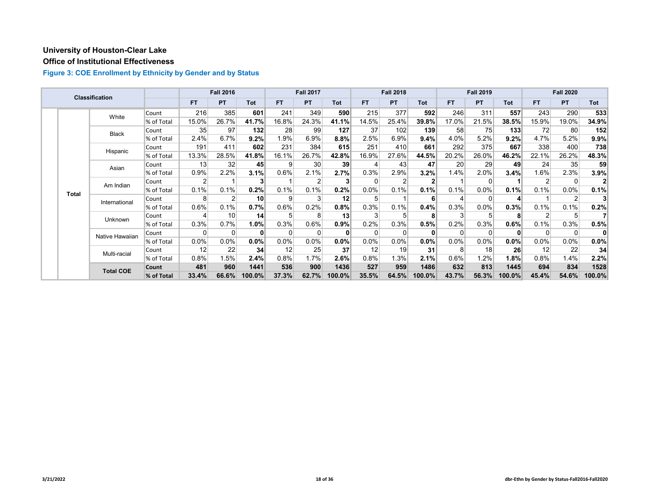# **Office of Institutional Effectiveness**

|  |              | Classification   |            |                | <b>Fall 2016</b> |                 |           | <b>Fall 2017</b> |          |          | <b>Fall 2018</b> |            |       | <b>Fall 2019</b> |              |                | <b>Fall 2020</b> |         |
|--|--------------|------------------|------------|----------------|------------------|-----------------|-----------|------------------|----------|----------|------------------|------------|-------|------------------|--------------|----------------|------------------|---------|
|  |              |                  |            | FT.            | <b>PT</b>        | Tot             | <b>FT</b> | <b>PT</b>        | Tot      | FT.      | <b>PT</b>        | <b>Tot</b> | FT.   | <b>PT</b>        | Tot          | FT.            | <b>PT</b>        | Tot     |
|  |              | White            | Count      | 216            | 385              | 601             | 241       | 349              | 590      | 215      | 377              | 592        | 246   | 311              | 557          | 243            | 290              | 533     |
|  |              |                  | % of Total | 15.0%          | 26.7%            | 41.7%           | 16.8%     | 24.3%            | 41.1%    | 14.5%    | 25.4%            | 39.8%      | 17.0% | 21.5%            | 38.5%        | 15.9%          | 19.0%            | 34.9%   |
|  |              | <b>Black</b>     | Count      | 35             | 97               | 132             | 28        | 99               | 127      | 37       | 102              | 139        | 58    | 75               | 133          | 72             | 80               | 152     |
|  |              |                  | % of Total | 2.4%           | 6.7%             | $9.2\%$         | 1.9%      | 6.9%             | 8.8%     | 2.5%     | 6.9%             | 9.4%       | 4.0%  | 5.2%             | 9.2%         | 4.7%           | 5.2%             | 9.9%    |
|  |              | Hispanic         | Count      | 191            | 411              | 602             | 231       | 384              | 615      | 251      | 410              | 661        | 292   | 375              | 667          | 338            | 400              | 738     |
|  |              |                  | % of Total | 13.3%          | 28.5%            | 41.8%           | 16.1%     | 26.7%            | 42.8%    | 16.9%    | 27.6%            | 44.5%      | 20.2% | 26.0%            | 46.2%        | 22.1%          | 26.2%            | 48.3%   |
|  | Asian        | Count            | 13         | 32             | 45               | 9               | 30        | 39               | 4        | 43       | 47               | 20         | 29    | 49               | 24           | 35             | 59               |         |
|  |              |                  | % of Total | 0.9%           | 2.2%             | 3.1%            | 0.6%      | 2.1%             | 2.7%     | 0.3%     | 2.9%             | 3.2%       | 1.4%  | 2.0%             | $3.4\%$      | 1.6%           | 2.3%             | 3.9%    |
|  | <b>Total</b> | Am Indian        | Count      | $\overline{2}$ |                  | 3               |           | 2                |          | 0        |                  |            |       | $\Omega$         |              | $\overline{2}$ | $\Omega$         |         |
|  |              |                  | % of Total | 0.1%           | 0.1%             | 0.2%            | 0.1%      | 0.1%             | 0.2%     | 0.0%     | 0.1%             | 0.1%       | 0.1%  | 0.0%             | 0.1%         | 0.1%           | $0.0\%$          | 0.1%    |
|  |              | International    | Count      | 8              |                  | 10              | 9         | 3                | 12       | 5        |                  | 6          |       | $\Omega$         |              |                | $\overline{2}$   |         |
|  |              |                  | % of Total | 0.6%           | 0.1%             | 0.7%            | 0.6%      | 0.2%             | 0.8%     | 0.3%     | 0.1%             | 0.4%       | 0.3%  | $0.0\%$          | 0.3%         | 0.1%           | 0.1%             | 0.2%    |
|  |              | Unknown          | Count      |                | 10               | 14 <sup>1</sup> | 5         | 8                | 13       | 3        |                  | 8          |       | 5                | 8            |                | 5                |         |
|  |              |                  | % of Total | 0.3%           | 0.7%             | 1.0%            | 0.3%      | 0.6%             | 0.9%     | 0.2%     | 0.3%             | 0.5%       | 0.2%  | 0.3%             | 0.6%         | 0.1%           | 0.3%             | 0.5%    |
|  |              | Native Hawaiian  | Count      | 0              | 0                | $\bf{0}$        | $\Omega$  | 0                | $\bf{0}$ | $\Omega$ |                  | $\bf{0}$   |       | $\Omega$         | $\mathbf{0}$ | $\Omega$       | $\Omega$         | 0       |
|  |              |                  | % of Total | $0.0\%$        | 0.0%             | $0.0\%$         | $0.0\%$   | 0.0%             | 0.0%     | 0.0%     | 0.0%             | 0.0%       | 0.0%  | $0.0\%$          | 0.0%         | 0.0%           | $0.0\%$          | $0.0\%$ |
|  |              | Multi-racial     | Count      | 12             | 22               | 34              | 12        | 25               | 37       | 12       | 19               | 31         | 8     | 18               | 26           | 12             | 22               | 34      |
|  |              |                  | % of Total | 0.8%           | 1.5%             | 2.4%            | 0.8%      | 1.7%             | $2.6\%$  | 0.8%     | 1.3%             | 2.1%       | 0.6%  | 1.2%             | 1.8%         | 0.8%           | 1.4%             | $2.2\%$ |
|  |              | <b>Total COE</b> | Count      | 481            | 960              | 1441            | 536       | 900              | 1436     | 527      | 959              | 1486       | 632   | 813              | 1445         | 694            | 834              | 1528    |
|  |              |                  | % of Total | 33.4%          | 66.6%            | 100.0%          | 37.3%     | 62.7%            | 100.0%   | 35.5%    | 64.5%            | 100.0%     | 43.7% | 56.3%            | 100.0%       | 45.4%          | 54.6%            | 100.0%  |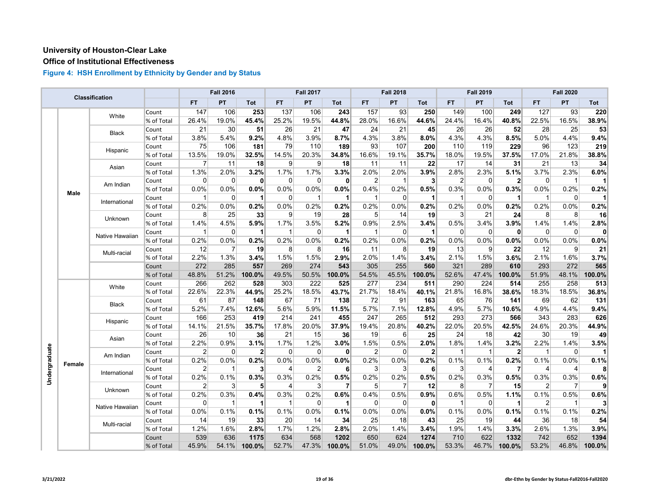# **Office of Institutional Effectiveness**

|               |        | Classification  |            |             | <b>Fall 2016</b> |                      |                | <b>Fall 2017</b> |                |                | <b>Fall 2018</b> |                |                | <b>Fall 2019</b> |                      |                | <b>Fall 2020</b> |              |
|---------------|--------|-----------------|------------|-------------|------------------|----------------------|----------------|------------------|----------------|----------------|------------------|----------------|----------------|------------------|----------------------|----------------|------------------|--------------|
|               |        |                 |            | <b>FT</b>   | <b>PT</b>        | Tot                  | FT.            | PT               | Tot            | FT             | PT               | Tot            | <b>FT</b>      | <b>PT</b>        | <b>Tot</b>           | FT.            | PT               | Tot          |
|               |        | White           | Count      | 147         | 106              | 253                  | 137            | 106              | 243            | 157            | 93               | 250            | 149            | 100              | 249                  | 127            | 93               | 220          |
|               |        |                 | % of Total | 26.4%       | 19.0%            | 45.4%                | 25.2%          | 19.5%            | 44.8%          | 28.0%          | 16.6%            | 44.6%          | 24.4%          | 16.4%            | 40.8%                | 22.5%          | 16.5%            | 38.9%        |
|               |        | Black           | Count      | 21          | 30               | 51                   | 26             | 21               | 47             | 24             | 21               | 45             | 26             | 26               | 52                   | 28             | 25               | 53           |
|               |        |                 | % of Total | 3.8%        | 5.4%             | 9.2%                 | 4.8%           | 3.9%             | 8.7%           | 4.3%           | 3.8%             | 8.0%           | 4.3%           | 4.3%             | 8.5%                 | 5.0%           | 4.4%             | 9.4%         |
|               |        | Hispanic        | Count      | 75          | 106              | 181                  | 79             | 110              | 189            | 93             | 107              | 200            | 110            | 119              | 229                  | 96             | 123              | 219          |
|               |        |                 | % of Total | 13.5%       | 19.0%            | 32.5%                | 14.5%          | 20.3%            | 34.8%          | 16.6%          | 19.1%            | 35.7%          | 18.0%          | 19.5%            | 37.5%                | 17.0%          | 21.8%            | 38.8%        |
|               |        | Asian           | Count      | 7           | 11               | 18                   | 9              | $\vert 9 \vert$  | 18             | 11             | 11               | 22             | 17             | 14               | 31                   | 21             | 13               | 34           |
|               |        |                 | % of Total | 1.3%        | 2.0%             | 3.2%                 | 1.7%           | 1.7%             | 3.3%           | 2.0%           | 2.0%             | 3.9%           | 2.8%           | 2.3%             | 5.1%                 | 3.7%           | 2.3%             | 6.0%         |
|               |        | Am Indian       | Count      | 0           | 0                | $\mathbf{0}$         | $\mathbf 0$    | $\overline{0}$   | 0              | 2              | -1               | $\mathbf{3}$   | $\overline{2}$ | 0                | $\mathbf{2}$         | $\mathbf 0$    | $\mathbf{1}$     | 11           |
|               | Male   |                 | % of Total | 0.0%        | 0.0%             | 0.0%                 | 0.0%           | 0.0%             | 0.0%           | 0.4%           | 0.2%             | 0.5%           | 0.3%           | 0.0%             | 0.3%                 | 0.0%           | 0.2%             | 0.2%         |
|               |        | International   | Count      | $\mathbf 1$ | 0                | 1                    | $\mathbf 0$    | $\overline{1}$   | $\vert$        | $\mathbf{1}$   | $\overline{0}$   | 1              | $\mathbf{1}$   | $\mathbf 0$      | $\blacktriangleleft$ | $\mathbf{1}$   | $\overline{0}$   | 11           |
|               |        |                 | % of Total | 0.2%        | 0.0%             | 0.2%                 | 0.0%           | 0.2%             | 0.2%           | 0.2%           | 0.0%             | 0.2%           | 0.2%           | 0.0%             | 0.2%                 | 0.2%           | 0.0%             | 0.2%         |
|               |        | Unknown         | Count      | 8           | 25               | 33                   | 9              | 19               | 28             | 5              | 14               | 19             | 3              | 21               | 24                   | 8              | 8                | 16           |
|               |        |                 | % of Total | 1.4%        | 4.5%             | 5.9%                 | 1.7%           | 3.5%             | 5.2%           | 0.9%           | 2.5%             | 3.4%           | 0.5%           | 3.4%             | 3.9%                 | 1.4%           | 1.4%             | 2.8%         |
|               |        | Native Hawaiian | Count      | 1           | $\Omega$         | $\blacktriangleleft$ | $\overline{1}$ | $\overline{0}$   | $\vert$        | $\mathbf{1}$   | $\Omega$         | 1              | $\Omega$       | $\Omega$         | $\mathbf{0}$         | $\Omega$       | $\overline{0}$   | $\mathbf{0}$ |
|               |        |                 | % of Total | 0.2%        | 0.0%             | 0.2%                 | 0.2%           | 0.0%             | 0.2%           | 0.2%           | 0.0%             | 0.2%           | 0.0%           | 0.0%             | 0.0%                 | 0.0%           | 0.0%             | 0.0%         |
|               |        | Multi-racial    | Count      | 12          | 7                | 19                   | 8              | 8                | 16             | 11             | 8                | 19             | 13             | 9                | 22                   | 12             | $\overline{9}$   | 21           |
|               |        |                 | % of Total | 2.2%        | 1.3%             | 3.4%                 | 1.5%           | 1.5%             | 2.9%           | 2.0%           | 1.4%             | 3.4%           | 2.1%           | 1.5%             | 3.6%                 | 2.1%           | 1.6%             | 3.7%         |
|               |        |                 | Count      | 272         | 285              | 557                  | 269            | 274              | 543            | 305            | 255              | 560            | 321            | 289              | 610                  | 293            | 272              | 565          |
|               |        |                 | % of Total | 48.8%       | 51.2%            | 100.0%               | 49.5%          | 50.5%            | 100.0%         | 54.5%          | 45.5%            | 100.0%         | 52.6%          | 47.4%            | 100.0%               | 51.9%          | 48.1%            | 100.0%       |
|               |        | White           | Count      | 266         | 262              | 528                  | 303            | 222              | 525            | 277            | 234              | 511            | 290            | 224              | 514                  | 255            | 258              | 513          |
|               |        |                 | % of Total | 22.6%       | 22.3%            | 44.9%                | 25.2%          | 18.5%            | 43.7%          | 21.7%          | 18.4%            | 40.1%          | 21.8%          | 16.8%            | 38.6%                | 18.3%          | 18.5%            | 36.8%        |
|               |        | <b>Black</b>    | Count      | 61          | 87               | 148                  | 67             | 71               | 138            | 72             | 91               | 163            | 65             | 76               | 141                  | 69             | 62               | 131          |
|               |        |                 | % of Total | 5.2%        | 7.4%             | 12.6%                | 5.6%           | 5.9%             | 11.5%          | 5.7%           | 7.1%             | 12.8%          | 4.9%           | 5.7%             | 10.6%                | 4.9%           | 4.4%             | 9.4%         |
|               |        | Hispanic        | Count      | 166         | 253              | 419                  | 214            | 241              | 455            | 247            | 265              | 512            | 293            | 273              | 566                  | 343            | 283              | 626          |
|               |        |                 | % of Total | 14.1%       | 21.5%            | 35.7%                | 17.8%          | 20.0%            | 37.9%          | 19.4%          | 20.8%            | 40.2%          | 22.0%          | 20.5%            | 42.5%                | 24.6%          | 20.3%            | 44.9%        |
|               |        | Asian           | Count      | 26          | 10               | 36                   | 21             | 15               | 36             | 19             | $6 \mid$         | 25             | 24             | 18               | 42                   | 30             | 19               | 49           |
|               |        |                 | % of Total | 2.2%        | 0.9%             | 3.1%                 | 1.7%           | 1.2%             | 3.0%           | 1.5%           | 0.5%             | 2.0%           | 1.8%           | 1.4%             | 3.2%                 | 2.2%           | 1.4%             | 3.5%         |
| Undergraduate |        | Am Indian       | Count      | 2           | 0                | $\mathbf{2}$         | $\mathbf 0$    | 0                | 0              | $\overline{2}$ | $\overline{0}$   | $\overline{2}$ | 1              | $\mathbf{1}$     | $\mathbf{2}$         | $\mathbf 1$    | $\overline{0}$   | 11           |
|               | Female |                 | % of Total | 0.2%        | 0.0%             | 0.2%                 | 0.0%           | 0.0%             | 0.0%           | 0.2%           | 0.0%             | 0.2%           | 0.1%           | 0.1%             | 0.2%                 | 0.1%           | 0.0%             | 0.1%         |
|               |        | International   | Count      | 2           | $\mathbf{1}$     | 3                    | $\overline{4}$ | $\overline{2}$   | 6              | 3              | $\overline{3}$   | 6              | 3              | 4                | $\overline{7}$       | $\overline{4}$ | $\overline{4}$   | 8            |
|               |        |                 | % of Total | 0.2%        | 0.1%             | 0.3%                 | 0.3%           | 0.2%             | 0.5%           | 0.2%           | 0.2%             | 0.5%           | 0.2%           | 0.3%             | 0.5%                 | 0.3%           | 0.3%             | 0.6%         |
|               |        | Unknown         | Count      | 2           | 3                | 5                    | 4              | 3                | $\overline{7}$ | 5              | 7                | 12             | 8              | $\overline{7}$   | 15                   | 2              | $\overline{7}$   | 9            |
|               |        |                 | % of Total | 0.2%        | 0.3%             | 0.4%                 | 0.3%           | 0.2%             | 0.6%           | 0.4%           | 0.5%             | 0.9%           | 0.6%           | 0.5%             | 1.1%                 | 0.1%           | 0.5%             | 0.6%         |
|               |        | Native Hawaiian | Count      | 0           | $\mathbf{1}$     | 1                    | $\mathbf{1}$   | $\mathbf 0$      | $\vert$ 1      | 0              | $\Omega$         | $\mathbf{0}$   | $\mathbf 1$    | $\Omega$         | $\blacktriangleleft$ | $\overline{2}$ | $\overline{1}$   | $\mathbf{3}$ |
|               |        |                 | % of Total | 0.0%        | 0.1%             | 0.1%                 | 0.1%           | 0.0%             | 0.1%           | 0.0%           | 0.0%             | 0.0%           | 0.1%           | 0.0%             | 0.1%                 | 0.1%           | 0.1%             | 0.2%         |
|               |        | Multi-racial    | Count      | 14          | 19               | 33                   | 20             | 14               | 34             | 25             | 18               | 43             | 25             | 19               | 44                   | 36             | 18               | 54           |
|               |        |                 | % of Total | 1.2%        | 1.6%             | 2.8%                 | 1.7%           | 1.2%             | 2.8%           | 2.0%           | 1.4%             | 3.4%           | 1.9%           | 1.4%             | 3.3%                 | 2.6%           | 1.3%             | 3.9%         |
|               |        |                 | Count      | 539         | 636              | 1175                 | 634            | 568              | 1202           | 650            | 624              | 1274           | 710            | 622              | 1332                 | 742            | 652              | 1394         |
|               |        |                 | % of Total | 45.9%       | 54.1%            | 100.0%               | 52.7%          | 47.3%            | 100.0%         | 51.0%          | 49.0%            | 100.0%         | 53.3%          | 46.7%            | 100.0%               | 53.2%          | 46.8%            | 100.0%       |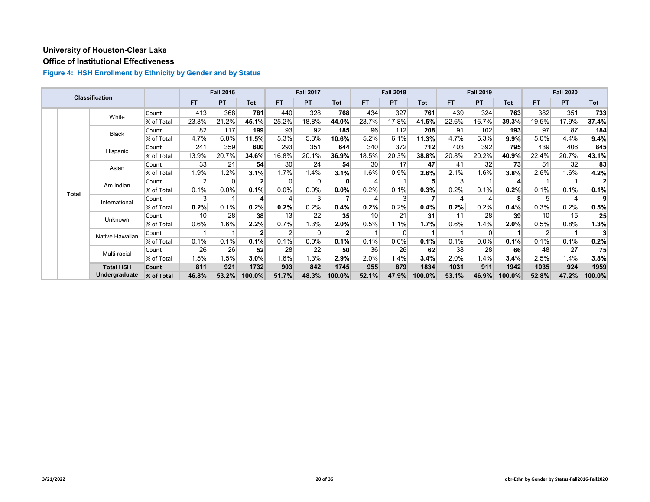# **Office of Institutional Effectiveness**

|  |              | <b>Classification</b> |            |                 | <b>Fall 2016</b> |                |                | <b>Fall 2017</b> |                 |       | <b>Fall 2018</b> |            |                | <b>Fall 2019</b> |            |       | <b>Fall 2020</b> |        |
|--|--------------|-----------------------|------------|-----------------|------------------|----------------|----------------|------------------|-----------------|-------|------------------|------------|----------------|------------------|------------|-------|------------------|--------|
|  |              |                       |            | <b>FT</b>       | <b>PT</b>        | Tot            | FT.            | <b>PT</b>        | Tot             | FT.   | <b>PT</b>        | <b>Tot</b> | <b>FT</b>      | <b>PT</b>        | <b>Tot</b> | FT.   | <b>PT</b>        | Tot    |
|  |              | White                 | Count      | 413             | 368              | 781            | 440            | 328              | 768             | 434   | 327              | 761        | 439            | 324              | 763        | 382   | 351              | 733    |
|  |              |                       | % of Total | 23.8%           | 21.2%            | 45.1%          | 25.2%          | 18.8%            | 44.0%           | 23.7% | 17.8%            | 41.5%      | 22.6%          | 16.7%            | 39.3%      | 19.5% | 17.9%            | 37.4%  |
|  |              | <b>Black</b>          | Count      | 82              | 117              | 199            | 93             | 92               | 185             | 96    | 112              | 208        | 91             | 102              | 193        | 97    | 87               | 184    |
|  |              |                       | % of Total | 4.7%            | 6.8%             | 11.5%          | 5.3%           | 5.3%             | 10.6%           | 5.2%  | 6.1%             | 11.3%      | 4.7%           | 5.3%             | 9.9%       | 5.0%  | 4.4%             | 9.4%   |
|  |              | Hispanic              | Count      | 241             | 359              | 600            | 293            | 351              | 644             | 340   | 372              | 712        | 403            | 392              | 795        | 439   | 406              | 845    |
|  |              |                       | % of Total | 13.9%           | 20.7%            | 34.6%          | 16.8%          | 20.1%            | 36.9%           | 18.5% | 20.3%            | 38.8%      | 20.8%          | 20.2%            | 40.9%      | 22.4% | 20.7%            | 43.1%  |
|  | Asian        |                       | Count      | 33              | 21               | 54             | 30             | 24               | 54              | 30    | 17               | 47         | 41             | 32               | 73         | 51    | 32               | 83     |
|  |              |                       | % of Total | 1.9%            | 1.2%             | 3.1%           | 1.7%           | 1.4%             | 3.1%            | 1.6%  | 0.9%             | 2.6%       | 2.1%           | 1.6%             | 3.8%       | 2.6%  | 1.6%             | 4.2%   |
|  | <b>Total</b> | Am Indian             | Count      | 2 <sub>1</sub>  | $\Omega$         | $\mathbf{2}$   | $\Omega$       | 0                | $\mathbf{0}$    | 4     |                  |            | 3 <sup>1</sup> |                  | 4          |       |                  |        |
|  |              |                       | % of Total | 0.1%            | 0.0%             | 0.1%           | $0.0\%$        | $0.0\%$          | 0.0%            | 0.2%  | 0.1%             | 0.3%       | $0.2\%$        | 0.1%             | 0.2%       | 0.1%  | 0.1%             | 0.1%   |
|  |              | International         | Count      | 3               |                  | 4              |                | 3                |                 |       |                  |            |                |                  | 8          | 5     | 4                | 9      |
|  |              |                       | % of Total | 0.2%            | 0.1%             | 0.2%           | 0.2%           | 0.2%             | 0.4%            | 0.2%  | 0.2%             | 0.4%       | 0.2%           | 0.2%             | 0.4%       | 0.3%  | 0.2%             | 0.5%   |
|  |              | Unknown               | Count      | 10 <sup>1</sup> | 28               | 38             | 13             | 22               | 35 <sup>5</sup> | 10    | 21               | 31         | 11             | 28               | 39         | 10    | 15               | 25     |
|  |              |                       | % of Total | 0.6%            | 1.6%             | $2.2\%$        | 0.7%           | 1.3%             | 2.0%            | 0.5%  | 1.1%             | 1.7%       | 0.6%           | 1.4%             | $2.0\%$    | 0.5%  | 0.8%             | 1.3%   |
|  |              | Native Hawaiian       | Count      |                 |                  | 2 <sub>1</sub> | $\overline{2}$ | 0                |                 |       |                  |            |                | $\Omega$         |            |       |                  |        |
|  |              |                       | % of Total | 0.1%            | 0.1%             | 0.1%           | 0.1%           | 0.0%             | 0.1%            | 0.1%  | 0.0%             | 0.1%       | 0.1%           | 0.0%             | 0.1%       | 0.1%  | 0.1%             | 0.2%   |
|  |              | Multi-racial          | Count      | 26              | 26               | 52             | 28             | 22               | 50              | 36    | 26               | 62         | 38             | 28               | 66         | 48    | 27               | 75     |
|  |              |                       | % of Total | 1.5%            | 1.5%             | $3.0\%$        | 1.6%           | 1.3%             | 2.9%            | 2.0%  | 1.4%             | 3.4%       | 2.0%           | 1.4%             | 3.4%       | 2.5%  | 1.4%             | 3.8%   |
|  |              | <b>Total HSH</b>      | Count      | 811             | 921              | 1732           | 903            | 842              | 1745            | 955   | 879              | 1834       | 1031           | 911              | 1942       | 1035  | 924              | 1959   |
|  |              | Undergraduate         | % of Total | 46.8%           | 53.2%            | 100.0%         | 51.7%          | 48.3%            | 100.0%          | 52.1% | 47.9%            | 100.0%     | 53.1%          | 46.9%            | 100.0%     | 52.8% | 47.2%            | 100.0% |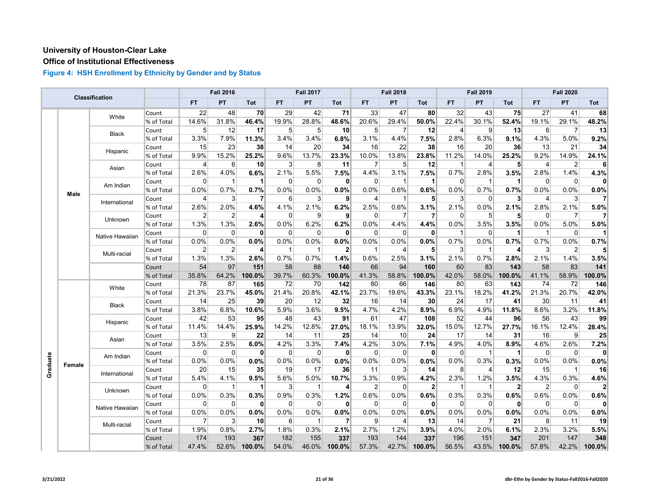#### **Office of Institutional Effectiveness**

|          |             | Classification  |            |                | <b>Fall 2016</b> |                |                | <b>Fall 2017</b> |                |                | <b>Fall 2018</b> |                |                         | <b>Fall 2019</b> |                |                | <b>Fall 2020</b>  |        |
|----------|-------------|-----------------|------------|----------------|------------------|----------------|----------------|------------------|----------------|----------------|------------------|----------------|-------------------------|------------------|----------------|----------------|-------------------|--------|
|          |             |                 |            | <b>FT</b>      | PT               | Tot            | <b>FT</b>      | PT               | Tot            | <b>FT</b>      | PT               | Tot            | <b>FT</b>               | PT               | Tot            | <b>FT</b>      | PT                | Tot    |
|          |             | White           | Count      | 22             | 48               | 70             | 29             | 42               | 71             | 33             | 47               | 80             | 32                      | 43               | 75             | 27             | 41                | 68     |
|          |             |                 | % of Total | 14.6%          | 31.8%            | 46.4%          | 19.9%          | 28.8%            | 48.6%          | 20.6%          | 29.4%            | 50.0%          | 22.4%                   | 30.1%            | 52.4%          | 19.1%          | 29.1%             | 48.2%  |
|          |             | Black           | Count      | 5              | 12               | 17             | 5 <sup>5</sup> | 5 <sup>5</sup>   | 10             | 5 <sup>5</sup> | 7                | 12             | 4                       | 9                | 13             | 6              | 7                 | 13     |
|          |             |                 | % of Total | 3.3%           | 7.9%             | 11.3%          | 3.4%           | 3.4%             | 6.8%           | 3.1%           | 4.4%             | 7.5%           | 2.8%                    | 6.3%             | 9.1%           | 4.3%           | 5.0%              | 9.2%   |
|          |             | Hispanic        | Count      | 15             | 23               | 38             | 14             | 20               | 34             | 16             | 22               | 38             | 16                      | 20               | 36             | 13             | 21                | 34     |
|          |             |                 | % of Total | 9.9%           | 15.2%            | 25.2%          | 9.6%           | 13.7%            | 23.3%          | 10.0%          | 13.8%            | 23.8%          | 11.2%                   | 14.0%            | 25.2%          | 9.2%           | 14.9%             | 24.1%  |
|          |             | Asian           | Count      | 4              | 6                | 10             | $\mathbf{3}$   | 8                | 11             | $\overline{7}$ | 5                | 12             | $\mathbf{1}$            | 4                | 5 <sup>1</sup> | $\overline{4}$ | 2                 | 6      |
|          |             |                 | % of Total | 2.6%           | 4.0%             | 6.6%           | 2.1%           | 5.5%             | 7.5%           | 4.4%           | 3.1%             | 7.5%           | 0.7%                    | 2.8%             | 3.5%           | 2.8%           | 1.4%              | 4.3%   |
|          |             | Am Indian       | Count      | 0              | $\mathbf{1}$     | $\mathbf 1$    | $\overline{0}$ | 0                | $\mathbf{0}$   | $\overline{0}$ |                  | 1              | 0                       | 1                | 1              | $\overline{0}$ | 0                 |        |
|          | <b>Male</b> |                 | % of Total | $0.0\%$        | 0.7%             | 0.7%           | 0.0%           | 0.0%             | 0.0%           | $0.0\%$        | 0.6%             | 0.6%           | 0.0%                    | 0.7%             | 0.7%           | 0.0%           | 0.0%              | 0.0%   |
|          |             | International   | Count      | 4              | 3                | $\overline{7}$ | $6 \mid$       | 3                | $\mathbf{9}$   | $\overline{4}$ | $\overline{1}$   | 5 <sup>1</sup> | 3                       | $\mathbf{0}$     | 3 <sup>1</sup> | $\overline{4}$ | $\lvert 3 \rvert$ | 7      |
|          |             |                 | % of Total | 2.6%           | 2.0%             | 4.6%           | 4.1%           | 2.1%             | 6.2%           | 2.5%           | 0.6%             | 3.1%           | 2.1%                    | 0.0%             | 2.1%           | 2.8%           | 2.1%              | 5.0%   |
|          |             | Unknown         | Count      | 2              | $\overline{2}$   | 4              | $\Omega$       | 9                | 9              | $\Omega$       | 7                | 7              | $\Omega$                | 5                | 5              | $\Omega$       | 7                 |        |
|          |             |                 | % of Total | 1.3%           | 1.3%             | 2.6%           | 0.0%           | 6.2%             | 6.2%           | 0.0%           | 4.4%             | 4.4%           | 0.0%                    | 3.5%             | 3.5%           | 0.0%           | 5.0%              | 5.0%   |
|          |             | Native Hawaiian | Count      | $\Omega$       | $\mathbf 0$      | $\mathbf{0}$   | $\overline{0}$ | $\mathbf 0$      | $\mathbf{0}$   | 0              | $\mathbf 0$      | $\mathbf{0}$   | $\overline{\mathbf{1}}$ | $\mathbf 0$      | $\mathbf 1$    | $\mathbf{1}$   | $\mathbf 0$       |        |
|          |             |                 | % of Total | 0.0%           | 0.0%             | $0.0\%$        | 0.0%           | 0.0%             | $0.0\%$        | 0.0%           | 0.0%             | 0.0%           | 0.7%                    | $0.0\%$          | 0.7%           | 0.7%           | 0.0%              | 0.7%   |
|          |             | Multi-racial    | Count      | $\overline{2}$ | $\overline{2}$   | 4              | $\mathbf{1}$   | -1               | $\overline{2}$ | -1             | 4                | 5              | 3                       | 1                | 4              | 3              | $\overline{2}$    |        |
|          |             |                 | % of Total | 1.3%           | 1.3%             | 2.6%           | 0.7%           | 0.7%             | 1.4%           | 0.6%           | 2.5%             | 3.1%           | 2.1%                    | 0.7%             | 2.8%           | 2.1%           | 1.4%              | 3.5%   |
|          |             |                 | Count      | 54             | 97               | 151            | 58             | 88               | 146            | 66             | 94               | 160            | 60                      | 83               | 143            | 58             | 83                | 141    |
|          |             |                 | % of Total | 35.8%          | 64.2%            | 100.0%         | 39.7%          | 60.3%            | 100.0%         | 41.3%          | 58.8%            | 100.0%         | 42.0%                   | 58.0%            | 100.0%         | 41.1%          | 58.9%             | 100.0% |
|          |             | White           | Count      | 78             | 87               | 165            | 72             | 70               | 142            | 80             | 66               | 146            | 80                      | 63               | 143            | 74             | 72                | 146    |
|          |             |                 | % of Total | 21.3%          | 23.7%            | 45.0%          | 21.4%          | 20.8%            | 42.1%          | 23.7%          | 19.6%            | 43.3%          | 23.1%                   | 18.2%            | 41.2%          | 21.3%          | 20.7%             | 42.0%  |
|          |             | <b>Black</b>    | Count      | 14             | 25               | 39             | 20             | 12               | 32             | 16             | 14               | 30             | 24                      | 17               | 41             | 30             | 11                | 41     |
|          |             |                 | % of Total | 3.8%           | 6.8%             | 10.6%          | 5.9%           | 3.6%             | 9.5%           | 4.7%           | 4.2%             | 8.9%           | 6.9%                    | 4.9%             | 11.8%          | 8.6%           | 3.2%              | 11.8%  |
|          |             | Hispanic        | Count      | 42             | 53               | 95             | 48             | 43               | 91             | 61             | 47               | 108            | 52                      | 44               | 96             | 56             | 43                | 99     |
|          |             |                 | % of Total | 11.4%          | 14.4%            | 25.9%          | 14.2%          | 12.8%            | 27.0%          | 18.1%          | 13.9%            | 32.0%          | 15.0%                   | 12.7%            | 27.7%          | 16.1%          | 12.4%             | 28.4%  |
|          |             | Asian           | Count      | 13             | 9                | 22             | 14             | 11               | 25             | 14             | 10               | 24             | 17                      | 14               | 31             | 16             | 9                 | 25     |
|          |             |                 | % of Total | 3.5%           | 2.5%             | 6.0%           | 4.2%           | 3.3%             | 7.4%           | 4.2%           | 3.0%             | 7.1%           | 4.9%                    | 4.0%             | 8.9%           | 4.6%           | 2.6%              | 7.2%   |
|          |             | Am Indian       | Count      | 0              | $\Omega$         | 0              | $\overline{0}$ | $\mathbf 0$      | $\mathbf{0}$   | $\Omega$       | 0                | 0              | $\Omega$                | 1                | 1              | $\mathbf 0$    | $\mathbf 0$       | 0      |
| Graduate | Female      |                 | % of Total | 0.0%           | 0.0%             | 0.0%           | 0.0%           | 0.0%             | 0.0%           | 0.0%           | 0.0%             | 0.0%           | 0.0%                    | 0.3%             | 0.3%           | 0.0%           | 0.0%              | 0.0%   |
|          |             | International   | Count      | 20             | 15               | 35             | 19             | 17               | 36             | 11             | 3                | 14             | 8                       | 4                | 12             | 15             | $\mathbf{1}$      | 16     |
|          |             |                 | % of Total | 5.4%           | 4.1%             | 9.5%           | 5.6%           | 5.0%             | 10.7%          | 3.3%           | 0.9%             | 4.2%           | 2.3%                    | 1.2%             | 3.5%           | 4.3%           | 0.3%              | 4.6%   |
|          |             | Unknown         | Count      | 0              | $\mathbf 1$      | $\mathbf 1$    | $\mathbf{3}$   | $\mathbf{1}$     | $\overline{4}$ | $\overline{2}$ | 0                | $\mathbf{2}$   | -1                      | 1                | $\mathbf{2}$   | $\overline{2}$ | 0                 |        |
|          |             |                 | % of Total | 0.0%           | 0.3%             | 0.3%           | 0.9%           | 0.3%             | 1.2%           | 0.6%           | 0.0%             | 0.6%           | 0.3%                    | 0.3%             | 0.6%           | 0.6%           | 0.0%              | 0.6%   |
|          |             | Native Hawaiian | Count      | $\Omega$       | $\Omega$         | $\mathbf{0}$   | 0              | $\mathbf 0$      | $\mathbf{0}$   | $\Omega$       | $\Omega$         | $\mathbf{0}$   | $\Omega$                | $\Omega$         | $\mathbf{0}$   | $\overline{0}$ | $\mathbf 0$       |        |
|          |             |                 | % of Total | 0.0%           | 0.0%             | 0.0%           | 0.0%           | 0.0%             | 0.0%           | 0.0%           | 0.0%             | 0.0%           | 0.0%                    | 0.0%             | 0.0%           | 0.0%           | 0.0%              | 0.0%   |
|          |             | Multi-racial    | Count      | 7              | 3                | 10             | $6 \mid$       | -1               | 7              | $\overline{9}$ | $\overline{4}$   | 13             | 14                      | 7                | 21             | 8              | 11                | 19     |
|          |             |                 | % of Total | 1.9%           | 0.8%             | 2.7%           | 1.8%           | 0.3%             | 2.1%           | 2.7%           | 1.2%             | 3.9%           | 4.0%                    | 2.0%             | 6.1%           | 2.3%           | 3.2%              | 5.5%   |
|          |             |                 | Count      | 174            | 193              | 367            | 182            | 155              | 337            | 193            | 144              | 337            | 196                     | 151              | 347            | 201            | 147               | 348    |
|          |             |                 | % of Total | 47.4%          | 52.6%            | 100.0%         | 54.0%          | 46.0%            | 100.0%         | 57.3%          | 42.7%            | 100.0%         | 56.5%                   | 43.5%            | 100.0%         | 57.8%          | 42.2%             | 100.0% |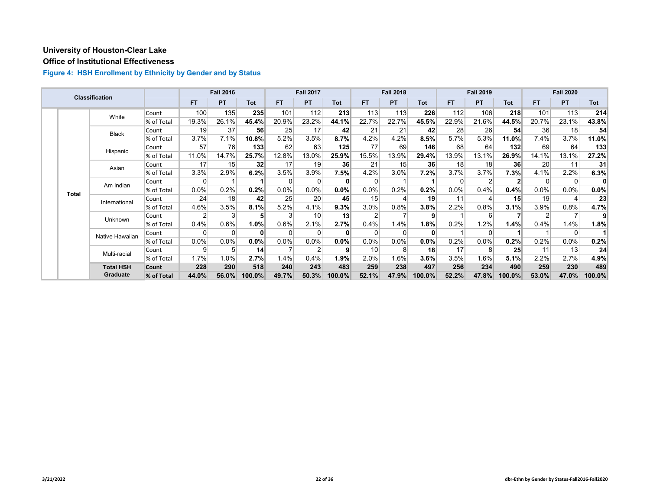# **Office of Institutional Effectiveness**

|  |              | Classification   |            |           | <b>Fall 2016</b> |          |          | <b>Fall 2017</b> |        |          | <b>Fall 2018</b> |              |           | <b>Fall 2019</b> |              |       | <b>Fall 2020</b> |         |
|--|--------------|------------------|------------|-----------|------------------|----------|----------|------------------|--------|----------|------------------|--------------|-----------|------------------|--------------|-------|------------------|---------|
|  |              |                  |            | <b>FT</b> | PT               | Tot      | FT.      | <b>PT</b>        | Tot    | FT.      | <b>PT</b>        | <b>Tot</b>   | <b>FT</b> | <b>PT</b>        | <b>Tot</b>   | FT.   | <b>PT</b>        | Tot     |
|  |              | White            | Count      | 100       | 135              | 235      | 101      | 112              | 213    | 113      | 113              | 226          | 112       | 106              | 218          | 101   | 113              | 214     |
|  |              |                  | % of Total | 19.3%     | 26.1%            | 45.4%    | 20.9%    | 23.2%            | 44.1%  | 22.7%    | 22.7%            | 45.5%        | 22.9%     | 21.6%            | 44.5%        | 20.7% | 23.1%            | 43.8%   |
|  |              | <b>Black</b>     | Count      | 19        | 37               | 56       | 25       | 17               | 42     | 21       | 21               | 42           | 28        | 26               | 54           | 36    | 18               | 54      |
|  |              |                  | % of Total | 3.7%      | 7.1%             | 10.8%    | 5.2%     | 3.5%             | 8.7%   | 4.2%     | 4.2%             | 8.5%         | 5.7%      | 5.3%             | 11.0%        | 7.4%  | 3.7%             | 11.0%   |
|  |              | Hispanic         | Count      | 57        | 76               | 133      | 62       | 63               | 125    | 77       | 69               | 146          | 68        | 64               | 132          | 69    | 64               | 133     |
|  |              |                  | % of Total | 11.0%     | 14.7%            | 25.7%    | 12.8%    | 13.0%            | 25.9%  | 15.5%    | 13.9%            | 29.4%        | 13.9%     | 13.1%            | 26.9%        | 14.1% | 13.1%            | 27.2%   |
|  |              | Asian            | Count      | 17        | 15               | 32       | 17       | 19               | 36     | 21       | 15               | 36           | 18        | 18               | 36           | 20    | 11               | 31      |
|  |              |                  | % of Total | 3.3%      | 2.9%             | 6.2%     | 3.5%     | 3.9%             | 7.5%   | 4.2%     | 3.0%             | 7.2%         | $3.7\%$   | 3.7%             | 7.3%         | 4.1%  | 2.2%             | 6.3%    |
|  | <b>Total</b> | Am Indian        | Count      | $\Omega$  |                  |          | $\Omega$ | 0                | 0      | 0        |                  |              |           |                  | $\mathbf{2}$ | 0     | 0                | 0       |
|  |              |                  | % of Total | $0.0\%$   | 0.2%             | 0.2%     | $0.0\%$  | $0.0\%$          | 0.0%   | 0.0%     | 0.2%             | 0.2%         | 0.0%      | 0.4%             | 0.4%         | 0.0%  | $0.0\%$          | $0.0\%$ |
|  |              | International    | Count      | 24        | 18               | 42       | 25       | 20               | 45     | 15       |                  | 19           | 11        |                  | 15           | 19    | 4                | 23      |
|  |              |                  | % of Total | 4.6%      | 3.5%             | 8.1%     | 5.2%     | 4.1%             | 9.3%   | 3.0%     | 0.8%             | 3.8%         | 2.2%      | 0.8%             | 3.1%         | 3.9%  | 0.8%             | 4.7%    |
|  |              | Unknown          | Count      |           | 3                | 5        |          | 10               | 13     |          |                  | 9            |           | $6 \overline{6}$ |              |       |                  | 91      |
|  |              |                  | % of Total | 0.4%      | 0.6%             | $1.0\%$  | 0.6%     | 2.1%             | 2.7%   | 0.4%     | 1.4%             | 1.8%         | 0.2%      | 1.2%             | 1.4%         | 0.4%  | 1.4%             | 1.8%    |
|  |              | Native Hawaiian  | Count      | 0         | 0                | $\bf{0}$ | $\Omega$ | 0                | 0      | $\Omega$ |                  | $\mathbf{0}$ |           | $\Omega$         |              |       | 0                |         |
|  |              |                  | % of Total | $0.0\%$   | 0.0%             | $0.0\%$  | $0.0\%$  | $0.0\%$          | 0.0%   | 0.0%     | 0.0%             | 0.0%         | 0.2%      | 0.0%             | 0.2%         | 0.2%  | $0.0\%$          | 0.2%    |
|  |              | Multi-racial     | Count      | 9         | 5                | 14       |          | $\overline{2}$   | 9      | 10       |                  | 18           | 17        | 8                | 25           | 11    | 13               | 24      |
|  |              |                  | % of Total | 1.7%      | 1.0%             | 2.7%     | 1.4%     | 0.4%             | 1.9%   | 2.0%     | 1.6%             | 3.6%         | 3.5%      | $1.6\%$          | 5.1%         | 2.2%  | 2.7%             | 4.9%    |
|  |              | <b>Total HSH</b> | Count      | 228       | 290              | 518      | 240      | 243              | 483    | 259      | 238              | 497          | 256       | 234              | 490          | 259   | 230              | 489     |
|  |              | Graduate         | % of Total | 44.0%     | 56.0%            | 100.0%   | 49.7%    | 50.3%            | 100.0% | 52.1%    | 47.9%            | 100.0%       | 52.2%     | 47.8%            | 100.0%       | 53.0% | 47.0%            | 100.0%  |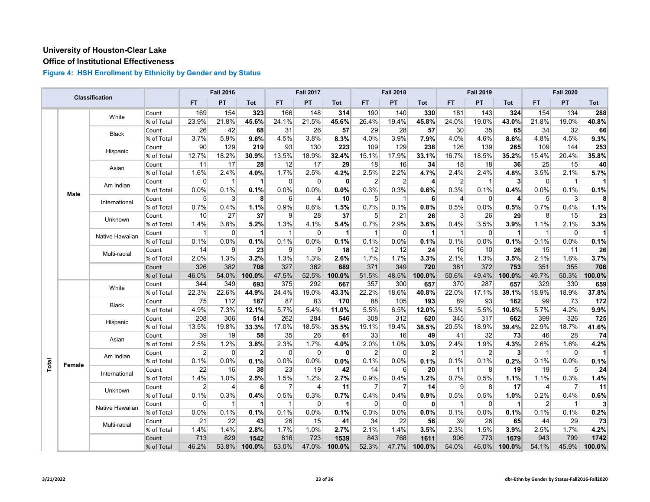# **Office of Institutional Effectiveness**

|       |             | Classification  |            |                | <b>Fall 2016</b> |                      |                | <b>Fall 2017</b> |              |                | <b>Fall 2018</b> |                |                | <b>Fall 2019</b> |                      |                | <b>Fall 2020</b> |                |
|-------|-------------|-----------------|------------|----------------|------------------|----------------------|----------------|------------------|--------------|----------------|------------------|----------------|----------------|------------------|----------------------|----------------|------------------|----------------|
|       |             |                 |            | <b>FT</b>      | PT               | Tot                  | <b>FT</b>      | PT               | <b>Tot</b>   | FT.            | PT               | Tot            | <b>FT</b>      | <b>PT</b>        | <b>Tot</b>           | <b>FT</b>      | <b>PT</b>        | Tot            |
|       |             | White           | Count      | 169            | 154              | 323                  | 166            | 148              | 314          | 190            | 140              | 330            | 181            | 143              | 324                  | 154            | 134              | 288            |
|       |             |                 | % of Total | 23.9%          | 21.8%            | 45.6%                | 24.1%          | 21.5%            | 45.6%        | 26.4%          | 19.4%            | 45.8%          | 24.0%          | 19.0%            | 43.0%                | 21.8%          | 19.0%            | 40.8%          |
|       |             | Black           | Count      | 26             | 42               | 68                   | 31             | 26               | 57           | 29             | 28               | 57             | 30             | 35               | 65                   | 34             | 32               | 66             |
|       |             |                 | % of Total | 3.7%           | 5.9%             | 9.6%                 | 4.5%           | 3.8%             | 8.3%         | 4.0%           | 3.9%             | 7.9%           | 4.0%           | 4.6%             | 8.6%                 | 4.8%           | 4.5%             | 9.3%           |
|       |             | Hispanic        | Count      | 90             | 129              | 219                  | 93             | 130              | 223          | 109            | 129              | 238            | 126            | 139              | 265                  | 109            | 144              | 253            |
|       |             |                 | % of Total | 12.7%          | 18.2%            | 30.9%                | 13.5%          | 18.9%            | 32.4%        | 15.1%          | 17.9%            | 33.1%          | 16.7%          | 18.5%            | 35.2%                | 15.4%          | 20.4%            | 35.8%          |
|       |             | Asian           | Count      | 11             | 17               | 28                   | 12             | 17               | 29           | 18             | 16               | 34             | 18             | 18               | 36                   | 25             | 15               | 40             |
|       |             |                 | % of Total | 1.6%           | 2.4%             | 4.0%                 | 1.7%           | 2.5%             | 4.2%         | 2.5%           | 2.2%             | 4.7%           | 2.4%           | 2.4%             | 4.8%                 | 3.5%           | 2.1%             | 5.7%           |
|       |             | Am Indian       | Count      | 0              | $\mathbf{1}$     | $\blacktriangleleft$ | $\mathbf 0$    | $\overline{0}$   | 0            | $\overline{2}$ | $\overline{2}$   | 4              | $\overline{2}$ | $\mathbf{1}$     | 3 <sup>1</sup>       | $\mathbf 0$    | $\mathbf{1}$     |                |
|       | <b>Male</b> |                 | % of Total | 0.0%           | 0.1%             | 0.1%                 | 0.0%           | 0.0%             | 0.0%         | 0.3%           | 0.3%             | 0.6%           | 0.3%           | 0.1%             | 0.4%                 | 0.0%           | 0.1%             | 0.1%           |
|       |             | International   | Count      | 5              | 3                | 8 <sup>1</sup>       | 6              | $\overline{4}$   | 10           | 5              | $\mathbf 1$      | 6              | $\overline{4}$ | $\Omega$         | $\overline{4}$       | 5 <sup>1</sup> | $\overline{3}$   | 8              |
|       |             |                 | % of Total | 0.7%           | 0.4%             | 1.1%                 | 0.9%           | 0.6%             | 1.5%         | 0.7%           | 0.1%             | 0.8%           | 0.5%           | 0.0%             | 0.5%                 | 0.7%           | 0.4%             | 1.1%           |
|       |             | Unknown         | Count      | 10             | 27               | 37                   | 9              | 28               | 37           | 5              | 21               | 26             | 3              | 26               | 29                   | 8              | 15               | 23             |
|       |             |                 | % of Total | 1.4%           | 3.8%             | 5.2%                 | 1.3%           | 4.1%             | 5.4%         | 0.7%           | 2.9%             | 3.6%           | 0.4%           | 3.5%             | 3.9%                 | 1.1%           | 2.1%             | 3.3%           |
|       |             | Native Hawaiian | Count      | 1              | $\Omega$         | $\mathbf 1$          | $\mathbf{1}$   | $\overline{0}$   | $\vert$      | $\mathbf 1$    | $\Omega$         | $\mathbf{1}$   | $\mathbf{1}$   | $\Omega$         | $\mathbf 1$          | $\overline{1}$ | $\overline{0}$   | $\mathbf{1}$   |
|       |             |                 | % of Total | 0.1%           | 0.0%             | 0.1%                 | 0.1%           | 0.0%             | 0.1%         | 0.1%           | 0.0%             | 0.1%           | 0.1%           | 0.0%             | 0.1%                 | 0.1%           | 0.0%             | 0.1%           |
|       |             | Multi-racial    | Count      | 14             | 9                | 23                   | 9              | 9                | 18           | 12             | 12               | 24             | 16             | 10               | 26                   | 15             | 11               | 26             |
|       |             |                 | % of Total | 2.0%           | 1.3%             | 3.2%                 | 1.3%           | 1.3%             | 2.6%         | 1.7%           | 1.7%             | 3.3%           | 2.1%           | 1.3%             | 3.5%                 | 2.1%           | 1.6%             | 3.7%           |
|       |             |                 | Count      | 326            | 382              | 708                  | 327            | 362              | 689          | 371            | 349              | 720            | 381            | 372              | 753                  | 351            | 355              | 706            |
|       |             |                 | % of Total | 46.0%          | 54.0%            | 100.0%               | 47.5%          | 52.5%            | 100.0%       | 51.5%          | 48.5%            | 100.0%         | 50.6%          | 49.4%            | 100.0%               | 49.7%          | 50.3%            | 100.0%         |
|       |             | White           | Count      | 344            | 349              | 693                  | 375            | 292              | 667          | 357            | 300              | 657            | 370            | 287              | 657                  | 329            | 330              | 659            |
|       |             |                 | % of Total | 22.3%          | 22.6%            | 44.9%                | 24.4%          | 19.0%            | 43.3%        | 22.2%          | 18.6%            | 40.8%          | 22.0%          | 17.1%            | 39.1%                | 18.9%          | 18.9%            | 37.8%          |
|       |             | <b>Black</b>    | Count      | 75             | 112              | 187                  | 87             | 83               | 170          | 88             | 105              | 193            | 89             | 93               | 182                  | 99             | 73               | 172            |
|       |             |                 | % of Total | 4.9%           | 7.3%             | 12.1%                | 5.7%           | 5.4%             | 11.0%        | 5.5%           | 6.5%             | 12.0%          | 5.3%           | 5.5%             | 10.8%                | 5.7%           | 4.2%             | 9.9%           |
|       |             | Hispanic        | Count      | 208            | 306              | 514                  | 262            | 284              | 546          | 308            | 312              | 620            | 345            | 317              | 662                  | 399            | 326              | 725            |
|       |             |                 | % of Total | 13.5%          | 19.8%            | 33.3%                | 17.0%          | 18.5%            | 35.5%        | 19.1%          | 19.4%            | 38.5%          | 20.5%          | 18.9%            | 39.4%                | 22.9%          | 18.7%            | 41.6%          |
|       |             | Asian           | Count      | 39             | 19               | 58                   | 35             | 26               | 61           | 33             | 16               | 49             | 41             | 32               | 73                   | 46             | 28               | 74             |
|       |             |                 | % of Total | 2.5%           | 1.2%             | 3.8%                 | 2.3%           | 1.7%             | 4.0%         | 2.0%           | 1.0%             | 3.0%           | 2.4%           | 1.9%             | 4.3%                 | 2.6%           | 1.6%             | 4.2%           |
|       |             | Am Indian       | Count      | $\overline{2}$ | $\mathbf{0}$     | $\mathbf{2}$         | $\mathbf 0$    | $\Omega$         | $\mathbf{0}$ | $\overline{2}$ | $\Omega$         | $\overline{2}$ | 1              | $\overline{2}$   | 3 <sup>1</sup>       | $\overline{1}$ | $\mathbf 0$      | 11             |
| Total | Female      |                 | % of Total | 0.1%           | 0.0%             | 0.1%                 | 0.0%           | 0.0%             | 0.0%         | 0.1%           | 0.0%             | 0.1%           | 0.1%           | 0.1%             | 0.2%                 | 0.1%           | 0.0%             | 0.1%           |
|       |             | International   | Count      | 22             | 16               | 38                   | 23             | 19               | 42           | 14             | $6 \mid$         | 20             | 11             | 8                | 19                   | 19             | 5 <sup>5</sup>   | 24             |
|       |             |                 | % of Total | 1.4%           | 1.0%             | 2.5%                 | 1.5%           | 1.2%             | 2.7%         | 0.9%           | 0.4%             | 1.2%           | 0.7%           | 0.5%             | 1.1%                 | 1.1%           | 0.3%             | 1.4%           |
|       |             | Unknown         | Count      | 2              | 4                | 6                    | $\overline{7}$ | 4                | 11           | $\overline{7}$ | 7                | 14             | 9              | 8                | 17                   | 4              | $\overline{7}$   | 11             |
|       |             |                 | % of Total | 0.1%           | 0.3%             | 0.4%                 | 0.5%           | 0.3%             | 0.7%         | 0.4%           | 0.4%             | 0.9%           | 0.5%           | 0.5%             | 1.0%                 | 0.2%           | 0.4%             | 0.6%           |
|       |             | Native Hawaiian | Count      | $\mathbf 0$    | $\mathbf{1}$     | 1                    | $\mathbf{1}$   | $\Omega$         | $\vert$ 1    | $\Omega$       | $\Omega$         | $\mathbf{0}$   | $\overline{1}$ | $\Omega$         | $\blacktriangleleft$ | $\overline{2}$ | $\mathbf{1}$     | 3 <sup>l</sup> |
|       |             |                 | % of Total | 0.0%           | 0.1%             | 0.1%                 | 0.1%           | 0.0%             | 0.1%         | 0.0%           | 0.0%             | 0.0%           | 0.1%           | 0.0%             | 0.1%                 | 0.1%           | 0.1%             | 0.2%           |
|       |             | Multi-racial    | Count      | 21             | 22               | 43                   | 26             | 15               | 41           | 34             | 22               | 56             | 39             | 26               | 65                   | 44             | 29               | 73             |
|       |             |                 | % of Total | 1.4%           | 1.4%             | 2.8%                 | 1.7%           | 1.0%             | 2.7%         | 2.1%           | 1.4%             | 3.5%           | 2.3%           | 1.5%             | 3.9%                 | 2.5%           | 1.7%             | 4.2%           |
|       |             |                 | Count      | 713            | 829              | 1542                 | 816            | 723              | 1539         | 843            | 768              | 1611           | 906            | 773              | 1679                 | 943            | 799              | 1742           |
|       |             |                 | % of Total | 46.2%          | 53.8%            | 100.0%               | 53.0%          | 47.0%            | 100.0%       | 52.3%          | 47.7%            | 100.0%         | 54.0%          | 46.0%            | $100.0\%$            | 54.1%          | 45.9%            | 100.0%         |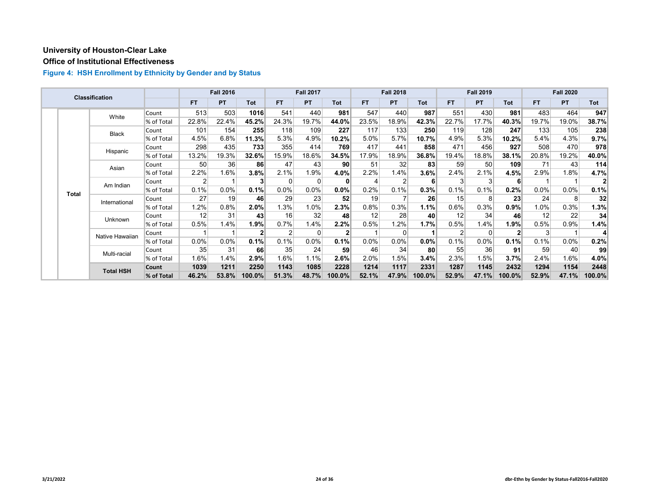# **Office of Institutional Effectiveness**

|  |                  | Classification  |                 |           | <b>Fall 2016</b> |                |                | <b>Fall 2017</b> |         |       | <b>Fall 2018</b> |            |                 | <b>Fall 2019</b> |            |       | <b>Fall 2020</b> |       |
|--|------------------|-----------------|-----------------|-----------|------------------|----------------|----------------|------------------|---------|-------|------------------|------------|-----------------|------------------|------------|-------|------------------|-------|
|  |                  |                 |                 | <b>FT</b> | <b>PT</b>        | Tot            | <b>FT</b>      | <b>PT</b>        | Tot     | FT.   | <b>PT</b>        | <b>Tot</b> | FT.             | <b>PT</b>        | <b>Tot</b> | FT.   | <b>PT</b>        | Tot   |
|  |                  | White           | Count           | 513       | 503              | 1016           | 541            | 440              | 981     | 547   | 440              | 987        | 551             | 430              | 981        | 483   | 464              | 947   |
|  |                  |                 | % of Total      | 22.8%     | 22.4%            | 45.2%          | 24.3%          | 19.7%            | 44.0%   | 23.5% | 18.9%            | 42.3%      | 22.7%           | 17.7%            | 40.3%      | 19.7% | 19.0%            | 38.7% |
|  |                  | <b>Black</b>    | Count           | 101       | 154              | 255            | 118            | 109              | 227     | 117   | 133              | 250        | 119             | 128              | 247        | 133   | 105              | 238   |
|  |                  |                 | % of Total      | 4.5%      | 6.8%             | 11.3%          | 5.3%           | 4.9%             | 10.2%   | 5.0%  | 5.7%             | 10.7%      | 4.9%            | 5.3%             | 10.2%      | 5.4%  | 4.3%             | 9.7%  |
|  |                  | Hispanic        | Count           | 298       | 435              | 733            | 355            | 414              | 769     | 417   | 441              | 858        | 471             | 456              | 927        | 508   | 470              | 978   |
|  |                  |                 | % of Total      | 13.2%     | 19.3%            | 32.6%          | 15.9%          | 18.6%            | 34.5%   | 17.9% | 18.9%            | 36.8%      | 19.4%           | 18.8%            | 38.1%      | 20.8% | 19.2%            | 40.0% |
|  | Asian            | Count           | 50 <sub>0</sub> | 36        | 86               | 47             | 43             | 90 <sub>l</sub>  | 51      | 32    | 83               | 59         | 50 <sub>0</sub> | 109              | 71         | 43    | 114              |       |
|  |                  |                 | % of Total      | 2.2%      | 1.6%             | 3.8%           | 2.1%           | 1.9%             | 4.0%    | 2.2%  | 1.4%             | 3.6%       | 2.4%            | 2.1%             | 4.5%       | 2.9%  | 1.8%             | 4.7%  |
|  | <b>Total</b>     | Am Indian       | Count           | 2         |                  | 3              |                | 0                | 0       | 4     |                  | 6          | 3               | 3                | 6          |       |                  |       |
|  |                  |                 | % of Total      | 0.1%      | 0.0%             | 0.1%           | 0.0%           | 0.0%             | 0.0%    | 0.2%  | 0.1%             | 0.3%       | 0.1%            | 0.1%             | 0.2%       | 0.0%  | $0.0\%$          | 0.1%  |
|  |                  | International   | Count           | 27        | 19               | 46             | 29             | 23               | 52      | 19    |                  | 26         | 15              | 8                | 23         | 24    | 8                | 32    |
|  |                  |                 | % of Total      | 1.2%      | 0.8%             | $2.0\%$        | 1.3%           | 1.0%             | 2.3%    | 0.8%  | 0.3%             | 1.1%       | 0.6%            | 0.3%             | 0.9%       | 1.0%  | 0.3%             | 1.3%  |
|  |                  | Unknown         | Count           | 12        | 31               | 43             | 16             | 32               | 48      | 12    | 28               | 40         | 12              | 34               | 46         | 12    | 22               | 34    |
|  |                  |                 | % of Total      | 0.5%      | 1.4%             | 1.9%           | 0.7%           | 1.4%             | 2.2%    | 0.5%  | 1.2%             | 1.7%       | 0.5%            | 1.4%             | 1.9%       | 0.5%  | 0.9%             | 1.4%  |
|  |                  | Native Hawaiian | Count           |           |                  | 2 <sup>1</sup> | $\overline{2}$ | 0                |         |       |                  |            | 2               | $\Omega$         | 2          | 3     |                  | 4     |
|  |                  |                 | % of Total      | $0.0\%$   | 0.0%             | 0.1%           | 0.1%           | 0.0%             | 0.1%    | 0.0%  | 0.0%             | 0.0%       | 0.1%            | $0.0\%$          | 0.1%       | 0.1%  | $0.0\%$          | 0.2%  |
|  |                  | Multi-racial    | Count           | 35        | 31               | 66             | 35             | 24               | 59      | 46    | 34               | 80         | 55              | 36               | 91         | 59    | 40               | 99    |
|  |                  |                 | % of Total      | 1.6%      | 1.4%             | 2.9%           | 1.6%           | 1.1%             | $2.6\%$ | 2.0%  | 1.5%             | 3.4%       | 2.3%            | 1.5%             | 3.7%       | 2.4%  | 1.6%             | 4.0%  |
|  |                  |                 | Count           | 1039      | 1211             | 2250           | 1143           | 1085             | 2228    | 1214  | 1117             | 2331       | 1287            | 1145             | 2432       | 1294  | 1154             | 2448  |
|  | <b>Total HSH</b> | % of Total      | 46.2%           | 53.8%     | 100.0%           | 51.3%          | 48.7%          | 100.0%           | 52.1%   | 47.9% | 100.0%           | 52.9%      | 47.1%           | 100.0%           | 52.9%      | 47.1% | 100.0%           |       |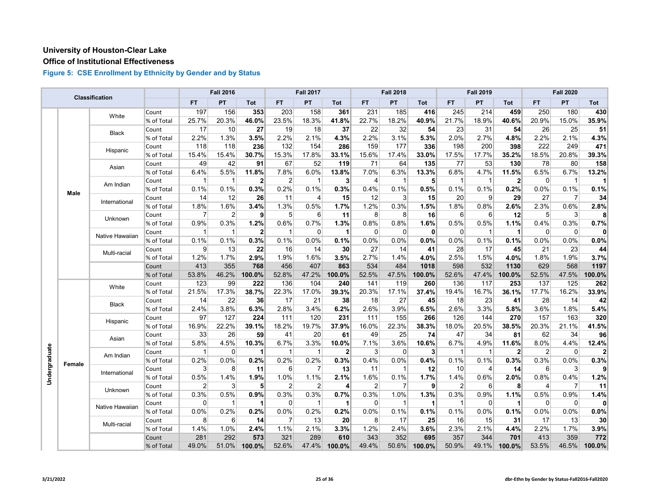#### **Office of Institutional Effectiveness**

|               |        | Classification  |            |                | <b>Fall 2016</b> |                |                | <b>Fall 2017</b> |                |                | <b>Fall 2018</b> |              |                | <b>Fall 2019</b> |              |           | <b>Fall 2020</b> |              |
|---------------|--------|-----------------|------------|----------------|------------------|----------------|----------------|------------------|----------------|----------------|------------------|--------------|----------------|------------------|--------------|-----------|------------------|--------------|
|               |        |                 |            | FT.            | PT               | <b>Tot</b>     | FT.            | PT               | Tot            | FT.            | PT               | Tot          | <b>FT</b>      | PT               | <b>Tot</b>   | <b>FT</b> | PT               | Tot          |
|               |        | White           | Count      | 197            | 156              | 353            | 203            | 158              | 361            | 231            | 185              | 416          | 245            | 214              | 459          | 250       | 180              | 430          |
|               |        |                 | % of Total | 25.7%          | 20.3%            | 46.0%          | 23.5%          | 18.3%            | 41.8%          | 22.7%          | 18.2%            | 40.9%        | 21.7%          | 18.9%            | 40.6%        | 20.9%     | 15.0%            | 35.9%        |
|               |        | <b>Black</b>    | Count      | 17             | 10               | 27             | 19             | 18               | 37             | 22             | 32               | 54           | 23             | 31               | 54           | 26        | 25               | 51           |
|               |        |                 | % of Total | 2.2%           | 1.3%             | 3.5%           | 2.2%           | 2.1%             | 4.3%           | 2.2%           | 3.1%             | 5.3%         | 2.0%           | 2.7%             | 4.8%         | 2.2%      | 2.1%             | 4.3%         |
|               |        | Hispanic        | Count      | 118            | 118              | 236            | 132            | 154              | 286            | 159            | 177              | 336          | 198            | 200              | 398          | 222       | 249              | 471          |
|               |        |                 | % of Total | 15.4%          | 15.4%            | 30.7%          | 15.3%          | 17.8%            | 33.1%          | 15.6%          | 17.4%            | 33.0%        | 17.5%          | 17.7%            | 35.2%        | 18.5%     | 20.8%            | 39.3%        |
|               |        |                 | Count      | 49             | 42               | 91             | 67             | 52               | 119            | 71             | 64               | 135          | 77             | 53               | 130          | 78        | 80               | 158          |
|               |        | Asian           | % of Total | 6.4%           | 5.5%             | 11.8%          | 7.8%           | 6.0%             | 13.8%          | 7.0%           | 6.3%             | 13.3%        | 6.8%           | 4.7%             | 11.5%        | 6.5%      | 6.7%             | 13.2%        |
|               |        | Am Indian       | Count      | 1              | $\mathbf{1}$     | $\mathbf{2}$   | 2              | $\mathbf{1}$     | 3              | 4              | $\mathbf 1$      | 5            | -1             | $\overline{1}$   | $\mathbf{2}$ | $\Omega$  | $\mathbf{1}$     | 1            |
|               | Male   |                 | % of Total | 0.1%           | 0.1%             | 0.3%           | 0.2%           | 0.1%             | 0.3%           | 0.4%           | 0.1%             | 0.5%         | 0.1%           | 0.1%             | 0.2%         | 0.0%      | 0.1%             | 0.1%         |
|               |        | International   | Count      | 14             | 12               | 26             | 11             | 4                | 15             | 12             | $\mathbf{3}$     | 15           | 20             | 9                | 29           | 27        | 7                | 34           |
|               |        |                 | % of Total | 1.8%           | 1.6%             | 3.4%           | 1.3%           | 0.5%             | 1.7%           | 1.2%           | 0.3%             | 1.5%         | 1.8%           | 0.8%             | 2.6%         | 2.3%      | 0.6%             | 2.8%         |
|               |        |                 | Count      | 7              | $\overline{2}$   | $\mathbf{9}$   | 5              | 6                | 11             | 8              | 8                | 16           | 6              | 6                | 12           | 5         | 3                | 8            |
|               |        | Unknown         | % of Total | 0.9%           | 0.3%             | 1.2%           | 0.6%           | 0.7%             | 1.3%           | 0.8%           | 0.8%             | 1.6%         | 0.5%           | 0.5%             | 1.1%         | 0.4%      | 0.3%             | 0.7%         |
|               |        |                 | Count      | $\mathbf{1}$   | $\mathbf{1}$     | $\mathbf{2}$   | $\overline{1}$ | 0                | 1              | $\mathbf{0}$   | $\Omega$         | $\mathbf{0}$ | $\Omega$       | $\overline{1}$   | 1            | $\Omega$  | $\mathbf 0$      | $\mathbf{0}$ |
|               |        | Native Hawaiian | % of Total | 0.1%           | 0.1%             | 0.3%           | 0.1%           | 0.0%             | 0.1%           | 0.0%           | 0.0%             | 0.0%         | 0.0%           | 0.1%             | 0.1%         | 0.0%      | 0.0%             | 0.0%         |
|               |        |                 | Count      | $\overline{9}$ | 13               | 22             | 16             | 14               | 30             | 27             | 14               | 41           | 28             | 17               | 45           | 21        | 23               | 44           |
|               |        | Multi-racial    | % of Total | 1.2%           | 1.7%             | 2.9%           | 1.9%           | 1.6%             | 3.5%           | 2.7%           | 1.4%             | 4.0%         | 2.5%           | 1.5%             | 4.0%         | 1.8%      | 1.9%             | 3.7%         |
|               |        |                 | Count      | 413            | 355              | 768            | 456            | 407              | 863            | 534            | 484              | 1018         | 598            | 532              | 1130         | 629       | 568              | 1197         |
|               |        |                 | % of Total | 53.8%          | 46.2%            | 100.0%         | 52.8%          | 47.2%            | 100.0%         | 52.5%          | 47.5%            | 100.0%       | 52.6%          | 47.4%            | 100.0%       | 52.5%     | 47.5%            | 100.0%       |
|               |        |                 | Count      | 123            | 99               | 222            | 136            | 104              | 240            | 141            | 119              | 260          | 136            | 117              | 253          | 137       | 125              | 262          |
|               |        | White           | % of Total | 21.5%          | 17.3%            | 38.7%          | 22.3%          | 17.0%            | 39.3%          | 20.3%          | 17.1%            | 37.4%        | 19.4%          | 16.7%            | 36.1%        | 17.7%     | 16.2%            | 33.9%        |
|               |        |                 | Count      | 14             | 22               | 36             | 17             | 21               | 38             | 18             | 27               | 45           | 18             | 23               | 41           | 28        | 14               | 42           |
|               |        | <b>Black</b>    | % of Total | 2.4%           | 3.8%             | 6.3%           | 2.8%           | 3.4%             | 6.2%           | 2.6%           | 3.9%             | 6.5%         | 2.6%           | 3.3%             | 5.8%         | 3.6%      | 1.8%             | 5.4%         |
|               |        |                 | Count      | 97             | 127              | 224            | 111            | 120              | 231            | 111            | 155              | 266          | 126            | 144              | 270          | 157       | 163              | 320          |
|               |        | Hispanic        | % of Total | 16.9%          | 22.2%            | 39.1%          | 18.2%          | 19.7%            | 37.9%          | 16.0%          | 22.3%            | 38.3%        | 18.0%          | 20.5%            | 38.5%        | 20.3%     | 21.1%            | 41.5%        |
|               |        |                 | Count      | 33             | 26               | 59             | 41             | 20               | 61             | 49             | 25               | 74           | 47             | 34               | 81           | 62        | 34               | 96           |
|               |        | Asian           | % of Total | $5.8\%$        | 4.5%             | 10.3%          | 6.7%           | 3.3%             | 10.0%          | 7.1%           | 3.6%             | 10.6%        | 6.7%           | 4.9%             | 11.6%        | 8.0%      | 4.4%             | 12.4%        |
|               |        |                 | Count      | 1              | 0                | 1              | $\mathbf{1}$   | $\mathbf 1$      | $\overline{2}$ | 3              | 0                | 3            | $\overline{1}$ | $\overline{1}$   | $\mathbf{2}$ | 2         | $\mathbf 0$      | $\mathbf{2}$ |
|               |        | Am Indian       | % of Total | 0.2%           | 0.0%             | 0.2%           | 0.2%           | 0.2%             | 0.3%           | 0.4%           | 0.0%             | 0.4%         | 0.1%           | 0.1%             | 0.3%         | 0.3%      | 0.0%             | 0.3%         |
|               | Female |                 | Count      | 3              | 8                | 11             | 6              | $\overline{7}$   | 13             | 11             | $\mathbf 1$      | 12           | 10             | $\overline{4}$   | 14           | $6 \vert$ | 3                | $\mathbf{9}$ |
| Undergraduate |        | International   | % of Total | 0.5%           | 1.4%             | 1.9%           | 1.0%           | 1.1%             | 2.1%           | 1.6%           | 0.1%             | 1.7%         | 1.4%           | 0.6%             | 2.0%         | 0.8%      | 0.4%             | 1.2%         |
|               |        |                 | Count      | $\overline{2}$ | 3                | 5 <sup>1</sup> | 2              | $\overline{2}$   | $\overline{4}$ | $\overline{2}$ | $\overline{7}$   | 9            | $\overline{2}$ | $6 \overline{6}$ | 8            | 4         | $\overline{7}$   | 11           |
|               |        | Unknown         | % of Total | 0.3%           | 0.5%             | 0.9%           | 0.3%           | 0.3%             | 0.7%           | 0.3%           | 1.0%             | 1.3%         | 0.3%           | 0.9%             | 1.1%         | 0.5%      | 0.9%             | 1.4%         |
|               |        |                 | Count      | $\overline{0}$ | $\mathbf{1}$     | 1              | $\overline{0}$ | $\overline{1}$   | 1              | 0              |                  | -1           | $\overline{1}$ | $\overline{0}$   | $\mathbf{1}$ | 0         | 0                | $\mathbf{0}$ |
|               |        | Native Hawaiian | % of Total | 0.0%           | 0.2%             | 0.2%           | 0.0%           | 0.2%             | 0.2%           | 0.0%           | 0.1%             | 0.1%         | 0.1%           | 0.0%             | 0.1%         | 0.0%      | 0.0%             | 0.0%         |
|               |        |                 | Count      | 8              | 6                | 14             | $\overline{7}$ | 13               | 20             | 8              | 17               | 25           | 16             | 15               | 31           | 17        | 13               | 30           |
|               |        | Multi-racial    | % of Total | 1.4%           | 1.0%             | 2.4%           | 1.1%           | 2.1%             | 3.3%           | 1.2%           | 2.4%             | 3.6%         | 2.3%           | 2.1%             | 4.4%         | 2.2%      | 1.7%             | 3.9%         |
|               |        |                 | Count      | 281            | 292              | 573            | 321            | 289              | 610            | 343            | 352              | 695          | 357            | 344              | 701          | 413       | 359              | 772          |
|               |        |                 | % of Total | 49.0%          | 51.0%            | 100.0%         | 52.6%          | 47.4%            | 100.0%         | 49.4%          | 50.6%            | 100.0%       | 50.9%          | 49.1%            | 100.0%       | 53.5%     | 46.5%            | 100.0%       |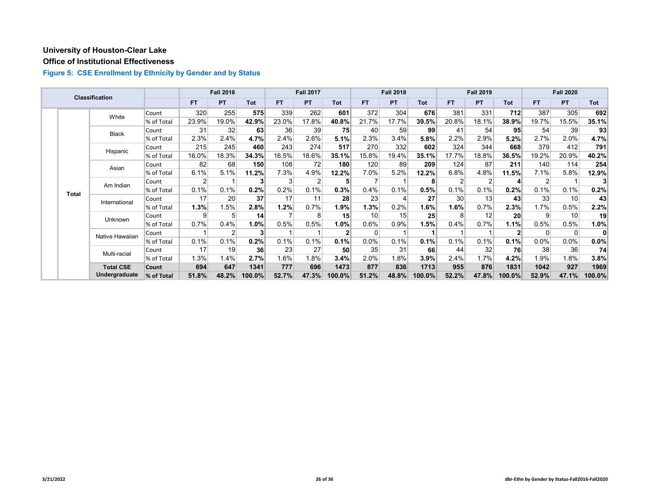#### **Office of Institutional Effectiveness**

|  |              | <b>Classification</b> |            |           | <b>Fall 2016</b> |                |           | <b>Fall 2017</b> |                 |          | <b>Fall 2018</b> |            |           | <b>Fall 2019</b> |                 |                | <b>Fall 2020</b> |         |
|--|--------------|-----------------------|------------|-----------|------------------|----------------|-----------|------------------|-----------------|----------|------------------|------------|-----------|------------------|-----------------|----------------|------------------|---------|
|  |              |                       |            | <b>FT</b> | PT               | Tot            | <b>FT</b> | <b>PT</b>        | Tot             | FT.      | <b>PT</b>        | <b>Tot</b> | <b>FT</b> | <b>PT</b>        | <b>Tot</b>      | <b>FT</b>      | <b>PT</b>        | Tot     |
|  |              | White                 | Count      | 320       | 255              | 575            | 339       | 262              | 601             | 372      | 304              | 676        | 381       | 331              | 712             | 387            | 305              | 692     |
|  |              |                       | % of Total | 23.9%     | 19.0%            | 42.9%          | 23.0%     | 17.8%            | 40.8%           | 21.7%    | 17.7%            | 39.5%      | 20.8%     | 18.1%            | 38.9%           | 19.7%          | 15.5%            | 35.1%   |
|  |              | <b>Black</b>          | Count      | 31        | 32               | 63             | 36        | 39               | 75              | 40       | 59               | 99         | 41        | 54               | 95              | 54             | 39               | 93      |
|  |              |                       | % of Total | 2.3%      | 2.4%             | 4.7%           | 2.4%      | 2.6%             | 5.1%            | 2.3%     | 3.4%             | 5.8%       | 2.2%      | 2.9%             | 5.2%            | 2.7%           | 2.0%             | 4.7%    |
|  |              | Hispanic              | Count      | 215       | 245              | 460            | 243       | 274              | 517             | 270      | 332              | 602        | 324       | 344              | 668             | 379            | 412              | 791     |
|  |              |                       | % of Total | 16.0%     | 18.3%            | 34.3%          | 16.5%     | 18.6%            | 35.1%           | 15.8%    | 19.4%            | 35.1%      | 17.7%     | 18.8%            | 36.5%           | 19.2%          | 20.9%            | 40.2%   |
|  |              | Asian                 | Count      | 82        | 68               | 150            | 108       | 72               | 180             | 120      | 89               | 209        | 124       | 87               | 211             | 140            | 114              | 254     |
|  |              |                       | % of Total | 6.1%      | 5.1%             | 11.2%          | 7.3%      | 4.9%             | 12.2%           | $7.0\%$  | 5.2%             | $12.2\%$   | 6.8%      | 4.8%             | 11.5%           | 7.1%           | 5.8%             | 12.9%   |
|  | <b>Total</b> | Am Indian             | Count      | 2         |                  | 3              | 3         | 2                | 5               |          |                  | 8          | 2         | 2                | 4               | $\overline{2}$ |                  |         |
|  |              |                       | % of Total | 0.1%      | 0.1%             | 0.2%           | 0.2%      | 0.1%             | 0.3%            | 0.4%     | 0.1%             | 0.5%       | 0.1%      | 0.1%             | 0.2%            | 0.1%           | 0.1%             | 0.2%    |
|  |              | International         | Count      | 17        | 20               | 37             | 17        | 11               | 28              | 23       |                  | 27         | 30        | 13               | 43              | 33             | 10               | 43      |
|  |              |                       | % of Total | 1.3%      | 1.5%             | 2.8%           | 1.2%      | 0.7%             | 1.9%            | 1.3%     | 0.2%             | 1.6%       | $1.6\%$   | 0.7%             | 2.3%            | 1.7%           | 0.5%             | 2.2%    |
|  |              | Unknown               | Count      | 9         | 5                | 14             |           | 8                | 15 <sup>1</sup> | 10       | 15               | 25         | 8         | 12               | 20 <sup>1</sup> | 9              | 10               | 19      |
|  |              |                       | % of Total | 0.7%      | 0.4%             | 1.0%           | 0.5%      | 0.5%             | 1.0%            | 0.6%     | 0.9%             | 1.5%       | 0.4%      | 0.7%             | 1.1%            | 0.5%           | 0.5%             | 1.0%    |
|  |              | Native Hawaiian       | Count      |           | 2                | 3 <sup>1</sup> |           |                  | $\overline{2}$  | $\Omega$ |                  |            |           |                  | $\mathbf{2}$    | $\Omega$       | 0                | 0       |
|  |              |                       | % of Total | 0.1%      | 0.1%             | 0.2%           | 0.1%      | 0.1%             | 0.1%            | 0.0%     | 0.1%             | 0.1%       | 0.1%      | 0.1%             | 0.1%            | 0.0%           | $0.0\%$          | 0.0%    |
|  |              | Multi-racial          | Count      | 17        | 19               | 36             | 23        | 27               | 50              | 35       | 31               | 66         | 44        | 32               | 76              | 38             | 36               | 74      |
|  |              |                       | % of Total | 1.3%      | 1.4%             | 2.7%           | 1.6%      | 1.8%             | 3.4%            | 2.0%     | 1.8%             | 3.9%       | 2.4%      | 1.7%             | 4.2%            | 1.9%           | 1.8%             | $3.8\%$ |
|  |              | <b>Total CSE</b>      | Count      | 694       | 647              | 1341           | 777       | 696              | 1473            | 877      | 836              | 1713       | 955       | 876              | 1831            | 1042           | 927              | 1969    |
|  |              | Undergraduate         | % of Total | 51.8%     | 48.2%            | 100.0%         | 52.7%     | 47.3%            | 100.0%          | 51.2%    | 48.8%            | 100.0%     | 52.2%     | 47.8%            | 100.0%          | 52.9%          | 47.1%            | 100.0%  |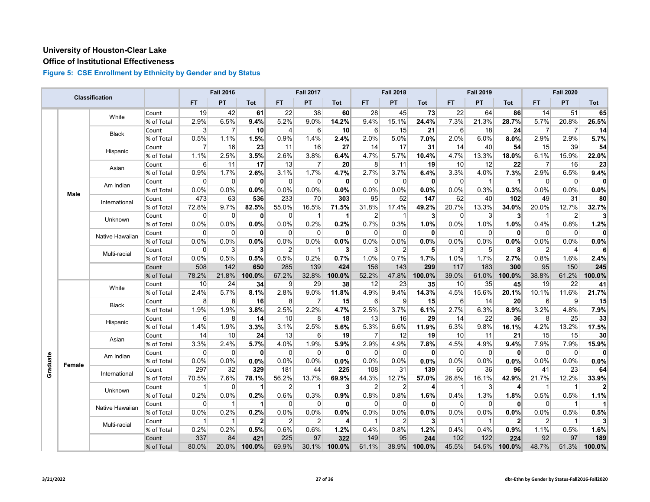#### **Office of Institutional Effectiveness**

|          |             | Classification  |            |                   | <b>Fall 2016</b> |              |                 | <b>Fall 2017</b> |                 |                | <b>Fall 2018</b> |              |                | <b>Fall 2019</b> |                         |                | <b>Fall 2020</b> |                 |
|----------|-------------|-----------------|------------|-------------------|------------------|--------------|-----------------|------------------|-----------------|----------------|------------------|--------------|----------------|------------------|-------------------------|----------------|------------------|-----------------|
|          |             |                 |            | <b>FT</b>         | PT               | Tot          | <b>FT</b>       | PT               | Tot             | <b>FT</b>      | PT               | Tot          | <b>FT</b>      | PT               | Tot                     | <b>FT</b>      | <b>PT</b>        | Tot             |
|          |             | White           | Count      | 19                | 42               | 61           | 22              | 38               | 60              | 28             | 45               | 73           | 22             | 64               | 86                      | 14             | 51               | 65              |
|          |             |                 | % of Total | 2.9%              | 6.5%             | 9.4%         | 5.2%            | 9.0%             | 14.2%           | 9.4%           | 15.1%            | 24.4%        | 7.3%           | 21.3%            | 28.7%                   | 5.7%           | 20.8%            | 26.5%           |
|          |             |                 | Count      | $\lvert 3 \rvert$ | $\overline{7}$   | 10           | $\overline{4}$  | 6                | 10 <sup>1</sup> | 6              | 15               | 21           | 6              | 18               | 24                      | $\overline{7}$ | $\overline{7}$   | 14              |
|          |             | Black           | % of Total | 0.5%              | 1.1%             | 1.5%         | 0.9%            | 1.4%             | 2.4%            | 2.0%           | 5.0%             | 7.0%         | 2.0%           | 6.0%             | 8.0%                    | 2.9%           | 2.9%             | 5.7%            |
|          |             |                 | Count      | $\overline{7}$    | 16               | 23           | 11              | 16               | 27              | 14             | 17               | 31           | 14             | 40               | 54                      | 15             | 39               | 54              |
|          |             | Hispanic        | % of Total | 1.1%              | 2.5%             | 3.5%         | 2.6%            | 3.8%             | 6.4%            | 4.7%           | 5.7%             | 10.4%        | 4.7%           | 13.3%            | 18.0%                   | 6.1%           | 15.9%            | 22.0%           |
|          |             | Asian           | Count      | 6                 | 11               | 17           | 13              | $\overline{7}$   | 20 <sup>1</sup> | 8              | 11               | 19           | 10             | 12               | 22                      | $\overline{7}$ | 16               | 23              |
|          |             |                 | % of Total | 0.9%              | 1.7%             | 2.6%         | 3.1%            | 1.7%             | 4.7%            | 2.7%           | 3.7%             | 6.4%         | 3.3%           | 4.0%             | 7.3%                    | 2.9%           | 6.5%             | 9.4%            |
|          |             | Am Indian       | Count      | $\Omega$          | $\overline{0}$   | $\mathbf{0}$ | $\overline{0}$  | 0                | 0               | 0              | $\Omega$         | $\mathbf{0}$ | $\overline{0}$ | $\mathbf{1}$     | 1                       | $\overline{0}$ | 0                | $\mathbf{0}$    |
|          | <b>Male</b> |                 | % of Total | 0.0%              | 0.0%             | 0.0%         | 0.0%            | 0.0%             | 0.0%            | 0.0%           | 0.0%             | 0.0%         | 0.0%           | 0.3%             | 0.3%                    | 0.0%           | 0.0%             | 0.0%            |
|          |             | International   | Count      | 473               | 63               | 536          | 233             | 70               | 303             | 95             | 52               | 147          | 62             | 40               | 102                     | 49             | 31               | 80              |
|          |             |                 | % of Total | 72.8%             | 9.7%             | 82.5%        | 55.0%           | 16.5%            | 71.5%           | 31.8%          | 17.4%            | 49.2%        | 20.7%          | 13.3%            | 34.0%                   | 20.0%          | 12.7%            | 32.7%           |
|          |             | Unknown         | Count      | $\Omega$          | $\Omega$         | $\bf{0}$     | 0               | $\mathbf{1}$     | $\mathbf{1}$    | $\overline{2}$ | 1                | 3            | $\Omega$       | 3                | 3                       | -1             | 2                | 3               |
|          |             |                 | % of Total | 0.0%              | 0.0%             | 0.0%         | 0.0%            | 0.2%             | 0.2%            | 0.7%           | 0.3%             | 1.0%         | 0.0%           | 1.0%             | 1.0%                    | 0.4%           | 0.8%             | 1.2%            |
|          |             | Native Hawaiian | Count      | $\mathbf 0$       | $\mathbf 0$      | $\mathbf{0}$ | 0               | $\mathbf 0$      | $\mathbf{0}$    | 0              | $\Omega$         | 0            | $\mathbf 0$    | $\mathbf 0$      | $\mathbf{0}$            | $\overline{0}$ | $\mathbf 0$      | $\mathbf{0}$    |
|          |             |                 | % of Total | 0.0%              | 0.0%             | 0.0%         | 0.0%            | 0.0%             | 0.0%            | 0.0%           | 0.0%             | 0.0%         | 0.0%           | 0.0%             | 0.0%                    | 0.0%           | 0.0%             | 0.0%            |
|          |             | Multi-racial    | Count      | 0                 | 3                | 3            | $\overline{2}$  | $\mathbf 1$      | $\mathbf{3}$    | 3              | $\overline{2}$   | 5            | 3              | 5                | 8                       | $\overline{2}$ | $\overline{4}$   | 6               |
|          |             |                 | % of Total | 0.0%              | 0.5%             | 0.5%         | 0.5%            | 0.2%             | 0.7%            | 1.0%           | 0.7%             | 1.7%         | 1.0%           | 1.7%             | 2.7%                    | 0.8%           | 1.6%             | 2.4%            |
|          |             |                 | Count      | 508               | 142              | 650          | 285             | 139              | 424             | 156            | 143              | 299          | 117            | 183              | 300                     | 95             | 150              | 245             |
|          |             |                 | % of Total | 78.2%             | 21.8%            | 100.0%       | 67.2%           | 32.8%            | 100.0%          | 52.2%          | 47.8%            | 100.0%       | 39.0%          | 61.0%            | 100.0%                  | 38.8%          | 61.2%            | 100.0%          |
|          |             | White           | Count      | 10                | 24               | 34           | $\vert 9 \vert$ | 29               | 38              | 12             | 23               | 35           | 10             | 35               | 45                      | 19             | 22               | 41              |
|          |             |                 | % of Total | 2.4%              | 5.7%             | 8.1%         | 2.8%            | 9.0%             | 11.8%           | 4.9%           | 9.4%             | 14.3%        | 4.5%           | 15.6%            | 20.1%                   | 10.1%          | 11.6%            | 21.7%           |
|          |             | <b>Black</b>    | Count      | 8                 | 8                | 16           | 8 <sup>1</sup>  | $\overline{7}$   | 15              | 6              | 9                | 15           | $6 \mid$       | 14               | 20                      | $6 \mid$       | 9                | 15              |
|          |             |                 | % of Total | 1.9%              | 1.9%             | 3.8%         | 2.5%            | 2.2%             | 4.7%            | 2.5%           | 3.7%             | 6.1%         | 2.7%           | 6.3%             | 8.9%                    | 3.2%           | 4.8%             | 7.9%            |
|          |             | Hispanic        | Count      | 6                 | 8                | 14           | 10              | 8                | 18              | 13             | 16               | 29           | 14             | 22               | 36                      | 8              | 25               | 33              |
|          |             |                 | % of Total | 1.4%              | 1.9%             | 3.3%         | 3.1%            | 2.5%             | 5.6%            | 5.3%           | 6.6%             | 11.9%        | 6.3%           | 9.8%             | 16.1%                   | 4.2%           | 13.2%            | 17.5%           |
|          |             | Asian           | Count      | 14                | 10               | 24           | 13              | 6                | 19              | $\overline{7}$ | 12               | 19           | 10             | 11               | 21                      | 15             | 15               | 30 <sub>l</sub> |
|          |             |                 | % of Total | 3.3%              | 2.4%             | 5.7%         | 4.0%            | 1.9%             | 5.9%            | 2.9%           | 4.9%             | 7.8%         | 4.5%           | 4.9%             | 9.4%                    | 7.9%           | 7.9%             | 15.9%           |
|          |             | Am Indian       | Count      | $\Omega$          | $\mathbf 0$      | $\mathbf{0}$ | $\overline{0}$  | $\mathbf 0$      | 0               | $\Omega$       | $\Omega$         | 0            | $\Omega$       | $\mathbf 0$      | $\mathbf{0}$            | 0              | $\mathbf 0$      | $\mathbf{0}$    |
| Graduate | Female      |                 | % of Total | 0.0%              | 0.0%             | 0.0%         | 0.0%            | 0.0%             | 0.0%            | 0.0%           | 0.0%             | 0.0%         | 0.0%           | 0.0%             | 0.0%                    | 0.0%           | 0.0%             | 0.0%            |
|          |             | International   | Count      | 297               | 32               | 329          | 181             | 44               | 225             | 108            | 31               | 139          | 60             | 36               | 96                      | 41             | 23               | 64              |
|          |             |                 | % of Total | 70.5%             | 7.6%             | 78.1%        | 56.2%           | 13.7%            | 69.9%           | 44.3%          | 12.7%            | 57.0%        | 26.8%          | 16.1%            | 42.9%                   | 21.7%          | 12.2%            | 33.9%           |
|          |             | Unknown         | Count      | -1                | $\overline{0}$   | 1            | $\overline{2}$  | $\overline{1}$   | 3               | $\overline{2}$ | $\overline{2}$   | 4            |                | 3                | $\overline{\mathbf{r}}$ | $\overline{1}$ | $\mathbf{1}$     | $\mathbf{2}$    |
|          |             |                 | % of Total | 0.2%              | $0.0\%$          | 0.2%         | 0.6%            | 0.3%             | 0.9%            | 0.8%           | 0.8%             | 1.6%         | 0.4%           | 1.3%             | 1.8%                    | 0.5%           | 0.5%             | 1.1%            |
|          |             | Native Hawaiian | Count      | $\Omega$          | $\mathbf{1}$     |              | $\Omega$        | $\Omega$         | $\mathbf{0}$    | $\Omega$       | $\Omega$         | $\mathbf{0}$ | $\Omega$       | $\Omega$         | 0                       | $\Omega$       | $\overline{1}$   |                 |
|          |             |                 | % of Total | 0.0%              | 0.2%             | 0.2%         | 0.0%            | 0.0%             | 0.0%            | 0.0%           | 0.0%             | 0.0%         | 0.0%           | 0.0%             | 0.0%                    | 0.0%           | 0.5%             | 0.5%            |
|          |             | Multi-racial    | Count      | -1                | $\mathbf 1$      | $\mathbf{2}$ | $\overline{2}$  | $\overline{2}$   | 4               | -1             | 2                | 3            | -1             | $\mathbf{1}$     | $\mathbf{2}$            | $\overline{2}$ | $\mathbf{1}$     | 3 <sup>1</sup>  |
|          |             |                 | % of Total | 0.2%              | 0.2%             | 0.5%         | 0.6%            | 0.6%             | 1.2%            | 0.4%           | 0.8%             | 1.2%         | 0.4%           | 0.4%             | 0.9%                    | 1.1%           | 0.5%             | 1.6%            |
|          |             |                 | Count      | 337               | 84               | 421          | 225             | 97               | 322             | 149            | 95               | 244          | 102            | 122              | 224                     | 92             | 97               | 189             |
|          |             |                 | % of Total | 80.0%             | 20.0%            | 100.0%       | 69.9%           | 30.1%            | 100.0%          | 61.1%          | 38.9%            | 100.0%       | 45.5%          | 54.5%            | 100.0%                  | 48.7%          | 51.3%            | 100.0%          |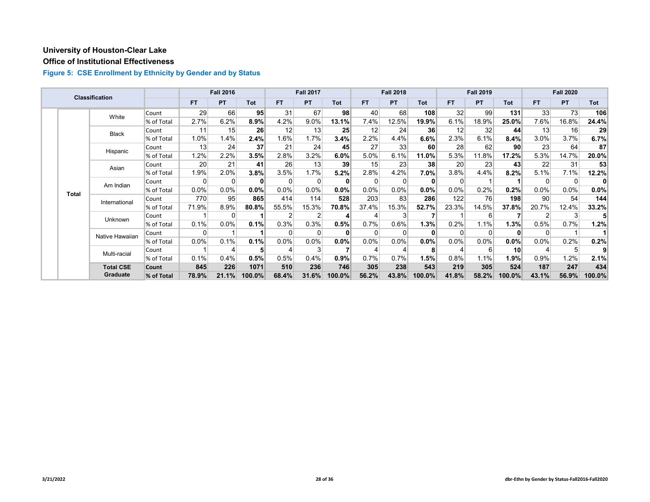#### **Office of Institutional Effectiveness**

|  |              | <b>Classification</b> |            |                 | <b>Fall 2016</b> |          |           | <b>Fall 2017</b> |        |          | <b>Fall 2018</b> |            |       | <b>Fall 2019</b> |                 |           | <b>Fall 2020</b> |         |
|--|--------------|-----------------------|------------|-----------------|------------------|----------|-----------|------------------|--------|----------|------------------|------------|-------|------------------|-----------------|-----------|------------------|---------|
|  |              |                       |            | <b>FT</b>       | <b>PT</b>        | Tot      | <b>FT</b> | <b>PT</b>        | Tot    | FT.      | <b>PT</b>        | <b>Tot</b> | FT.   | <b>PT</b>        | <b>Tot</b>      | <b>FT</b> | <b>PT</b>        | Tot     |
|  |              | White                 | Count      | 29              | 66               | 95       | 31        | 67               | 98     | 40       | 68               | 108        | 32    | 99               | 131             | 33        | 73               | 106     |
|  |              |                       | % of Total | 2.7%            | 6.2%             | 8.9%     | 4.2%      | 9.0%             | 13.1%  | 7.4%     | 12.5%            | 19.9%      | 6.1%  | 18.9%            | 25.0%           | 7.6%      | 16.8%            | 24.4%   |
|  |              | <b>Black</b>          | Count      | 11              | 15               | 26       | 12        | 13               | 25     | 12       | 24               | 36         | 12    | 32               | 44              | 13        | 16               | 29      |
|  |              |                       | % of Total | 1.0%            | 1.4%             | 2.4%     | 1.6%      | 1.7%             | 3.4%   | 2.2%     | 4.4%             | 6.6%       | 2.3%  | 6.1%             | 8.4%            | 3.0%      | 3.7%             | 6.7%    |
|  |              | Hispanic              | Count      | 13              | 24               | 37       | 21        | 24               | 45     | 27       | 33               | 60         | 28    | 62               | 90              | 23        | 64               | 87      |
|  |              |                       | % of Total | 1.2%            | 2.2%             | 3.5%     | 2.8%      | 3.2%             | 6.0%   | 5.0%     | 6.1%             | 11.0%      | 5.3%  | 11.8%            | 17.2%           | 5.3%      | 14.7%            | 20.0%   |
|  | Asian        |                       | Count      | 20 <sup>1</sup> | 21               | 41       | 26        | 13               | 39     | 15       | 23               | 38         | 20    | 23               | 43 <sup>1</sup> | 22        | 31               | 53      |
|  |              |                       | % of Total | 1.9%            | 2.0%             | 3.8%     | 3.5%      | 1.7%             | 5.2%   | 2.8%     | 4.2%             | 7.0%       | 3.8%  | 4.4%             | 8.2%            | 5.1%      | 7.1%             | 12.2%   |
|  | <b>Total</b> | Am Indian             | Count      | 0               | 0                | $\bf{0}$ | $\Omega$  | 0                |        | $\Omega$ |                  | 0          |       |                  |                 | $\Omega$  | 0                | 0       |
|  |              |                       | % of Total | 0.0%            | 0.0%             | $0.0\%$  | $0.0\%$   | 0.0%             | 0.0%   | $0.0\%$  | 0.0%             | 0.0%       | 0.0%  | 0.2%             | 0.2%            | 0.0%      | $0.0\%$          | $0.0\%$ |
|  |              | International         | Count      | 770             | 95               | 865      | 414       | 114              | 528    | 203      | 83               | 286        | 122   | 76               | 198             | 90        | 54               | 144     |
|  |              |                       | % of Total | 71.9%           | 8.9%             | 80.8%    | 55.5%     | 15.3%            | 70.8%  | 37.4%    | 15.3%            | 52.7%      | 23.3% | 14.5%            | 37.8%           | 20.7%     | 12.4%            | 33.2%   |
|  |              | Unknown               | Count      |                 | 0                |          |           | 2                |        |          |                  |            |       | 6                |                 |           | 3                |         |
|  |              |                       | % of Total | 0.1%            | 0.0%             | 0.1%     | 0.3%      | 0.3%             | 0.5%   | 0.7%     | 0.6%             | 1.3%       | 0.2%  | 1.1%             | 1.3%            | 0.5%      | 0.7%             | 1.2%    |
|  |              | Native Hawaiian       | Count      | 0               |                  |          | $\Omega$  | $\Omega$         |        |          |                  | 0          |       | $\Omega$         | $\mathbf{0}$    | $\Omega$  |                  |         |
|  |              |                       | % of Total | 0.0%            | 0.1%             | 0.1%     | 0.0%      | 0.0%             | 0.0%   | 0.0%     | 0.0%             | 0.0%       | 0.0%  | $0.0\%$          | $0.0\%$         | $0.0\%$   | 0.2%             | 0.2%    |
|  |              | Multi-racial          | Count      |                 |                  | 5        |           | 3                |        |          |                  | 8          |       | 6                | 10 <sup>1</sup> |           | 5                | 9       |
|  |              |                       | % of Total | 0.1%            | 0.4%             | 0.5%     | 0.5%      | 0.4%             | 0.9%   | 0.7%     | 0.7%             | 1.5%       | 0.8%  | 1.1%             | 1.9%            | 0.9%      | 1.2%             | 2.1%    |
|  |              | <b>Total CSE</b>      | Count      | 845             | 226              | 1071     | 510       | 236              | 746    | 305      | 238              | 543        | 219   | 305              | 524             | 187       | 247              | 434     |
|  |              | Graduate              | % of Total | 78.9%           | 21.1%            | 100.0%   | 68.4%     | 31.6%            | 100.0% | 56.2%    | 43.8%            | 100.0%     | 41.8% | 58.2%            | 100.0%          | 43.1%     | 56.9%            | 100.0%  |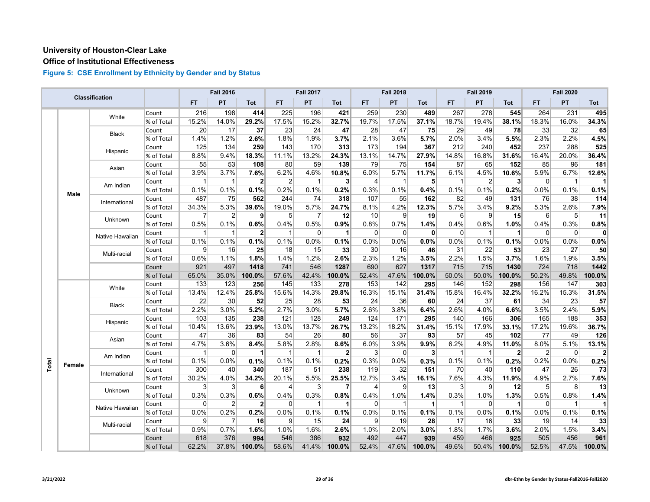#### **Office of Institutional Effectiveness**

|       |             | Classification  |            |           | <b>Fall 2016</b> |                |                | <b>Fall 2017</b> |                 |             | <b>Fall 2018</b> |             |             | <b>Fall 2019</b> |              |                | <b>Fall 2020</b> |              |
|-------|-------------|-----------------|------------|-----------|------------------|----------------|----------------|------------------|-----------------|-------------|------------------|-------------|-------------|------------------|--------------|----------------|------------------|--------------|
|       |             |                 |            | <b>FT</b> | PT               | Tot            | FT.            | <b>PT</b>        | Tot             | <b>FT</b>   | PT               | <b>Tot</b>  | <b>FT</b>   | PT               | Tot          | <b>FT</b>      | PT.              | Tot          |
|       |             | White           | Count      | 216       | 198              | 414            | 225            | 196              | 421             | 259         | 230              | 489         | 267         | 278              | 545          | 264            | 231              | 495          |
|       |             |                 | % of Total | 15.2%     | 14.0%            | 29.2%          | 17.5%          | 15.2%            | 32.7%           | 19.7%       | 17.5%            | 37.1%       | 18.7%       | 19.4%            | 38.1%        | 18.3%          | 16.0%            | 34.3%        |
|       |             |                 | Count      | 20        | 17               | 37             | 23             | 24               | 47              | 28          | 47               | 75          | 29          | 49               | 78           | 33             | 32               | 65           |
|       |             | Black           | % of Total | 1.4%      | 1.2%             | 2.6%           | 1.8%           | 1.9%             | 3.7%            | 2.1%        | 3.6%             | 5.7%        | 2.0%        | 3.4%             | 5.5%         | 2.3%           | 2.2%             | 4.5%         |
|       |             |                 | Count      | 125       | 134              | 259            | 143            | 170              | 313             | 173         | 194              | 367         | 212         | 240              | 452          | 237            | 288              | 525          |
|       |             | Hispanic        | % of Total | 8.8%      | 9.4%             | 18.3%          | 11.1%          | 13.2%            | 24.3%           | 13.1%       | 14.7%            | 27.9%       | 14.8%       | 16.8%            | 31.6%        | 16.4%          | 20.0%            | 36.4%        |
|       |             | Asian           | Count      | 55        | 53               | 108            | 80             | 59               | 139             | 79          | 75               | 154         | 87          | 65               | 152          | 85             | 96               | 181          |
|       |             |                 | % of Total | 3.9%      | 3.7%             | 7.6%           | 6.2%           | 4.6%             | 10.8%           | 6.0%        | 5.7%             | 11.7%       | 6.1%        | 4.5%             | 10.6%        | 5.9%           | 6.7%             | 12.6%        |
|       |             |                 | Count      | 1         | $\mathbf{1}$     | $\mathbf{2}$   | $\overline{2}$ | $\overline{1}$   | 3               | 4           | $\mathbf 1$      | 5           | $\mathbf 1$ | $\overline{2}$   | $\mathbf{3}$ | $\overline{0}$ | $\overline{1}$   | $\mathbf{1}$ |
|       |             | Am Indian       | % of Total | 0.1%      | 0.1%             | 0.1%           | 0.2%           | 0.1%             | 0.2%            | 0.3%        | 0.1%             | 0.4%        | 0.1%        | 0.1%             | 0.2%         | 0.0%           | 0.1%             | 0.1%         |
|       | <b>Male</b> |                 | Count      | 487       | 75               | 562            | 244            | 74               | 318             | 107         | 55               | 162         | 82          | 49               | 131          | 76             | 38               | 114          |
|       |             | International   | % of Total | 34.3%     | 5.3%             | 39.6%          | 19.0%          | 5.7%             | 24.7%           | 8.1%        | 4.2%             | 12.3%       | 5.7%        | 3.4%             | 9.2%         | 5.3%           | 2.6%             | 7.9%         |
|       |             |                 | Count      | 7         | $\overline{2}$   | 9              | 5              | $\overline{7}$   | 12              | 10          | 9                | 19          | 6           | 9                | 15           | 6              | 5                | 11           |
|       |             | Unknown         | % of Total | 0.5%      | 0.1%             | 0.6%           | 0.4%           | 0.5%             | 0.9%            | 0.8%        | 0.7%             | 1.4%        | 0.4%        | 0.6%             | 1.0%         | 0.4%           | 0.3%             | 0.8%         |
|       |             |                 | Count      | 1         | $\mathbf{1}$     | $\mathbf{2}$   | $\mathbf{1}$   | $\mathbf 0$      | $\mathbf{1}$    | $\mathbf 0$ | $\mathbf 0$      | $\mathbf 0$ | $\Omega$    | -1               |              | $\overline{0}$ | $\mathbf 0$      | $\mathbf{0}$ |
|       |             | Native Hawaiian | % of Total | 0.1%      | 0.1%             | 0.1%           | 0.1%           | 0.0%             | 0.1%            | 0.0%        | 0.0%             | 0.0%        | 0.0%        | 0.1%             | 0.1%         | 0.0%           | 0.0%             | 0.0%         |
|       |             |                 | Count      | 9         | 16               | 25             | 18             | 15               | 33              | 30          | 16               | 46          | 31          | 22               | 53           | 23             | 27               | 50           |
|       |             | Multi-racial    | % of Total | 0.6%      | 1.1%             | 1.8%           | 1.4%           | 1.2%             | 2.6%            | 2.3%        | 1.2%             | 3.5%        | 2.2%        | 1.5%             | 3.7%         | 1.6%           | 1.9%             | 3.5%         |
|       |             |                 | Count      | 921       | 497              | 1418           | 741            | 546              | 1287            | 690         | 627              | 1317        | 715         | 715              | 1430         | 724            | 718              | 1442         |
|       |             |                 | % of Total | 65.0%     | 35.0%            | 100.0%         | 57.6%          | 42.4%            | 100.0%          | 52.4%       | 47.6%            | 100.0%      | 50.0%       | 50.0%            | 100.0%       | 50.2%          | 49.8%            | 100.0%       |
|       |             |                 | Count      | 133       | 123              | 256            | 145            | 133              | 278             | 153         | 142              | 295         | 146         | 152              | 298          | 156            | 147              | 303          |
|       |             | White           | % of Total | 13.4%     | 12.4%            | 25.8%          | 15.6%          | 14.3%            | 29.8%           | 16.3%       | 15.1%            | 31.4%       | 15.8%       | 16.4%            | 32.2%        | 16.2%          | 15.3%            | 31.5%        |
|       |             |                 | Count      | 22        | 30               | 52             | 25             | 28               | 53              | 24          | 36               | 60          | 24          | 37               | 61           | 34             | 23               | 57           |
|       |             | Black           | % of Total | 2.2%      | 3.0%             | 5.2%           | 2.7%           | 3.0%             | 5.7%            | 2.6%        | 3.8%             | 6.4%        | 2.6%        | 4.0%             | 6.6%         | 3.5%           | 2.4%             | 5.9%         |
|       |             |                 | Count      | 103       | 135              | 238            | 121            | 128              | 249             | 124         | 171              | 295         | 140         | 166              | 306          | 165            | 188              | 353          |
|       |             | Hispanic        | % of Total | 10.4%     | 13.6%            | 23.9%          | 13.0%          | 13.7%            | 26.7%           | 13.2%       | 18.2%            | 31.4%       | 15.1%       | 17.9%            | 33.1%        | 17.2%          | 19.6%            | 36.7%        |
|       |             |                 | Count      | 47        | 36               | 83             | 54             | 26               | 80 <sup>°</sup> | 56          | 37               | 93          | 57          | 45               | 102          | 77             | 49               | 126          |
|       |             | Asian           | % of Total | 4.7%      | 3.6%             | 8.4%           | 5.8%           | 2.8%             | 8.6%            | 6.0%        | 3.9%             | 9.9%        | 6.2%        | 4.9%             | 11.0%        | 8.0%           | 5.1%             | 13.1%        |
|       |             |                 | Count      | 1         | $\mathbf 0$      | 1              | $\mathbf{1}$   | $\overline{1}$   | $\overline{2}$  | 3           | $\Omega$         | 3           | $\mathbf 1$ | -1               | $\mathbf{2}$ | $\overline{2}$ | $\mathbf 0$      | $\mathbf{2}$ |
|       |             | Am Indian       | % of Total | 0.1%      | 0.0%             | 0.1%           | 0.1%           | 0.1%             | 0.2%            | 0.3%        | 0.0%             | 0.3%        | 0.1%        | 0.1%             | 0.2%         | 0.2%           | 0.0%             | 0.2%         |
| Total | Female      |                 | Count      | 300       | 40               | 340            | 187            | 51               | 238             | 119         | 32               | 151         | 70          | 40               | 110          | 47             | 26               | 73           |
|       |             | International   | % of Total | 30.2%     | 4.0%             | 34.2%          | 20.1%          | 5.5%             | 25.5%           | 12.7%       | 3.4%             | 16.1%       | 7.6%        | 4.3%             | 11.9%        | 4.9%           | 2.7%             | 7.6%         |
|       |             |                 | Count      | 3         | 3                | 6              | $\overline{4}$ | 3                | $\overline{7}$  | 4           | 9                | 13          | 3           | 9                | 12           | 5 <sup>5</sup> | 8                | 13           |
|       |             | Unknown         | % of Total | 0.3%      | 0.3%             | 0.6%           | 0.4%           | 0.3%             | 0.8%            | 0.4%        | 1.0%             | 1.4%        | 0.3%        | 1.0%             | 1.3%         | 0.5%           | 0.8%             | 1.4%         |
|       |             |                 | Count      | $\Omega$  | $\overline{2}$   | $\overline{2}$ | $\Omega$       | $\overline{1}$   | $\vert$ 1       | $\Omega$    |                  | 1           | -1          | $\Omega$         | 1            | $\Omega$       | $\overline{1}$   |              |
|       |             | Native Hawaiian | % of Total | 0.0%      | 0.2%             | 0.2%           | 0.0%           | 0.1%             | 0.1%            | 0.0%        | 0.1%             | 0.1%        | 0.1%        | 0.0%             | 0.1%         | 0.0%           | 0.1%             | 0.1%         |
|       |             |                 | Count      | 9         | 7                | 16             | 9              | 15               | 24              | 9           | 19               | 28          | 17          | 16               | 33           | 19             | 14               | 33           |
|       |             | Multi-racial    | % of Total | 0.9%      | 0.7%             | 1.6%           | 1.0%           | 1.6%             | 2.6%            | 1.0%        | 2.0%             | 3.0%        | 1.8%        | 1.7%             | 3.6%         | 2.0%           | 1.5%             | 3.4%         |
|       |             |                 | Count      | 618       | 376              | 994            | 546            | 386              | 932             | 492         | 447              | 939         | 459         | 466              | 925          | 505            | 456              | 961          |
|       |             |                 | % of Total | 62.2%     | 37.8%            | 100.0%         | 58.6%          | 41.4%            | 100.0%          | 52.4%       | 47.6%            | 100.0%      | 49.6%       | 50.4%            | 100.0%       | 52.5%          | 47.5%            | 100.0%       |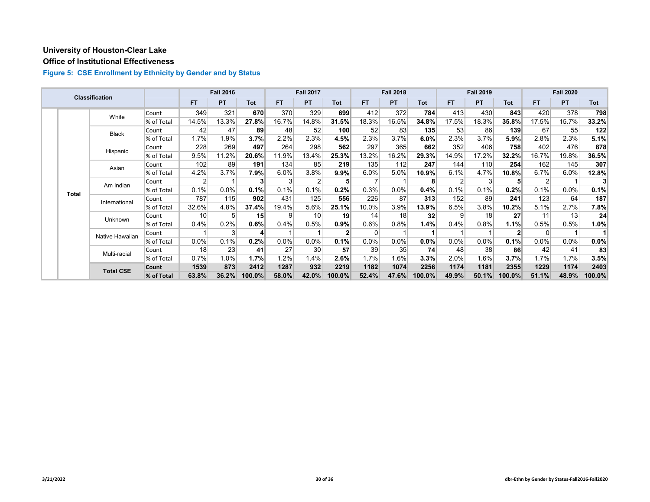#### **Office of Institutional Effectiveness**

|  |              | <b>Classification</b> |            |                 | <b>Fall 2016</b> |                 |           | <b>Fall 2017</b> |        |       | <b>Fall 2018</b> |            |                | <b>Fall 2019</b> |              |                | <b>Fall 2020</b> |         |
|--|--------------|-----------------------|------------|-----------------|------------------|-----------------|-----------|------------------|--------|-------|------------------|------------|----------------|------------------|--------------|----------------|------------------|---------|
|  |              |                       |            | <b>FT</b>       | <b>PT</b>        | Tot             | <b>FT</b> | <b>PT</b>        | Tot    | FT.   | <b>PT</b>        | <b>Tot</b> | <b>FT</b>      | <b>PT</b>        | <b>Tot</b>   | FT.            | <b>PT</b>        | Tot     |
|  |              | White                 | Count      | 349             | 321              | 670             | 370       | 329              | 699    | 412   | 372              | 784        | 413            | 430              | 843          | 420            | 378              | 798     |
|  |              |                       | % of Total | 14.5%           | 13.3%            | 27.8%           | 16.7%     | 14.8%            | 31.5%  | 18.3% | 16.5%            | 34.8%      | 17.5%          | 18.3%            | 35.8%        | 17.5%          | 15.7%            | 33.2%   |
|  |              | <b>Black</b>          | Count      | 42              | 47               | 89              | 48        | 52               | 100    | 52    | 83               | 135        | 53             | 86               | 139          | 67             | 55               | 122     |
|  |              |                       | % of Total | 1.7%            | 1.9%             | 3.7%            | 2.2%      | 2.3%             | 4.5%   | 2.3%  | 3.7%             | 6.0%       | 2.3%           | 3.7%             | 5.9%         | 2.8%           | 2.3%             | 5.1%    |
|  |              | Hispanic              | Count      | 228             | 269              | 497             | 264       | 298              | 562    | 297   | 365              | 662        | 352            | 406              | 758          | 402            | 476              | 878     |
|  |              |                       | % of Total | 9.5%            | 11.2%            | 20.6%           | 11.9%     | 13.4%            | 25.3%  | 13.2% | 16.2%            | 29.3%      | 14.9%          | 17.2%            | 32.2%        | 16.7%          | 19.8%            | 36.5%   |
|  | Asian        | Count                 | 102        | 89              | 191              | 134             | 85        | 219              | 135    | 112   | 247              | 144        | 110            | 254              | 162          | 145            | 307              |         |
|  |              |                       | % of Total | 4.2%            | 3.7%             | 7.9%            | 6.0%      | $3.8\%$          | 9.9%   | 6.0%  | 5.0%             | 10.9%      | 6.1%           | 4.7%             | 10.8%        | 6.7%           | 6.0%             | 12.8%   |
|  | <b>Total</b> | Am Indian             | Count      | $\overline{2}$  |                  | 3               | 3         | 2                | 5      |       |                  | 8          | 2 <sub>1</sub> | 3                | 5            | $\overline{2}$ |                  |         |
|  |              |                       | % of Total | 0.1%            | 0.0%             | 0.1%            | 0.1%      | 0.1%             | 0.2%   | 0.3%  | 0.0%             | 0.4%       | 0.1%           | 0.1%             | 0.2%         | 0.1%           | $0.0\%$          | 0.1%    |
|  |              | International         | Count      | 787             | 115              | 902             | 431       | 125              | 556    | 226   | 87               | 313        | 152            | 89               | 241          | 123            | 64               | 187     |
|  |              |                       | % of Total | 32.6%           | 4.8%             | 37.4%           | 19.4%     | 5.6%             | 25.1%  | 10.0% | 3.9%             | 13.9%      | 6.5%           | 3.8%             | 10.2%        | 5.1%           | 2.7%             | $7.8\%$ |
|  |              | Unknown               | Count      | 10 <sup>1</sup> | 5                | 15 <sup>1</sup> | 9         | 10               | 19     | 14    | 18               | 32         | 9              | 18               | 27           | 11             | 13               | 24      |
|  |              |                       | % of Total | 0.4%            | 0.2%             | $0.6\%$         | 0.4%      | 0.5%             | 0.9%   | 0.6%  | 0.8%             | 1.4%       | 0.4%           | 0.8%             | 1.1%         | 0.5%           | 0.5%             | 1.0%    |
|  |              | Native Hawaiian       | Count      |                 | 3                | $\mathbf{4}$    |           |                  |        | 0     |                  |            |                |                  | $\mathbf{2}$ | 0              |                  |         |
|  |              |                       | % of Total | $0.0\%$         | 0.1%             | 0.2%            | $0.0\%$   | 0.0%             | 0.1%   | 0.0%  | 0.0%             | $0.0\%$    | $0.0\%$        | 0.0%             | 0.1%         | 0.0%           | $0.0\%$          | $0.0\%$ |
|  |              | Multi-racial          | Count      | 18              | 23               | 41              | 27        | 30               | 57     | 39    | 35               | 74         | 48             | 38               | 86           | 42             | 41               | 83      |
|  |              |                       | % of Total | 0.7%            | 1.0%             | 1.7%            | 1.2%      | 1.4%             | 2.6%   | 1.7%  | 1.6%             | 3.3%       | 2.0%           | $1.6\%$          | 3.7%         | 1.7%           | 1.7%             | 3.5%    |
|  |              | <b>Total CSE</b>      | Count      | 1539            | 873              | 2412            | 1287      | 932              | 2219   | 1182  | 1074             | 2256       | 1174           | 1181             | 2355         | 1229           | 1174             | 2403    |
|  |              |                       | % of Total | 63.8%           | 36.2%            | 100.0%          | 58.0%     | 42.0%            | 100.0% | 52.4% | 47.6%            | 100.0%     | 49.9%          | 50.1%            | 100.0%       | 51.1%          | 48.9%            | 100.0%  |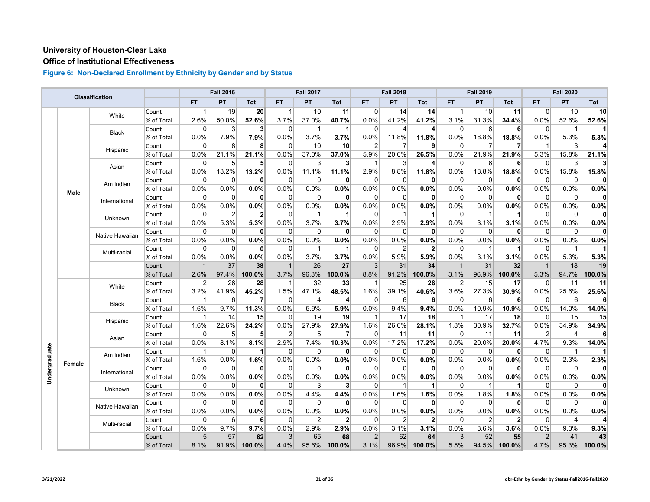# **Office of Institutional Effectiveness**

|               |        |                 |            |                | <b>Fall 2016</b> |                 |                | <b>Fall 2017</b> |                |                | <b>Fall 2018</b> |              |                | <b>Fall 2019</b> |              |                         | <b>Fall 2020</b> |              |
|---------------|--------|-----------------|------------|----------------|------------------|-----------------|----------------|------------------|----------------|----------------|------------------|--------------|----------------|------------------|--------------|-------------------------|------------------|--------------|
|               |        | Classification  |            | <b>FT</b>      | PT               | Tot             | <b>FT</b>      | PT               | Tot            | <b>FT</b>      | PT               | <b>Tot</b>   | <b>FT</b>      | PT               | <b>Tot</b>   | <b>FT</b>               | <b>PT</b>        | Tot          |
|               |        | White           | Count      | 1              | 19               | 20 <sup>2</sup> | $\overline{1}$ | 10               | 11             | $\Omega$       | 14               | 14           | 1              | 10               | 11           | 0                       | 10               | 10           |
|               |        |                 | % of Total | 2.6%           | 50.0%            | 52.6%           | 3.7%           | 37.0%            | 40.7%          | 0.0%           | 41.2%            | 41.2%        | 3.1%           | 31.3%            | 34.4%        | 0.0%                    | 52.6%            | 52.6%        |
|               |        | <b>Black</b>    | Count      | $\Omega$       | 3                | $\mathbf{3}$    | $\overline{0}$ | $\mathbf 1$      | $\mathbf 1$    | 0              | 4                | 4            | $\Omega$       | 6                | 6            | $\overline{0}$          | $\mathbf 1$      | 11           |
|               |        |                 | % of Total | 0.0%           | 7.9%             | 7.9%            | 0.0%           | 3.7%             | 3.7%           | 0.0%           | 11.8%            | 11.8%        | 0.0%           | 18.8%            | 18.8%        | 0.0%                    | 5.3%             | 5.3%         |
|               |        | Hispanic        | Count      | $\Omega$       | 8                | 8               | $\overline{0}$ | 10               | 10             | $\overline{2}$ | 7                | 9            | $\Omega$       | 7                | 7            | $\overline{\mathbf{1}}$ | 3                | 4            |
|               |        |                 | % of Total | 0.0%           | 21.1%            | 21.1%           | 0.0%           | 37.0%            | 37.0%          | 5.9%           | 20.6%            | 26.5%        | 0.0%           | 21.9%            | 21.9%        | 5.3%                    | 15.8%            | 21.1%        |
|               |        | Asian           | Count      | $\mathbf 0$    | 5                | 5               | 0              | 3                | 3              | -1             | 3                | 4            | $\overline{0}$ | 6                | 6            | $\overline{0}$          | 3                | 3            |
|               |        |                 | % of Total | 0.0%           | 13.2%            | 13.2%           | 0.0%           | 11.1%            | 11.1%          | 2.9%           | 8.8%             | 11.8%        | 0.0%           | 18.8%            | 18.8%        | 0.0%                    | 15.8%            | 15.8%        |
|               |        | Am Indian       | Count      | $\Omega$       | $\overline{0}$   | $\mathbf{0}$    | 0              | 0                | $\mathbf{0}$   | 0              | $\Omega$         | 0            | $\Omega$       | $\mathbf 0$      | $\mathbf{0}$ | $\mathbf 0$             | 0                | $\mathbf{0}$ |
|               | Male   |                 | % of Total | 0.0%           | 0.0%             | 0.0%            | 0.0%           | 0.0%             | 0.0%           | 0.0%           | 0.0%             | 0.0%         | 0.0%           | 0.0%             | 0.0%         | 0.0%                    | 0.0%             | 0.0%         |
|               |        | International   | Count      | $\Omega$       | $\Omega$         | $\mathbf{0}$    | $\Omega$       | $\mathbf 0$      | $\mathbf{0}$   | $\Omega$       | $\Omega$         | 0            | $\Omega$       | $\Omega$         | $\mathbf{0}$ | $\Omega$                | $\mathbf 0$      | $\mathbf{0}$ |
|               |        |                 | % of Total | 0.0%           | 0.0%             | 0.0%            | 0.0%           | 0.0%             | 0.0%           | 0.0%           | 0.0%             | 0.0%         | 0.0%           | 0.0%             | 0.0%         | 0.0%                    | 0.0%             | 0.0%         |
|               |        | <b>Unknown</b>  | Count      | 0              | $\overline{2}$   | $\mathbf{2}$    | $\Omega$       | $\mathbf 1$      | $\mathbf{1}$   | $\Omega$       | -1               | 1            | 0              | 1                |              | $\Omega$                | $\Omega$         | $\mathbf{0}$ |
|               |        |                 | % of Total | 0.0%           | 5.3%             | 5.3%            | 0.0%           | 3.7%             | 3.7%           | 0.0%           | 2.9%             | 2.9%         | 0.0%           | 3.1%             | 3.1%         | 0.0%                    | 0.0%             | 0.0%         |
|               |        | Native Hawaiian | Count      | $\mathbf 0$    | $\mathbf 0$      | $\mathbf{0}$    | $\mathbf 0$    | $\mathbf 0$      | 0              | $\mathbf 0$    | $\Omega$         | 0            | 0              | $\mathbf 0$      | $\mathbf{0}$ | $\overline{0}$          | $\mathbf 0$      | $\mathbf{0}$ |
|               |        |                 | % of Total | 0.0%           | 0.0%             | 0.0%            | 0.0%           | 0.0%             | 0.0%           | 0.0%           | 0.0%             | 0.0%         | 0.0%           | 0.0%             | 0.0%         | 0.0%                    | 0.0%             | 0.0%         |
|               |        | Multi-racial    | Count      | $\Omega$       | $\Omega$         | $\mathbf{0}$    | 0              | -1               | $\mathbf{1}$   | $\Omega$       | 2                | $\mathbf{2}$ | 0              | 1                |              | $\overline{0}$          | $\mathbf 1$      |              |
|               |        |                 | % of Total | 0.0%           | 0.0%             | 0.0%            | 0.0%           | 3.7%             | 3.7%           | 0.0%           | 5.9%             | 5.9%         | 0.0%           | 3.1%             | 3.1%         | 0.0%                    | 5.3%             | 5.3%         |
|               |        |                 | Count      | $\mathbf{1}$   | 37               | 38              | $\overline{1}$ | 26               | 27             | 3              | 31               | 34           | $\mathbf{1}$   | 31               | 32           | $\overline{1}$          | 18               | 19           |
|               |        |                 | % of Total | 2.6%           | 97.4%            | 100.0%          | 3.7%           | 96.3%            | 100.0%         | 8.8%           | 91.2%            | 100.0%       | 3.1%           | 96.9%            | 100.0%       | 5.3%                    | 94.7%            | 100.0%       |
|               |        | White           | Count      | $\overline{2}$ | 26               | 28              | $\mathbf{1}$   | 32               | 33             | 1              | 25               | 26           | $\overline{2}$ | 15               | 17           | $\overline{0}$          | 11               | 11           |
|               |        |                 | % of Total | 3.2%           | 41.9%            | 45.2%           | 1.5%           | 47.1%            | 48.5%          | 1.6%           | 39.1%            | 40.6%        | 3.6%           | 27.3%            | 30.9%        | 0.0%                    | 25.6%            | 25.6%        |
|               |        | <b>Black</b>    | Count      | $\mathbf{1}$   | $6 \mid$         | 7               | 0              | $\overline{4}$   | $\overline{4}$ | 0              | 6                | 6            | $\Omega$       | $6 \overline{6}$ | 6            | $\Omega$                | 6                | 6            |
|               |        |                 | % of Total | 1.6%           | 9.7%             | 11.3%           | 0.0%           | 5.9%             | 5.9%           | 0.0%           | 9.4%             | 9.4%         | 0.0%           | 10.9%            | 10.9%        | 0.0%                    | 14.0%            | 14.0%        |
|               |        | Hispanic        | Count      | 1              | 14               | 15              | $\overline{0}$ | 19               | 19             | -1             | 17               | 18           | 1              | 17               | 18           | 0                       | 15               | 15           |
|               |        |                 | % of Total | 1.6%           | 22.6%            | 24.2%           | 0.0%           | 27.9%            | 27.9%          | 1.6%           | 26.6%            | 28.1%        | 1.8%           | 30.9%            | 32.7%        | 0.0%                    | 34.9%            | 34.9%        |
|               |        | Asian           | Count      | $\mathbf 0$    | 5 <sup>5</sup>   | 5 <sup>1</sup>  | $\overline{2}$ | 5                | $\overline{7}$ | 0              | 11               | 11           | $\overline{0}$ | 11               | 11           | $\overline{2}$          | $\overline{4}$   | 6            |
|               |        |                 | % of Total | 0.0%           | 8.1%             | 8.1%            | 2.9%           | 7.4%             | 10.3%          | 0.0%           | 17.2%            | 17.2%        | 0.0%           | 20.0%            | 20.0%        | 4.7%                    | 9.3%             | 14.0%        |
| Undergraduate |        | Am Indian       | Count      | $\mathbf{1}$   | $\overline{0}$   | 1               | $\overline{0}$ | $\Omega$         | 0              | $\Omega$       | $\Omega$         | 0            | $\Omega$       | $\mathbf 0$      | $\mathbf{0}$ | $\overline{0}$          | $\overline{1}$   | 11           |
|               | Female |                 | % of Total | 1.6%           | 0.0%             | 1.6%            | 0.0%           | 0.0%             | 0.0%           | 0.0%           | 0.0%             | 0.0%         | 0.0%           | 0.0%             | 0.0%         | 0.0%                    | 2.3%             | 2.3%         |
|               |        | International   | Count      | $\Omega$       | $\overline{0}$   | $\mathbf{0}$    | $\Omega$       | $\Omega$         | $\mathbf{0}$   | $\mathbf 0$    | $\Omega$         | $\mathbf 0$  | $\Omega$       | $\overline{0}$   | $\mathbf{0}$ | $\Omega$                | $\Omega$         | $\mathbf{0}$ |
|               |        |                 | % of Total | 0.0%           | 0.0%             | $0.0\%$         | 0.0%           | 0.0%             | 0.0%           | 0.0%           | 0.0%             | 0.0%         | 0.0%           | 0.0%             | 0.0%         | 0.0%                    | 0.0%             | 0.0%         |
|               |        | Unknown         | Count      | $\Omega$       | $\Omega$         | $\mathbf{0}$    | $\Omega$       | 3                | 3              | 0              | -1               | 1            | $\Omega$       | -1               | 1            | $\Omega$                | $\Omega$         | $\mathbf{0}$ |
|               |        |                 | % of Total | 0.0%           | 0.0%             | 0.0%            | 0.0%           | 4.4%             | 4.4%           | 0.0%           | 1.6%             | 1.6%         | 0.0%           | 1.8%             | 1.8%         | 0.0%                    | 0.0%             | 0.0%         |
|               |        | Native Hawaiian | Count      | $\Omega$       | $\overline{0}$   | $\mathbf{0}$    | $\overline{0}$ | $\Omega$         | 0              | 0              | 0                | 0            | 0              | $\overline{0}$   | 0            | $\overline{0}$          | 0                | $\mathbf{0}$ |
|               |        |                 | % of Total | 0.0%           | 0.0%             | 0.0%            | 0.0%           | 0.0%             | 0.0%           | 0.0%           | 0.0%             | 0.0%         | 0.0%           | 0.0%             | 0.0%         | 0.0%                    | 0.0%             | 0.0%         |
|               |        | Multi-racial    | Count      | $\Omega$       | 6                | 6               | $\overline{0}$ | $\overline{2}$   | $\overline{2}$ | $\Omega$       | 2                | $\mathbf{2}$ | $\Omega$       | $\overline{2}$   | $\mathbf{2}$ | $\overline{0}$          | $\overline{4}$   | 4            |
|               |        |                 | % of Total | 0.0%           | 9.7%             | 9.7%            | 0.0%           | 2.9%             | 2.9%           | 0.0%           | 3.1%             | 3.1%         | 0.0%           | 3.6%             | 3.6%         | 0.0%                    | 9.3%             | 9.3%         |
|               |        |                 | Count      | 5 <sup>5</sup> | 57               | 62              | 3              | 65               | 68             | $\overline{2}$ | 62               | 64           | 3              | 52               | 55           | $\overline{2}$          | 41               | 43           |
|               |        |                 | % of Total | 8.1%           | 91.9%            | 100.0%          | 4.4%           | 95.6%            | 100.0%         | 3.1%           | 96.9%            | 100.0%       | 5.5%           | 94.5%            | 100.0%       | 4.7%                    | 95.3%            | 100.0%       |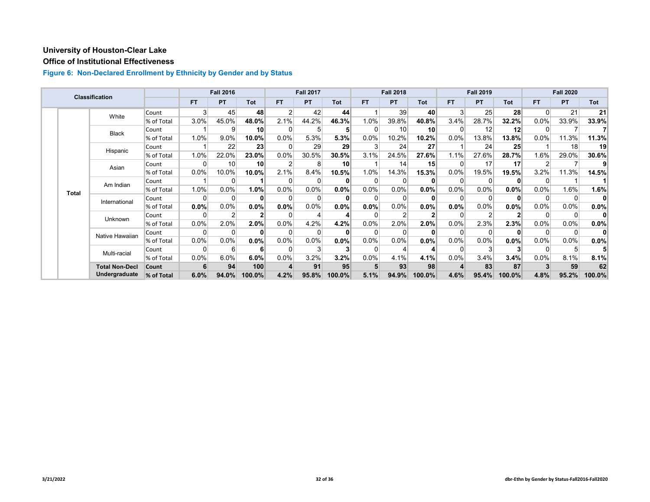# **Office of Institutional Effectiveness**

|  |              | <b>Classification</b> |            |           | <b>Fall 2016</b> |                 |                | <b>Fall 2017</b> |        |         | <b>Fall 2018</b> |                 |           | <b>Fall 2019</b> |                 |          | <b>Fall 2020</b> |              |
|--|--------------|-----------------------|------------|-----------|------------------|-----------------|----------------|------------------|--------|---------|------------------|-----------------|-----------|------------------|-----------------|----------|------------------|--------------|
|  |              |                       |            | <b>FT</b> | <b>PT</b>        | Tot             | <b>FT</b>      | <b>PT</b>        | Tot    | FT.     | <b>PT</b>        | <b>Tot</b>      | <b>FT</b> | <b>PT</b>        | <b>Tot</b>      | FT.      | <b>PT</b>        | Tot          |
|  |              | White                 | Count      | 3         | 45               | 48              | 2 <sub>1</sub> | 42               | 44     |         | 39               | 40              | 3         | 25               | 28              | $\Omega$ | 21               | 21           |
|  |              |                       | % of Total | 3.0%      | 45.0%            | 48.0%           | 2.1%           | 44.2%            | 46.3%  | 1.0%    | 39.8%            | 40.8%           | 3.4%      | 28.7%            | 32.2%           | 0.0%     | 33.9%            | 33.9%        |
|  |              | <b>Black</b>          | Count      |           | 9                | 10 <sup>1</sup> | $\Omega$       | 5                |        | ∩       | 10 <sup>1</sup>  | 10 <sup>1</sup> |           | 12               | 12              | $\Omega$ |                  |              |
|  |              |                       | % of Total | 1.0%      | 9.0%             | 10.0%           | $0.0\%$        | 5.3%             | 5.3%   | $0.0\%$ | 10.2%            | 10.2%           | 0.0%      | 13.8%            | 13.8%           | 0.0%     | 11.3%            | 11.3%        |
|  |              | Hispanic              | Count      |           | 22               | 23              | $\Omega$       | 29               | 29     |         | 24               | 27              |           | 24               | 25 <sub>1</sub> |          | 18               | 19           |
|  |              |                       | % of Total | 1.0%      | 22.0%            | 23.0%           | 0.0%           | 30.5%            | 30.5%  | 3.1%    | 24.5%            | 27.6%           | 1.1%      | 27.6%            | 28.7%           | 1.6%     | 29.0%            | 30.6%        |
|  | Asian        | Count                 | 0          | 10        | 10 <sup>1</sup>  | $\overline{2}$  | 8              | 10               |        | 14      | 15               |                 | 17        | 17               | 2               |          |                  |              |
|  |              |                       | % of Total | 0.0%      | 10.0%            | 10.0%           | 2.1%           | 8.4%             | 10.5%  | 1.0%    | 14.3%            | 15.3%           | 0.0%      | 19.5%            | 19.5%           | 3.2%     | 11.3%            | 14.5%        |
|  | <b>Total</b> | Am Indian             | Count      |           | $\Omega$         |                 | 0              | 0                |        |         |                  | 0               |           | $\Omega$         | $\bf{0}$        | $\Omega$ |                  |              |
|  |              |                       | % of Total | 1.0%      | 0.0%             | 1.0%            | $0.0\%$        | 0.0%             | 0.0%   | $0.0\%$ | $0.0\%$          | 0.0%            | $0.0\%$   | $0.0\%$          | $0.0\%$         | 0.0%     | 1.6%             | 1.6%         |
|  |              | International         | Count      | ŋ         | $\Omega$         | $\bf{0}$        | 0              | $\Omega$         |        |         |                  |                 |           | $\Omega$         | $\bf{0}$        | $\Omega$ | 0                |              |
|  |              |                       | % of Total | $0.0\%$   | 0.0%             | 0.0%            | 0.0%           | 0.0%             | 0.0%   | 0.0%    | 0.0%             | 0.0%            | 0.0%      | 0.0%             | 0.0%            | 0.0%     | $0.0\%$          | 0.0%         |
|  |              | Unknown               | Count      | 0         |                  | 2               | 0              | 4                |        |         |                  |                 |           |                  |                 | 0        | 0                | $\mathbf{0}$ |
|  |              |                       | % of Total | 0.0%      | 2.0%             | 2.0%            | 0.0%           | 4.2%             | 4.2%   | 0.0%    | 2.0%             | 2.0%            | 0.0%      | 2.3%             | 2.3%            | 0.0%     | 0.0%             | 0.0%         |
|  |              | Native Hawaiian       | Count      | 0         |                  | $\bf{0}$        | 0              | 0                |        |         |                  |                 |           | $\Omega$         | ŋ               | $\Omega$ | 0                | 0            |
|  |              |                       | % of Total | 0.0%      | 0.0%             | 0.0%            | $0.0\%$        | 0.0%             | 0.0%   | 0.0%    | 0.0%             | 0.0%            | 0.0%      | $0.0\%$          | $0.0\%$         | $0.0\%$  | 0.0%             | 0.0%         |
|  |              | Multi-racial          | Count      | 0         | 6                | 6               | $\Omega$       | 3                |        |         |                  |                 |           | 3                | 3               | $\Omega$ | 5                |              |
|  |              |                       | % of Total | 0.0%      | 6.0%             | 6.0%            | 0.0%           | 3.2%             | 3.2%   | 0.0%    | 4.1%             | 4.1%            | 0.0%      | 3.4%             | 3.4%            | 0.0%     | 8.1%             | 8.1%         |
|  |              | <b>Total Non-Decl</b> | Count      |           | 94               | 100             |                | 91               | 95     |         | 93               | 98              |           | 83               | 87              |          | 59               | 62           |
|  |              | Undergraduate         | % of Total | 6.0%      | 94.0%            | 100.0%          | 4.2%           | 95.8%            | 100.0% | 5.1%    | 94.9%            | 100.0%          | 4.6%      | 95.4%            | 100.0%          | 4.8%     | 95.2%            | 100.0%       |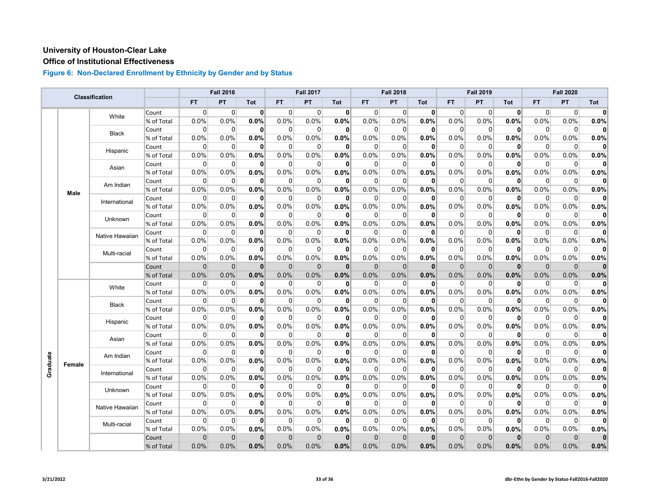# **Office of Institutional Effectiveness**

|          |             |                 |            |              | <b>Fall 2016</b> |              |                | <b>Fall 2017</b> |              |              | <b>Fall 2018</b> |              |                | <b>Fall 2019</b> |              |                | <b>Fall 2020</b> |              |
|----------|-------------|-----------------|------------|--------------|------------------|--------------|----------------|------------------|--------------|--------------|------------------|--------------|----------------|------------------|--------------|----------------|------------------|--------------|
|          |             | Classification  |            | <b>FT</b>    | PT               | Tot          | <b>FT</b>      | PT               | Tot          | <b>FT</b>    | PT               | <b>Tot</b>   | <b>FT</b>      | PT               | <b>Tot</b>   | <b>FT</b>      | <b>PT</b>        | Tot          |
|          |             |                 | Count      | $\Omega$     | $\overline{0}$   | $\mathbf{0}$ | $\Omega$       | 0                | $\mathbf{0}$ | 0            | $\Omega$         | 0            | $\Omega$       | $\overline{0}$   | 0            | $\Omega$       | $\Omega$         | $\mathbf{0}$ |
|          |             | White           | % of Total | 0.0%         | 0.0%             | 0.0%         | 0.0%           | 0.0%             | 0.0%         | 0.0%         | 0.0%             | 0.0%         | 0.0%           | 0.0%             | 0.0%         | 0.0%           | 0.0%             | 0.0%         |
|          |             |                 | Count      | 0            | $\overline{0}$   | $\mathbf{0}$ | $\overline{0}$ | $\mathbf 0$      | $\mathbf{0}$ | 0            | $\Omega$         | 0            | $\overline{0}$ | $\overline{0}$   | $\mathbf{0}$ | $\overline{0}$ | $\mathbf 0$      | $\mathbf{0}$ |
|          |             | Black           | % of Total | 0.0%         | 0.0%             | $0.0\%$      | 0.0%           | 0.0%             | 0.0%         | $0.0\%$      | 0.0%             | 0.0%         | 0.0%           | 0.0%             | $0.0\%$      | 0.0%           | 0.0%             | 0.0%         |
|          |             | Hispanic        | Count      | $\Omega$     | $\overline{0}$   | $\mathbf{0}$ | 0              | 0                | $\mathbf{0}$ | 0            | $\Omega$         | 0            | $\Omega$       | 0                | $\mathbf{0}$ | $\overline{0}$ | $\mathbf 0$      | $\mathbf{0}$ |
|          |             |                 | % of Total | 0.0%         | 0.0%             | 0.0%         | 0.0%           | 0.0%             | 0.0%         | 0.0%         | 0.0%             | 0.0%         | 0.0%           | 0.0%             | 0.0%         | 0.0%           | 0.0%             | 0.0%         |
|          |             | Asian           | Count      | $\Omega$     | $\Omega$         | $\mathbf{0}$ | $\Omega$       | $\Omega$         | $\mathbf{0}$ | $\Omega$     | $\Omega$         | 0            | $\Omega$       | $\Omega$         | $\mathbf{0}$ | $\Omega$       | $\Omega$         | $\mathbf{0}$ |
|          |             |                 | % of Total | 0.0%         | 0.0%             | 0.0%         | 0.0%           | 0.0%             | 0.0%         | 0.0%         | 0.0%             | 0.0%         | 0.0%           | 0.0%             | 0.0%         | 0.0%           | 0.0%             | 0.0%         |
|          |             | Am Indian       | Count      | $\Omega$     | $\overline{0}$   | $\mathbf{0}$ | $\overline{0}$ | 0                | $\mathbf{0}$ | 0            | $\Omega$         | 0            | $\Omega$       | $\overline{0}$   | $\mathbf{0}$ | $\overline{0}$ | 0                | $\mathbf{0}$ |
|          | <b>Male</b> |                 | % of Total | 0.0%         | 0.0%             | 0.0%         | 0.0%           | 0.0%             | 0.0%         | $0.0\%$      | 0.0%             | 0.0%         | 0.0%           | 0.0%             | 0.0%         | 0.0%           | 0.0%             | 0.0%         |
|          |             | International   | Count      | $\Omega$     | $\Omega$         | $\mathbf{0}$ | $\overline{0}$ | $\Omega$         | $\mathbf{0}$ | $\Omega$     | $\Omega$         | 0            | $\Omega$       | $\Omega$         | $\mathbf{0}$ | $\Omega$       | $\Omega$         | $\mathbf{0}$ |
|          |             |                 | % of Total | 0.0%         | 0.0%             | 0.0%         | 0.0%           | 0.0%             | 0.0%         | 0.0%         | 0.0%             | 0.0%         | 0.0%           | 0.0%             | 0.0%         | 0.0%           | 0.0%             | 0.0%         |
|          |             | <b>Unknown</b>  | Count      | $\Omega$     | $\Omega$         | 0            | $\Omega$       | $\Omega$         | $\mathbf{0}$ | $\Omega$     | $\Omega$         | 0            | 0              | $\Omega$         | 0            | $\Omega$       | $\Omega$         | $\mathbf{0}$ |
|          |             |                 | % of Total | 0.0%         | 0.0%             | 0.0%         | 0.0%           | 0.0%             | 0.0%         | 0.0%         | 0.0%             | 0.0%         | 0.0%           | 0.0%             | 0.0%         | 0.0%           | 0.0%             | 0.0%         |
|          |             | Native Hawaiian | Count      | 0            | $\mathbf 0$      | $\mathbf{0}$ | $\mathbf 0$    | $\mathbf 0$      | $\mathbf{0}$ | $\mathbf 0$  | $\mathbf{0}$     | 0            | $\Omega$       | $\mathbf 0$      | 0            | $\mathbf 0$    | $\mathbf 0$      | $\mathbf{0}$ |
|          |             |                 | % of Total | 0.0%         | 0.0%             | 0.0%         | 0.0%           | 0.0%             | 0.0%         | 0.0%         | 0.0%             | 0.0%         | 0.0%           | 0.0%             | 0.0%         | 0.0%           | 0.0%             | 0.0%         |
|          |             | Multi-racial    | Count      | $\Omega$     | $\Omega$         | 0            | $\Omega$       | $\Omega$         | $\mathbf{0}$ | $\Omega$     | $\Omega$         | 0            | $\Omega$       | $\Omega$         | 0            | $\Omega$       | $\Omega$         | $\mathbf{0}$ |
|          |             |                 | % of Total | 0.0%         | 0.0%             | 0.0%         | 0.0%           | 0.0%             | 0.0%         | 0.0%         | 0.0%             | 0.0%         | 0.0%           | 0.0%             | 0.0%         | 0.0%           | 0.0%             | 0.0%         |
|          |             |                 | Count      | $\mathbf{0}$ | $\overline{0}$   | $\mathbf{0}$ | $\mathbf{0}$   | $\mathbf 0$      | $\mathbf{0}$ | $\mathbf{0}$ | $\mathbf 0$      | $\mathbf{0}$ | $\mathbf{0}$   | $\overline{0}$   | $\mathbf{0}$ | $\overline{0}$ | $\mathbf 0$      | $\mathbf{0}$ |
|          |             |                 | % of Total | 0.0%         | 0.0%             | 0.0%         | 0.0%           | 0.0%             | 0.0%         | 0.0%         | 0.0%             | 0.0%         | 0.0%           | 0.0%             | 0.0%         | 0.0%           | 0.0%             | 0.0%         |
|          |             | White           | Count      | 0            | 0                | $\mathbf{0}$ | $\overline{0}$ | 0                | 0            | 0            | 0                | 0            | 0              | 0                | $\mathbf{0}$ | $\overline{0}$ | 0                | $\mathbf{0}$ |
|          |             |                 | % of Total | 0.0%         | 0.0%             | 0.0%         | 0.0%           | 0.0%             | 0.0%         | 0.0%         | 0.0%             | 0.0%         | 0.0%           | 0.0%             | 0.0%         | 0.0%           | 0.0%             | 0.0%         |
|          |             | <b>Black</b>    | Count      | $\mathbf 0$  | $\overline{0}$   | $\mathbf{0}$ | $\overline{0}$ | $\mathbf 0$      | 0            | $\mathbf 0$  | $\Omega$         | $\mathbf{0}$ | $\mathbf 0$    | $\mathbf 0$      | $\mathbf{0}$ | $\overline{0}$ | $\mathbf 0$      | $\mathbf{0}$ |
|          |             |                 | % of Total | 0.0%         | 0.0%             | 0.0%         | 0.0%           | 0.0%             | 0.0%         | 0.0%         | 0.0%             | 0.0%         | 0.0%           | 0.0%             | 0.0%         | 0.0%           | 0.0%             | 0.0%         |
|          |             | Hispanic        | Count      | $\Omega$     | 0                | $\mathbf{0}$ | $\overline{0}$ | 0                | 0            | 0            | 0                | 0            | 0              | 0                | $\mathbf{0}$ | $\overline{0}$ | 0                | $\mathbf{0}$ |
|          |             |                 | % of Total | 0.0%         | 0.0%             | 0.0%         | 0.0%           | 0.0%             | 0.0%         | 0.0%         | 0.0%             | 0.0%         | 0.0%           | 0.0%             | 0.0%         | 0.0%           | 0.0%             | 0.0%         |
|          |             | Asian           | Count      | $\mathbf 0$  | $\overline{0}$   | $\mathbf{0}$ | $\overline{0}$ | $\mathbf 0$      | 0            | $\mathbf 0$  | $\Omega$         | 0            | $\overline{0}$ | $\overline{0}$   | 0            | $\overline{0}$ | $\mathbf 0$      | $\mathbf{0}$ |
|          |             |                 | % of Total | 0.0%         | 0.0%             | 0.0%         | 0.0%           | 0.0%             | 0.0%         | 0.0%         | 0.0%             | 0.0%         | 0.0%           | 0.0%             | 0.0%         | 0.0%           | 0.0%             | 0.0%         |
|          |             | Am Indian       | Count      | $\Omega$     | $\overline{0}$   | $\mathbf{0}$ | $\Omega$       | $\Omega$         | $\mathbf{0}$ | $\Omega$     | $\Omega$         | 0            | $\Omega$       | $\mathbf 0$      | $\mathbf{0}$ | $\Omega$       | $\Omega$         | $\mathbf{0}$ |
| Graduate | Female      |                 | % of Total | 0.0%         | 0.0%             | 0.0%         | 0.0%           | 0.0%             | 0.0%         | 0.0%         | 0.0%             | 0.0%         | 0.0%           | 0.0%             | 0.0%         | 0.0%           | 0.0%             | 0.0%         |
|          |             | International   | Count      | 0            | $\overline{0}$   | $\mathbf{0}$ | 0              | 0                | 0            | 0            | $\Omega$         | 0            | 0              | $\overline{0}$   | $\mathbf{0}$ | $\overline{0}$ | 0                | $\mathbf{0}$ |
|          |             |                 | % of Total | 0.0%         | 0.0%             | 0.0%         | 0.0%           | 0.0%             | 0.0%         | 0.0%         | 0.0%             | 0.0%         | 0.0%           | 0.0%             | 0.0%         | 0.0%           | 0.0%             | 0.0%         |
|          |             | Unknown         | Count      | $\Omega$     | $\mathbf 0$      | $\mathbf{0}$ | 0              | $\Omega$         | 0            | $\Omega$     | $\Omega$         | 0            | $\Omega$       | $\Omega$         | $\mathbf{0}$ | $\Omega$       | $\Omega$         | $\mathbf{0}$ |
|          |             |                 | % of Total | 0.0%         | 0.0%             | 0.0%         | 0.0%           | 0.0%             | 0.0%         | 0.0%         | 0.0%             | 0.0%         | 0.0%           | 0.0%             | 0.0%         | 0.0%           | 0.0%             | 0.0%         |
|          |             | Native Hawaiian | Count      | $\Omega$     | $\Omega$         | $\mathbf{0}$ | $\Omega$       | $\Omega$         | $\mathbf{0}$ | $\Omega$     | $\Omega$         | 0            | $\Omega$       | $\Omega$         | $\mathbf{0}$ | $\Omega$       | $\Omega$         | $\Omega$     |
|          |             |                 | % of Total | 0.0%         | 0.0%             | 0.0%         | 0.0%           | 0.0%             | 0.0%         | 0.0%         | 0.0%             | 0.0%         | 0.0%           | 0.0%             | 0.0%         | 0.0%           | 0.0%             | 0.0%         |
|          |             | Multi-racial    | Count      | 0            | 0                | $\mathbf{0}$ | $\overline{0}$ | 0                | 0            | 0            | 0                | 0            | $\overline{0}$ | 0                | 0            | $\overline{0}$ | 0                | $\mathbf{0}$ |
|          |             |                 | % of Total | 0.0%         | 0.0%             | 0.0%         | 0.0%           | 0.0%             | 0.0%         | 0.0%         | 0.0%             | 0.0%         | 0.0%           | 0.0%             | 0.0%         | 0.0%           | 0.0%             | 0.0%         |
|          |             |                 | Count      | $\mathbf{0}$ | $\mathbf 0$      | $\mathbf{0}$ | $\mathbf{0}$   | $\mathbf 0$      | $\mathbf{0}$ | $\mathbf{0}$ | $\mathbf 0$      | $\mathbf 0$  | $\Omega$       | $\mathbf 0$      | $\bf{0}$     | $\mathbf{0}$   | $\mathbf 0$      | $\mathbf{0}$ |
|          |             |                 | % of Total | 0.0%         | 0.0%             | 0.0%         | 0.0%           | 0.0%             | 0.0%         | 0.0%         | 0.0%             | 0.0%         | 0.0%           | 0.0%             | 0.0%         | 0.0%           | 0.0%             | 0.0%         |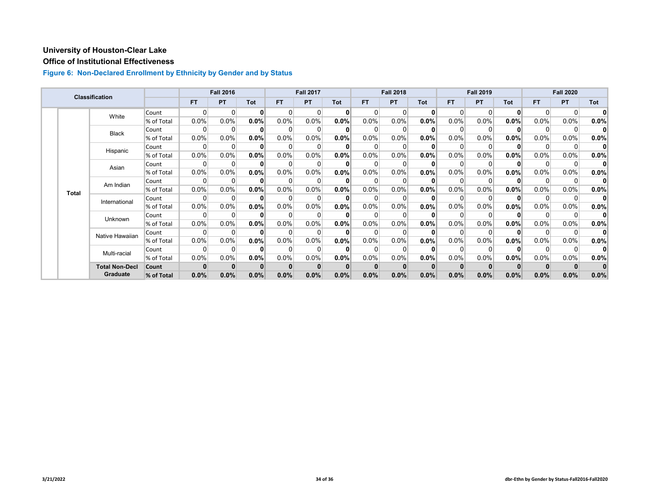#### **Office of Institutional Effectiveness**

|  |              | <b>Classification</b> |            |         | <b>Fall 2016</b> |          |           | <b>Fall 2017</b> |         |         | <b>Fall 2018</b> |              |          | <b>Fall 2019</b> |              |           | <b>Fall 2020</b> |              |
|--|--------------|-----------------------|------------|---------|------------------|----------|-----------|------------------|---------|---------|------------------|--------------|----------|------------------|--------------|-----------|------------------|--------------|
|  |              |                       |            | FT.     | <b>PT</b>        | Tot      | <b>FT</b> | <b>PT</b>        | Tot     | FT.     | <b>PT</b>        | <b>Tot</b>   | FT.      | <b>PT</b>        | <b>Tot</b>   | <b>FT</b> | <b>PT</b>        | Tot          |
|  |              | White                 | Count      | 0       | $\Omega$         | $\bf{0}$ | $\Omega$  | $\Omega$         | 0       |         |                  | $\mathbf{0}$ | $\Omega$ | $\Omega$         | $\mathbf{0}$ | $\Omega$  | $\Omega$         | $\mathbf{0}$ |
|  |              |                       | % of Total | 0.0%    | 0.0%             | $0.0\%$  | 0.0%      | 0.0%             | 0.0%    | $0.0\%$ | 0.0%             | 0.0%         | $0.0\%$  | 0.0%             | 0.0%         | 0.0%      | $0.0\%$          | 0.0%         |
|  |              | Black                 | Count      | 0       | 0                | $\bf{0}$ | $\Omega$  | $\Omega$         |         | 0       |                  | 0            |          | $\Omega$         | $\mathbf{0}$ | $\Omega$  | 0                | 0            |
|  |              |                       | % of Total | 0.0%    | 0.0%             | $0.0\%$  | $0.0\%$   | 0.0%             | 0.0%    | 0.0%    | 0.0%             | 0.0%         | 0.0%     | 0.0%             | $0.0\%$      | 0.0%      | 0.0%             | 0.0%         |
|  |              | Hispanic              | Count      | ŋ       |                  | $\Omega$ |           | $\Omega$         |         |         |                  |              |          | n                | $\Omega$     | $\Omega$  | 0                |              |
|  |              |                       | % of Total | $0.0\%$ | 0.0%             | $0.0\%$  | 0.0%      | 0.0%             | 0.0%    | $0.0\%$ | 0.0%             | 0.0%         | 0.0%     | 0.0%             | $0.0\%$      | 0.0%      | $0.0\%$          | $0.0\%$      |
|  |              | Asian                 | Count      | 0       | 0                | $\bf{0}$ | $\Omega$  | $\Omega$         |         |         |                  |              |          | 0                | $\mathbf{0}$ | $\Omega$  | 0                | $\mathbf{0}$ |
|  |              |                       | % of Total | 0.0%    | 0.0%             | $0.0\%$  | 0.0%      | 0.0%             | 0.0%    | 0.0%    | 0.0%             | 0.0%         | 0.0%     | $0.0\%$          | 0.0%         | 0.0%      | 0.0%             | 0.0%         |
|  | <b>Total</b> | Am Indian             | Count      | 0       | $\Omega$         | $\bf{0}$ | 0         | 0                |         |         |                  |              |          | $\Omega$         | $\bf{0}$     | $\Omega$  | 0                | 0            |
|  |              |                       | % of Total | 0.0%    | 0.0%             | $0.0\%$  | $0.0\%$   | 0.0%             | $0.0\%$ | 0.0%    | 0.0%             | $0.0\%$      | 0.0%     | $0.0\%$          | $0.0\%$      | $0.0\%$   | $0.0\%$          | 0.0%         |
|  |              | International         | Count      | 0       | $\Omega$         | $\bf{0}$ | $\Omega$  | $\Omega$         |         |         |                  |              |          | ∩                | $\mathbf{0}$ | $\Omega$  | 0                | 0            |
|  |              |                       | % of Total | 0.0%    | $0.0\%$          | $0.0\%$  | $0.0\%$   | $0.0\%$          | 0.0%    | 0.0%    | 0.0%             | 0.0%         | 0.0%     | $0.0\%$          | 0.0%         | $0.0\%$   | $0.0\%$          | 0.0%         |
|  |              | Unknown               | Count      | 0       | 0                | $\bf{0}$ | $\Omega$  | $\Omega$         |         | 0       |                  |              |          | $\Omega$         | $\mathbf{0}$ | $\Omega$  | $\Omega$         | 0            |
|  |              |                       | % of Total | 0.0%    | 0.0%             | 0.0%     | 0.0%      | 0.0%             | 0.0%    | 0.0%    | 0.0%             | 0.0%         | 0.0%     | 0.0%             | 0.0%         | 0.0%      | $0.0\%$          | $0.0\%$      |
|  |              | Native Hawaiian       | Count      | 0       |                  | $\bf{0}$ | $\Omega$  | 0                |         |         |                  |              |          | $\Omega$         | ŋ            | $\Omega$  | 0                | 0            |
|  |              |                       | % of Total | 0.0%    | 0.0%             | 0.0%     | $0.0\%$   | 0.0%             | 0.0%    | 0.0%    | 0.0%             | 0.0%         | 0.0%     | $0.0\%$          | $0.0\%$      | $0.0\%$   | 0.0%             | 0.0%         |
|  |              | Multi-racial          | Count      | ŋ       | $\Omega$         | $\bf{0}$ | 0         | $\Omega$         |         |         |                  |              |          | $\Omega$         | $\mathbf{0}$ | $\Omega$  | $\Omega$         | $\mathbf{0}$ |
|  |              |                       | % of Total | 0.0%    | 0.0%             | 0.0%     | $0.0\%$   | 0.0%             | 0.0%    | 0.0%    | 0.0%             | 0.0%         | 0.0%     | $0.0\%$          | $0.0\%$      | 0.0%      | 0.0%             | 0.0%         |
|  |              | <b>Total Non-Decl</b> | Count      |         |                  | $\bf{0}$ |           | $\mathbf{0}$     |         |         |                  |              |          |                  |              |           |                  |              |
|  |              | Graduate              | % of Total | 0.0%    | 0.0%             | 0.0%     | 0.0%      | 0.0%             | 0.0%    | 0.0%    | 0.0%             | 0.0%         | 0.0%     | 0.0%             | 0.0%         | 0.0%      | 0.0%             | 0.0%         |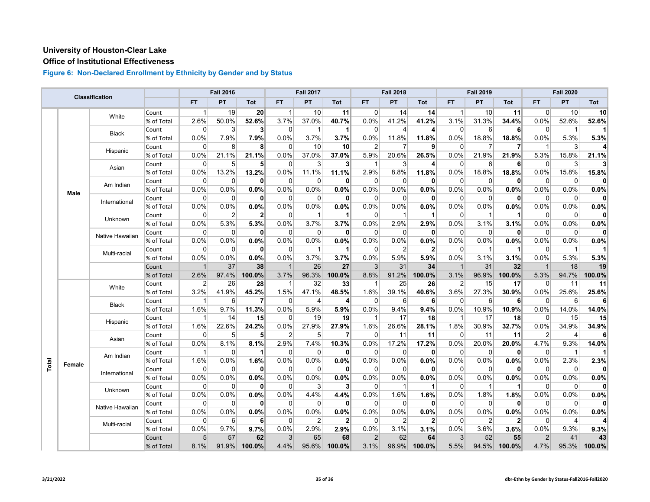# **Office of Institutional Effectiveness**

|       |        |                 |            |                | <b>Fall 2016</b> |                 |                | <b>Fall 2017</b> |                |                | <b>Fall 2018</b> |              |                | <b>Fall 2019</b> |              |                 | <b>Fall 2020</b> |                |
|-------|--------|-----------------|------------|----------------|------------------|-----------------|----------------|------------------|----------------|----------------|------------------|--------------|----------------|------------------|--------------|-----------------|------------------|----------------|
|       |        | Classification  |            | <b>FT</b>      | PT               | Tot             | <b>FT</b>      | PT               | Tot            | <b>FT</b>      | PT               | <b>Tot</b>   | <b>FT</b>      | PT               | <b>Tot</b>   | <b>FT</b>       | <b>PT</b>        | Tot            |
|       |        |                 | Count      | 1              | 19               | 20 <sub>l</sub> | -1             | 10               | 11             | $\Omega$       | 14               | 14           | $\vert$ 1      | 10               | 11           | $\Omega$        | 10               | 10             |
|       |        | White           | % of Total | 2.6%           | 50.0%            | 52.6%           | 3.7%           | 37.0%            | 40.7%          | 0.0%           | 41.2%            | 41.2%        | 3.1%           | 31.3%            | 34.4%        | 0.0%            | 52.6%            | 52.6%          |
|       |        |                 | Count      | 0              | $\mathbf{3}$     | $\mathbf{3}$    | $\overline{0}$ | $\mathbf{1}$     | $\vert$        | $\Omega$       | 4                | 4            | $\overline{0}$ | 6                | 6            | $\overline{0}$  | $\mathbf 1$      | 11             |
|       |        | Black           | % of Total | 0.0%           | 7.9%             | 7.9%            | 0.0%           | 3.7%             | 3.7%           | 0.0%           | 11.8%            | 11.8%        | 0.0%           | 18.8%            | 18.8%        | 0.0%            | 5.3%             | 5.3%           |
|       |        |                 | Count      | $\Omega$       | 8                | 8               | $\Omega$       | 10               | 10             | $\overline{2}$ |                  | 9            | $\Omega$       | $\overline{7}$   | 7            | $\overline{1}$  | 3                | 4              |
|       |        | Hispanic        | % of Total | 0.0%           | 21.1%            | 21.1%           | 0.0%           | 37.0%            | 37.0%          | 5.9%           | 20.6%            | 26.5%        | 0.0%           | 21.9%            | 21.9%        | 5.3%            | 15.8%            | 21.1%          |
|       |        |                 | Count      | $\Omega$       | 5 <sup>5</sup>   | 5 <sup>1</sup>  | 0              | 3                | 3              | 1              | 3                | 4            | $\overline{0}$ | 6                | 6            | $\overline{0}$  | 3                | 3 <sup>1</sup> |
|       |        | Asian           | % of Total | 0.0%           | 13.2%            | 13.2%           | 0.0%           | 11.1%            | 11.1%          | 2.9%           | 8.8%             | 11.8%        | 0.0%           | 18.8%            | 18.8%        | 0.0%            | 15.8%            | 15.8%          |
|       |        | Am Indian       | Count      | $\Omega$       | $\overline{0}$   | $\mathbf{0}$    | $\Omega$       | 0                | $\mathbf{0}$   | 0              | $\Omega$         | 0            | $\Omega$       | $\overline{0}$   | $\mathbf{0}$ | $\Omega$        | $\Omega$         | 0              |
|       | Male   |                 | % of Total | 0.0%           | 0.0%             | 0.0%            | 0.0%           | 0.0%             | 0.0%           | 0.0%           | 0.0%             | 0.0%         | 0.0%           | 0.0%             | 0.0%         | 0.0%            | 0.0%             | 0.0%           |
|       |        | International   | Count      | $\Omega$       | $\Omega$         | $\mathbf{0}$    | $\Omega$       | $\Omega$         | $\mathbf{0}$   | $\Omega$       | $\Omega$         | 0            | $\Omega$       | $\Omega$         | $\mathbf{0}$ | $\Omega$        | $\Omega$         | $\mathbf{0}$   |
|       |        |                 | % of Total | 0.0%           | 0.0%             | 0.0%            | 0.0%           | 0.0%             | 0.0%           | 0.0%           | 0.0%             | 0.0%         | 0.0%           | 0.0%             | 0.0%         | 0.0%            | 0.0%             | 0.0%           |
|       |        | Unknown         | Count      | 0              | $\overline{2}$   | $\mathbf{2}$    | 0              | $\overline{1}$   | $\mathbf{1}$   | $\Omega$       |                  | 1            | 0              | 1                |              | $\overline{0}$  | $\Omega$         | $\mathbf{0}$   |
|       |        |                 | % of Total | 0.0%           | 5.3%             | 5.3%            | 0.0%           | 3.7%             | 3.7%           | 0.0%           | 2.9%             | 2.9%         | 0.0%           | 3.1%             | 3.1%         | 0.0%            | 0.0%             | 0.0%           |
|       |        | Native Hawaiian | Count      | $\Omega$       | $\Omega$         | $\mathbf{0}$    | $\overline{0}$ | $\Omega$         | 0              | $\Omega$       | $\Omega$         | $\mathbf 0$  | $\Omega$       | $\Omega$         | $\mathbf{0}$ | $\Omega$        | $\Omega$         | $\mathbf{0}$   |
|       |        |                 | % of Total | $0.0\%$        | 0.0%             | 0.0%            | 0.0%           | 0.0%             | 0.0%           | $0.0\%$        | 0.0%             | 0.0%         | 0.0%           | 0.0%             | 0.0%         | 0.0%            | 0.0%             | 0.0%           |
|       |        | Multi-racial    | Count      | $\Omega$       | 0                | $\bf{0}$        | $\overline{0}$ | $\mathbf 1$      | $\mathbf{1}$   | 0              | 2                | $\mathbf{2}$ | 0              | 1                |              | $\overline{0}$  | $\mathbf 1$      |                |
|       |        | % of Total      | 0.0%       | 0.0%           | 0.0%             | 0.0%            | 3.7%           | 3.7%             | 0.0%           | 5.9%           | 5.9%             | 0.0%         | 3.1%           | 3.1%             | 0.0%         | 5.3%            | 5.3%             |                |
|       |        |                 | Count      | $\mathbf{1}$   | 37               | 38              | $\overline{1}$ | 26               | 27             | 3              | 31               | 34           | $\mathbf{1}$   | 31               | 32           | $\overline{1}$  | 18               | 19             |
|       |        |                 | % of Total | 2.6%           | 97.4%            | 100.0%          | 3.7%           | 96.3%            | 100.0%         | 8.8%           | 91.2%            | 100.0%       | 3.1%           | 96.9%            | 100.0%       | 5.3%            | 94.7%            | 100.0%         |
|       |        | White           | Count      | $\overline{2}$ | 26               | 28              | $\mathbf{1}$   | 32               | 33             | 1              | 25               | 26           | $\overline{2}$ | 15               | 17           | $\vert 0 \vert$ | 11               | 11             |
|       |        |                 | % of Total | 3.2%           | 41.9%            | 45.2%           | 1.5%           | 47.1%            | 48.5%          | 1.6%           | 39.1%            | 40.6%        | 3.6%           | 27.3%            | 30.9%        | 0.0%            | 25.6%            | 25.6%          |
|       |        | Black           | Count      | $\mathbf{1}$   | $6 \mid$         | $\overline{7}$  | $\overline{0}$ | 4                | $\vert$        | 0              | 6                | 6            | $\overline{0}$ | $6 \overline{6}$ | 6            | $\overline{0}$  | 6                | 6              |
|       |        |                 | % of Total | 1.6%           | 9.7%             | 11.3%           | 0.0%           | 5.9%             | 5.9%           | 0.0%           | 9.4%             | 9.4%         | 0.0%           | 10.9%            | 10.9%        | 0.0%            | 14.0%            | 14.0%          |
|       |        | Hispanic        | Count      | 1              | 14               | 15              | $\Omega$       | 19               | 19             | -1             | 17               | 18           | 1              | 17               | 18           | $\Omega$        | 15               | 15             |
|       |        |                 | % of Total | 1.6%           | 22.6%            | 24.2%           | 0.0%           | 27.9%            | 27.9%          | 1.6%           | 26.6%            | 28.1%        | 1.8%           | 30.9%            | 32.7%        | 0.0%            | 34.9%            | 34.9%          |
|       |        | Asian           | Count      | $\mathbf 0$    | 5 <sup>5</sup>   | 5 <sup>1</sup>  | $\overline{2}$ | 5                | $\overline{7}$ | 0              | 11               | 11           | $\overline{0}$ | 11               | 11           | $\overline{2}$  | $\overline{4}$   | 6              |
|       |        |                 | % of Total | 0.0%           | 8.1%             | 8.1%            | 2.9%           | 7.4%             | 10.3%          | 0.0%           | 17.2%            | 17.2%        | 0.0%           | 20.0%            | 20.0%        | 4.7%            | 9.3%             | 14.0%          |
|       |        | Am Indian       | Count      | -1             | $\mathbf 0$      | 1               | $\Omega$       | $\Omega$         | 0              | $\Omega$       | $\Omega$         | 0            | 0              | $\mathbf 0$      | $\mathbf{0}$ | $\Omega$        | $\mathbf{1}$     | 11             |
| Total | Female |                 | % of Total | 1.6%           | 0.0%             | 1.6%            | 0.0%           | 0.0%             | 0.0%           | 0.0%           | 0.0%             | 0.0%         | 0.0%           | 0.0%             | 0.0%         | 0.0%            | 2.3%             | 2.3%           |
|       |        | International   | Count      | $\Omega$       | $\overline{0}$   | $\bf{0}$        | $\Omega$       | $\Omega$         | 0              | $\Omega$       | $\Omega$         | 0            | 0              | 0                | $\mathbf{0}$ | $\Omega$        | $\Omega$         | $\mathbf{0}$   |
|       |        |                 | % of Total | 0.0%           | 0.0%             | 0.0%            | 0.0%           | 0.0%             | 0.0%           | 0.0%           | 0.0%             | 0.0%         | 0.0%           | 0.0%             | 0.0%         | 0.0%            | 0.0%             | 0.0%           |
|       |        | Unknown         | Count      | $\Omega$       | 0                | $\mathbf{0}$    | $\overline{0}$ | 3                | 3              | 0              | 1                | 1            | 0              | -1               | 1            | $\Omega$        | 0                | $\mathbf{0}$   |
|       |        |                 | % of Total | 0.0%           | 0.0%             | 0.0%            | 0.0%           | 4.4%             | 4.4%           | 0.0%           | 1.6%             | 1.6%         | 0.0%           | 1.8%             | 1.8%         | 0.0%            | 0.0%             | 0.0%           |
|       |        | Native Hawaiian | Count      | $\Omega$       | $\overline{0}$   | 0               | $\Omega$       | $\Omega$         | $\mathbf{0}$   | $\Omega$       | $\Omega$         | 0            | $\Omega$       | $\overline{0}$   | 0            | $\Omega$        | $\Omega$         | $\mathbf{0}$   |
|       |        |                 | % of Total | 0.0%           | 0.0%             | 0.0%            | 0.0%           | 0.0%             | 0.0%           | 0.0%           | 0.0%             | 0.0%         | 0.0%           | $0.0\%$          | 0.0%         | 0.0%            | 0.0%             | 0.0%           |
|       |        | Multi-racial    | Count      | $\Omega$       | 6                | 6               | $\overline{0}$ | 2                | $\mathbf{2}$   | 0              | $\overline{2}$   | 2            | $\Omega$       | $\overline{2}$   | $\mathbf{2}$ | $\overline{0}$  | 4                | 4              |
|       |        |                 | % of Total | 0.0%           | 9.7%             | 9.7%            | 0.0%           | 2.9%             | 2.9%           | 0.0%           | 3.1%             | 3.1%         | 0.0%           | 3.6%             | 3.6%         | 0.0%            | 9.3%             | 9.3%           |
|       |        |                 | Count      | 5              | 57               | 62              | $\mathbf{3}$   | 65               | 68             | $\overline{2}$ | 62               | 64           | 3              | 52               | 55           | $\overline{2}$  | 41               | 43             |
|       |        |                 | % of Total | 8.1%           | 91.9%            | 100.0%          | 4.4%           | 95.6%            | 100.0%         | 3.1%           | 96.9%            | 100.0%       | 5.5%           | 94.5%            | 100.0%       | 4.7%            | 95.3%            | 100.0%         |